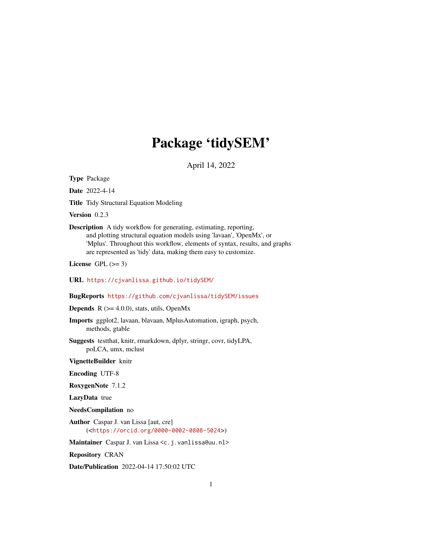# Package 'tidySEM'

April 14, 2022

<span id="page-0-0"></span>Type Package

Date 2022-4-14

Title Tidy Structural Equation Modeling

Version 0.2.3

Description A tidy workflow for generating, estimating, reporting, and plotting structural equation models using 'lavaan', 'OpenMx', or 'Mplus'. Throughout this workflow, elements of syntax, results, and graphs are represented as 'tidy' data, making them easy to customize.

License GPL  $(>= 3)$ 

URL <https://cjvanlissa.github.io/tidySEM/>

BugReports <https://github.com/cjvanlissa/tidySEM/issues>

**Depends** R  $(>= 4.0.0)$ , stats, utils, OpenMx

Imports ggplot2, lavaan, blavaan, MplusAutomation, igraph, psych, methods, gtable

Suggests testthat, knitr, rmarkdown, dplyr, stringr, covr, tidyLPA, poLCA, umx, mclust

VignetteBuilder knitr

Encoding UTF-8

RoxygenNote 7.1.2

LazyData true

NeedsCompilation no

Author Caspar J. van Lissa [aut, cre] (<<https://orcid.org/0000-0002-0808-5024>>)

Maintainer Caspar J. van Lissa <c.j.vanlissa@uu.nl>

Repository CRAN

Date/Publication 2022-04-14 17:50:02 UTC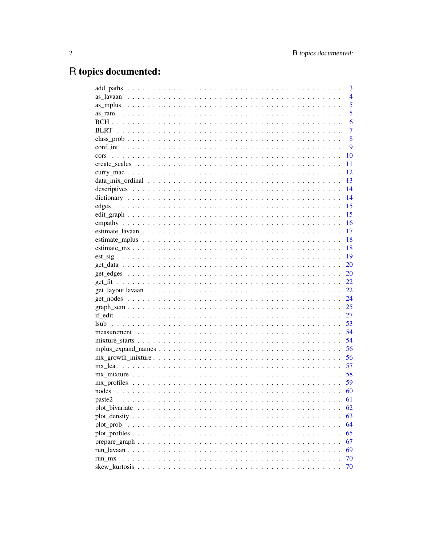# R topics documented:

|                | 3              |
|----------------|----------------|
|                | $\overline{4}$ |
|                | 5              |
|                | 5              |
|                | 6              |
|                | $\overline{7}$ |
|                | 8              |
|                | 9              |
| cors           | 10             |
|                | 11             |
|                | 12             |
|                | 13             |
|                | 14             |
|                | 14             |
| edges          | 15             |
|                | 15             |
|                | 16             |
|                | 17             |
|                | 18             |
|                | 18             |
|                | 19             |
|                | 20             |
|                | 20             |
|                | 22             |
|                | 22             |
|                | 24             |
|                | 25             |
|                | 27             |
|                | 53             |
|                | 54             |
|                | 54             |
|                | 56             |
|                | 56             |
|                | 57             |
|                | 58             |
|                | 59             |
|                | 60             |
| paste2         | 61             |
| plot_bivariate | 62             |
|                | 63             |
| plot_prob      | 64             |
|                | 65             |
|                | 67             |
|                | 69             |
| run mx         | 70             |
|                | 70             |
|                |                |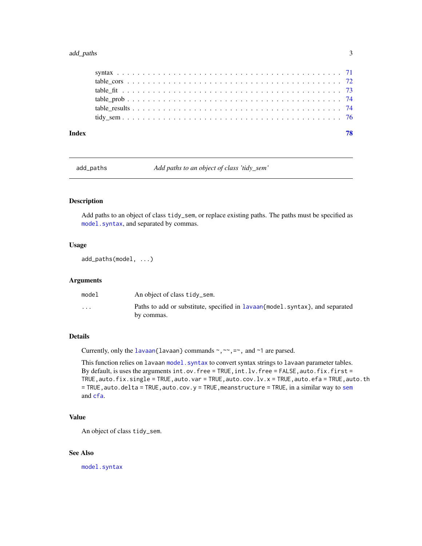#### <span id="page-2-0"></span>add\_paths 3

| 78 |
|----|
|    |
|    |
|    |
|    |
|    |
|    |
|    |

add\_paths *Add paths to an object of class 'tidy\_sem'*

# Description

Add paths to an object of class tidy\_sem, or replace existing paths. The paths must be specified as [model.syntax](#page-0-0), and separated by commas.

#### Usage

add\_paths(model, ...)

# Arguments

| model                   | An object of class tidy_sem.                                                                 |
|-------------------------|----------------------------------------------------------------------------------------------|
| $\cdot$ $\cdot$ $\cdot$ | Paths to add or substitute, specified in lavaan {model, syntax}, and separated<br>by commas. |

#### Details

Currently, only the [lavaan{](#page-0-0)lavaan} commands  $\sim$ ,  $\sim$ ,  $=\sim$ , and  $\sim$ 1 are parsed.

This function relies on lavaan model. syntax to convert syntax strings to lavaan parameter tables. By default, is uses the arguments int.ov.free = TRUE, int.lv.free = FALSE, auto.fix.first = TRUE,auto.fix.single = TRUE,auto.var = TRUE,auto.cov.lv.x = TRUE,auto.efa = TRUE,auto.th  $=$  TRUE, auto.delta = TRUE, auto.cov.y = TRUE, meanstructure = TRUE, in a similar way to [sem](#page-0-0) and [cfa](#page-0-0).

# Value

An object of class tidy\_sem.

#### See Also

[model.syntax](#page-0-0)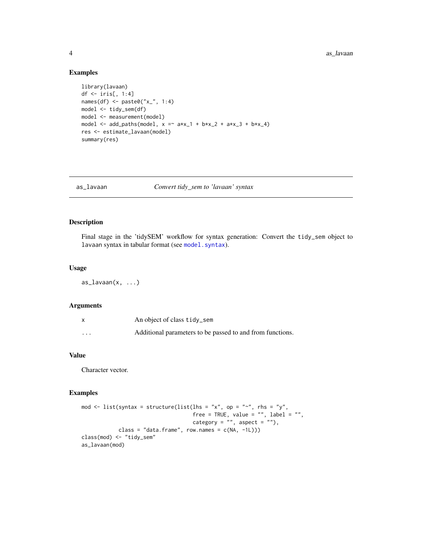#### 4 assume that the contract of the contract of the contract of the contract of the contract of the contract of the contract of the contract of the contract of the contract of the contract of the contract of the contract of

# Examples

```
library(lavaan)
df <- iris[, 1:4]
names(df) <- paste0("x_", 1:4)
model <- tidy_sem(df)
model <- measurement(model)
model <- add_paths(model, x = x + x_1 + b*x_2 + a*x_3 + b*x_4)
res <- estimate_lavaan(model)
summary(res)
```
as\_lavaan *Convert tidy\_sem to 'lavaan' syntax*

# Description

Final stage in the 'tidySEM' workflow for syntax generation: Convert the tidy\_sem object to lavaan syntax in tabular format (see [model.syntax](#page-0-0)).

#### Usage

 $as\_lavan(x, \ldots)$ 

#### Arguments

|          | An object of class tidy_sem                               |
|----------|-----------------------------------------------------------|
| $\cdots$ | Additional parameters to be passed to and from functions. |

# Value

Character vector.

#### Examples

```
mod \le list(syntax = structure(list(lhs = "x", op = "~", rhs = "y",
                                                             free = TRUE, value = "", label = "",
                                                             \csc \csc \csc \csc \csc \csc \csc \csc \csc \csc \csc \csc \csc \csc \csc \csc \csc \csc \csc \csc \csc \csc \csc \csc \csc \csc \csc \csc \csc \csc \csc \csc \csc \csc \csc \csc \cscclass = "data.frame", row.names = c(NA, -1L)))
class(mod) <- "tidy_sem"
as_lavaan(mod)
```
<span id="page-3-0"></span>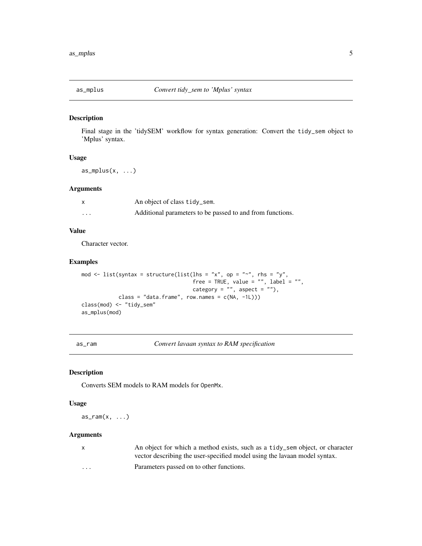<span id="page-4-0"></span>

# Description

Final stage in the 'tidySEM' workflow for syntax generation: Convert the tidy\_sem object to 'Mplus' syntax.

#### Usage

 $as_mplus(x, \ldots)$ 

# Arguments

|                   | An object of class tidy_sem.                              |
|-------------------|-----------------------------------------------------------|
| $\cdot\cdot\cdot$ | Additional parameters to be passed to and from functions. |

# Value

Character vector.

# Examples

```
mod \le list(syntax = structure(list(lhs = "x", op = "~", rhs = "y",
                                   free = TRUE, value = "", label = "",category = ", aspect = "),
           class = "data-frame", row.name = c(NA, -1L)))class(mod) <- "tidy_sem"
as_mplus(mod)
```
<span id="page-4-1"></span>as\_ram *Convert lavaan syntax to RAM specification*

#### Description

Converts SEM models to RAM models for OpenMx.

#### Usage

 $as\_ram(x, \ldots)$ 

#### Arguments

| $\mathsf{X}$            | An object for which a method exists, such as a tidy_sem object, or character |
|-------------------------|------------------------------------------------------------------------------|
|                         | vector describing the user-specified model using the lavaan model syntax.    |
| $\cdot$ $\cdot$ $\cdot$ | Parameters passed on to other functions.                                     |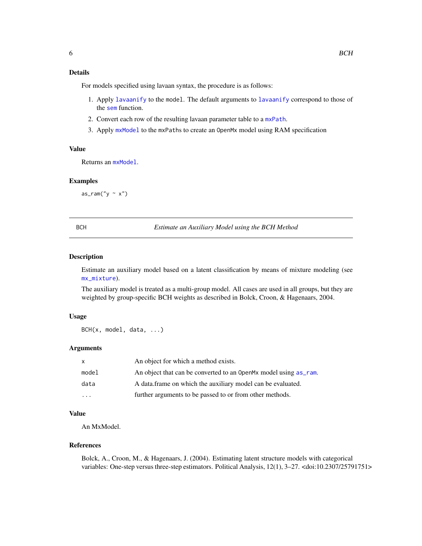# <span id="page-5-0"></span>Details

For models specified using lavaan syntax, the procedure is as follows:

- 1. Apply [lavaanify](#page-0-0) to the model. The default arguments to [lavaanify](#page-0-0) correspond to those of the [sem](#page-0-0) function.
- 2. Convert each row of the resulting lavaan parameter table to a [mxPath](#page-0-0).
- 3. Apply [mxModel](#page-0-0) to the mxPaths to create an OpenMx model using RAM specification

#### Value

Returns an [mxModel](#page-0-0).

#### Examples

 $as\_ram("y \sim x")$ 

BCH *Estimate an Auxiliary Model using the BCH Method*

#### Description

Estimate an auxiliary model based on a latent classification by means of mixture modeling (see [mx\\_mixture](#page-57-1)).

The auxiliary model is treated as a multi-group model. All cases are used in all groups, but they are weighted by group-specific BCH weights as described in Bolck, Croon, & Hagenaars, 2004.

#### Usage

BCH(x, model, data, ...)

#### Arguments

| X                       | An object for which a method exists.                             |
|-------------------------|------------------------------------------------------------------|
| model                   | An object that can be converted to an OpenMx model using as_ram. |
| data                    | A data frame on which the auxiliary model can be evaluated.      |
| $\cdot$ $\cdot$ $\cdot$ | further arguments to be passed to or from other methods.         |

# Value

An MxModel.

#### References

Bolck, A., Croon, M., & Hagenaars, J. (2004). Estimating latent structure models with categorical variables: One-step versus three-step estimators. Political Analysis, 12(1), 3–27. <doi:10.2307/25791751>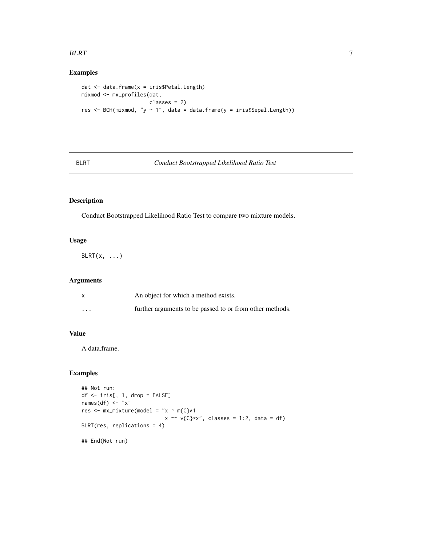#### <span id="page-6-0"></span> $BLRT$  7

# Examples

```
dat <- data.frame(x = iris$Petal.Length)
mixmod <- mx_profiles(dat,
                     classes = 2)
res <- BCH(mixmod, "y ~ 1", data = data.frame(y = iris$Sepal.Length))
```
# BLRT *Conduct Bootstrapped Likelihood Ratio Test*

# Description

Conduct Bootstrapped Likelihood Ratio Test to compare two mixture models.

# Usage

 $BLRT(x, \ldots)$ 

# Arguments

|          | An object for which a method exists.                     |
|----------|----------------------------------------------------------|
| $\cdots$ | further arguments to be passed to or from other methods. |

# Value

A data.frame.

# Examples

```
## Not run:
df <- iris[, 1, drop = FALSE]
names(df) \langle - "x"
res <- mx\_mixture(model = "x ~ m{C}*1x \sim v(C)*x", \text{ classes} = 1:2, \text{ data} = df)BLRT(res, replications = 4)
## End(Not run)
```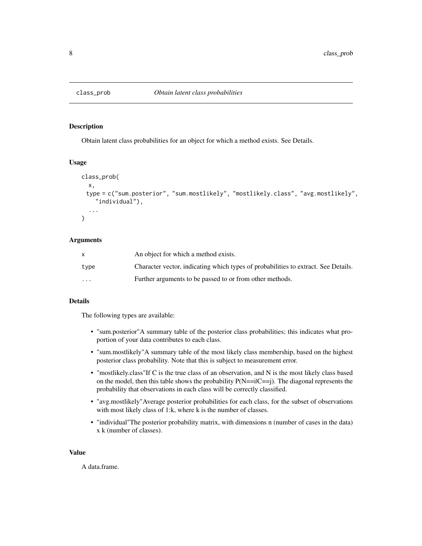<span id="page-7-0"></span>

### Description

Obtain latent class probabilities for an object for which a method exists. See Details.

# Usage

```
class_prob(
  x,
 type = c("sum.posterior", "sum.mostlikely", "mostlikely.class", "avg.mostlikely",
    "individual"),
  ...
)
```
#### Arguments

|                         | An object for which a method exists.                                               |
|-------------------------|------------------------------------------------------------------------------------|
| type                    | Character vector, indicating which types of probabilities to extract. See Details. |
| $\cdot$ $\cdot$ $\cdot$ | Further arguments to be passed to or from other methods.                           |

#### Details

The following types are available:

- "sum.posterior"A summary table of the posterior class probabilities; this indicates what proportion of your data contributes to each class.
- "sum.mostlikely"A summary table of the most likely class membership, based on the highest posterior class probability. Note that this is subject to measurement error.
- "mostlikely.class"If C is the true class of an observation, and N is the most likely class based on the model, then this table shows the probability  $P(N=iiC==j)$ . The diagonal represents the probability that observations in each class will be correctly classified.
- "avg.mostlikely"Average posterior probabilities for each class, for the subset of observations with most likely class of 1:k, where k is the number of classes.
- "individual"The posterior probability matrix, with dimensions n (number of cases in the data) x k (number of classes).

#### Value

A data.frame.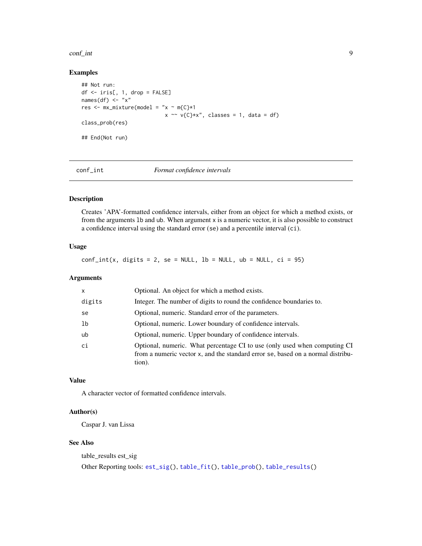#### <span id="page-8-0"></span>conf<sub>—</sub>int 9

# Examples

```
## Not run:
df \leftarrow iris[, 1, drop = FALSE]names(df) \leq "x"
res <- mx\_mixture(model = "x ~ m{C}*1x \sim v(C)*x", \text{ classes} = 1, \text{ data} = df)class_prob(res)
## End(Not run)
```
<span id="page-8-1"></span>

conf\_int *Format confidence intervals*

# Description

Creates 'APA'-formatted confidence intervals, either from an object for which a method exists, or from the arguments lb and ub. When argument x is a numeric vector, it is also possible to construct a confidence interval using the standard error (se) and a percentile interval (ci).

# Usage

 $conf\_int(x, digits = 2, se = NULL, lb = NULL, ub = NULL, ci = 95)$ 

#### Arguments

| $\mathsf{x}$ | Optional. An object for which a method exists.                                                                                                                         |
|--------------|------------------------------------------------------------------------------------------------------------------------------------------------------------------------|
| digits       | Integer. The number of digits to round the confidence boundaries to.                                                                                                   |
| se           | Optional, numeric. Standard error of the parameters.                                                                                                                   |
| 1b           | Optional, numeric. Lower boundary of confidence intervals.                                                                                                             |
| ub           | Optional, numeric. Upper boundary of confidence intervals.                                                                                                             |
| ci           | Optional, numeric. What percentage CI to use (only used when computing CI<br>from a numeric vector x, and the standard error se, based on a normal distribu-<br>tion). |

#### Value

A character vector of formatted confidence intervals.

### Author(s)

Caspar J. van Lissa

# See Also

```
table_results est_sig
Other Reporting tools: est_sig(), table_fit(), table_prob(), table_results()
```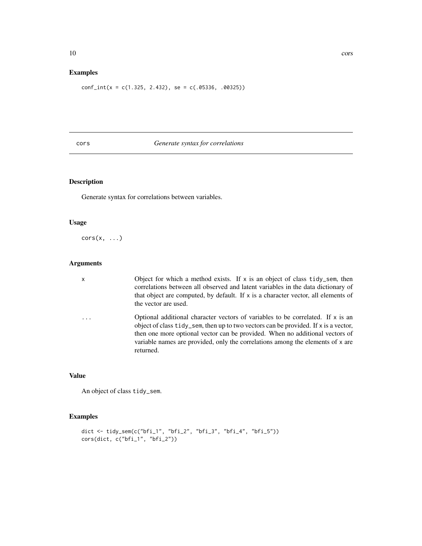# <span id="page-9-0"></span>Examples

 $conf\_int(x = c(1.325, 2.432), se = c(.05336, .00325))$ 

# cors *Generate syntax for correlations*

# Description

Generate syntax for correlations between variables.

#### Usage

 $\text{cors}(x, \ldots)$ 

#### Arguments

x Object for which a method exists. If x is an object of class tidy\_sem, then correlations between all observed and latent variables in the data dictionary of that object are computed, by default. If x is a character vector, all elements of the vector are used.

... Optional additional character vectors of variables to be correlated. If x is an object of class tidy\_sem, then up to two vectors can be provided. If x is a vector, then one more optional vector can be provided. When no additional vectors of variable names are provided, only the correlations among the elements of x are returned.

# Value

An object of class tidy\_sem.

# Examples

```
dict <- tidy_sem(c("bfi_1", "bfi_2", "bfi_3", "bfi_4", "bfi_5"))
cors(dict, c("bfi_1", "bfi_2"))
```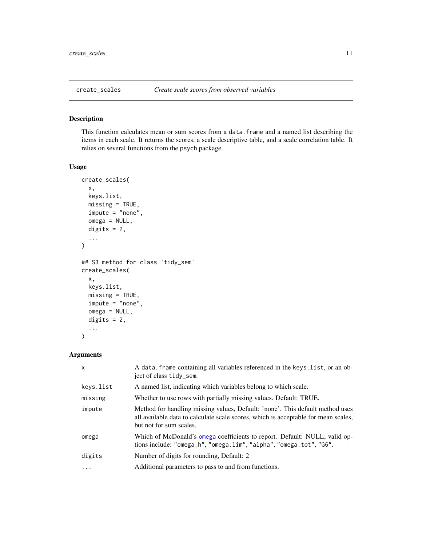<span id="page-10-0"></span>

# Description

This function calculates mean or sum scores from a data. frame and a named list describing the items in each scale. It returns the scores, a scale descriptive table, and a scale correlation table. It relies on several functions from the psych package.

# Usage

```
create_scales(
  x,
  keys.list,
 missing = TRUE,
  impute = "none",
  omega = NULL,
  digits = 2,
  ...
)
## S3 method for class 'tidy_sem'
create_scales(
  x,
  keys.list,
 missing = TRUE,
  impute = "none",
  omega = NULL,
  digits = 2,
  ...
)
```
# Arguments

| X         | A data frame containing all variables referenced in the keys list, or an ob-<br>ject of class tidy_sem.                                                                                        |
|-----------|------------------------------------------------------------------------------------------------------------------------------------------------------------------------------------------------|
| keys.list | A named list, indicating which variables belong to which scale.                                                                                                                                |
| missing   | Whether to use rows with partially missing values. Default: TRUE.                                                                                                                              |
| impute    | Method for handling missing values, Default: 'none'. This default method uses<br>all available data to calculate scale scores, which is acceptable for mean scales,<br>but not for sum scales. |
| omega     | Which of McDonald's omega coefficients to report. Default: NULL; valid op-<br>tions include: "omega_h", "omega.lim", "alpha", "omega.tot", "G6".                                               |
| digits    | Number of digits for rounding, Default: 2                                                                                                                                                      |
| .         | Additional parameters to pass to and from functions.                                                                                                                                           |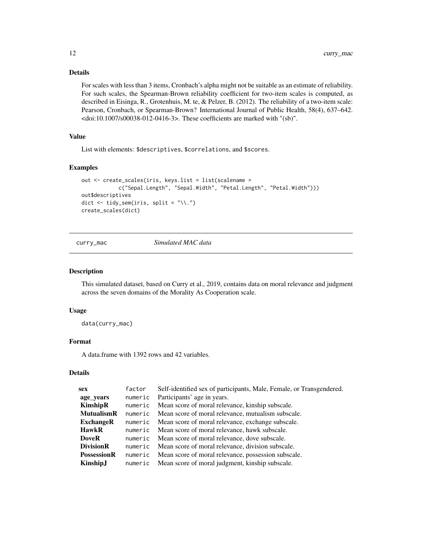# Details

For scales with less than 3 items, Cronbach's alpha might not be suitable as an estimate of reliability. For such scales, the Spearman-Brown reliability coefficient for two-item scales is computed, as described in Eisinga, R., Grotenhuis, M. te, & Pelzer, B. (2012). The reliability of a two-item scale: Pearson, Cronbach, or Spearman-Brown? International Journal of Public Health, 58(4), 637–642. <doi:10.1007/s00038-012-0416-3>. These coefficients are marked with "(sb)".

# Value

List with elements: \$descriptives, \$correlations, and \$scores.

# Examples

```
out <- create_scales(iris, keys.list = list(scalename =
            c("Sepal.Length", "Sepal.Width", "Petal.Length", "Petal.Width")))
out$descriptives
dict \le tidy_sem(iris, split = "\\.")
create_scales(dict)
```
curry\_mac *Simulated MAC data*

#### Description

This simulated dataset, based on Curry et al., 2019, contains data on moral relevance and judgment across the seven domains of the Morality As Cooperation scale.

# Usage

data(curry\_mac)

# Format

A data.frame with 1392 rows and 42 variables.

#### Details

<span id="page-11-0"></span>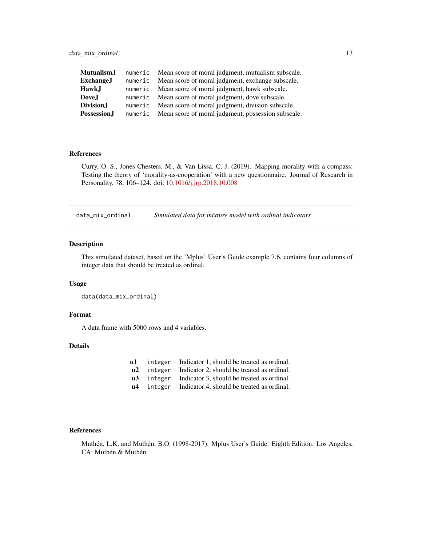<span id="page-12-0"></span>

| Mutualism.J         | numeric Mean score of moral judgment, mutualism subscale.  |
|---------------------|------------------------------------------------------------|
| <b>ExchangeJ</b>    | numeric Mean score of moral judgment, exchange subscale.   |
| <b>HawkJ</b>        | numeric Mean score of moral judgment, hawk subscale.       |
| DoveJ               | numeric Mean score of moral judgment, dove subscale.       |
| Division.I          | numeric Mean score of moral judgment, division subscale.   |
| <b>Possession</b> J | numeric Mean score of moral judgment, possession subscale. |

# References

Curry, O. S., Jones Chesters, M., & Van Lissa, C. J. (2019). Mapping morality with a compass: Testing the theory of 'morality-as-cooperation' with a new questionnaire. Journal of Research in Personality, 78, 106–124. doi: [10.1016/j.jrp.2018.10.008](https://doi.org/10.1016/j.jrp.2018.10.008)

data\_mix\_ordinal *Simulated data for mixture model with ordinal indicators*

# Description

This simulated dataset, based on the 'Mplus' User's Guide example 7.6, contains four columns of integer data that should be treated as ordinal.

#### Usage

```
data(data_mix_ordinal)
```
#### Format

A data frame with 5000 rows and 4 variables.

# Details

| $\mathbf{u}$ 1 |         | integer Indicator 1, should be treated as ordinal. |
|----------------|---------|----------------------------------------------------|
| $\mathbf{u2}$  | integer | Indicator 2, should be treated as ordinal.         |
| $\mathbf{u}$ 3 | integer | Indicator 3, should be treated as ordinal.         |
| u4             | integer | Indicator 4, should be treated as ordinal.         |

# References

Muthén, L.K. and Muthén, B.O. (1998-2017). Mplus User's Guide. Eighth Edition. Los Angeles, CA: Muthén & Muthén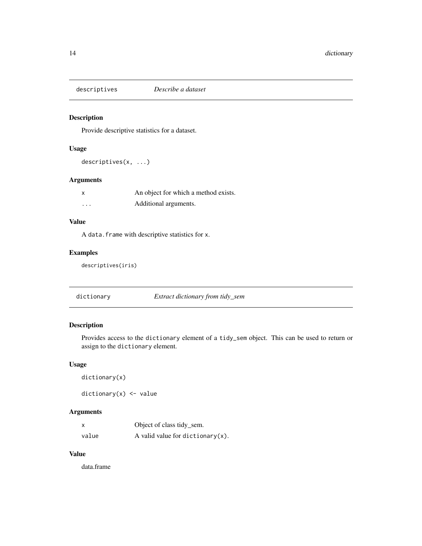<span id="page-13-0"></span>

# Description

Provide descriptive statistics for a dataset.

# Usage

descriptives(x, ...)

# Arguments

| X        | An object for which a method exists. |
|----------|--------------------------------------|
| $\cdots$ | Additional arguments.                |

# Value

A data.frame with descriptive statistics for x.

# Examples

descriptives(iris)

dictionary *Extract dictionary from tidy\_sem*

# Description

Provides access to the dictionary element of a tidy\_sem object. This can be used to return or assign to the dictionary element.

# Usage

```
dictionary(x)
```
dictionary(x) <- value

# Arguments

| X     | Object of class tidy_sem.            |
|-------|--------------------------------------|
| value | A valid value for dictionary $(x)$ . |

# Value

data.frame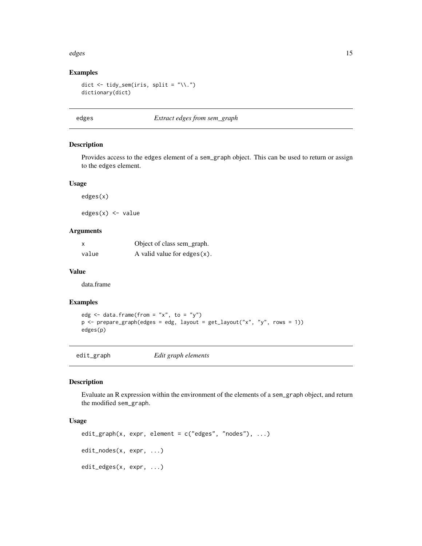#### <span id="page-14-0"></span>edges and the set of the set of the set of the set of the set of the set of the set of the set of the set of the set of the set of the set of the set of the set of the set of the set of the set of the set of the set of the

# Examples

```
dict \le tidy_sem(iris, split = "\\.")
dictionary(dict)
```
#### edges *Extract edges from sem\_graph*

# Description

Provides access to the edges element of a sem\_graph object. This can be used to return or assign to the edges element.

#### Usage

edges(x)

edges(x) <- value

# Arguments

| X     | Object of class sem_graph.      |
|-------|---------------------------------|
| value | A valid value for edges $(x)$ . |

#### Value

data.frame

#### Examples

```
edg \leq data.frame(from = "x", to = "y")
p \leftarrow prepare_graph(edges = edg, layout = get_layout("x", "y", rows = 1))
edges(p)
```
edit\_graph *Edit graph elements*

#### Description

Evaluate an R expression within the environment of the elements of a sem\_graph object, and return the modified sem\_graph.

# Usage

```
edit_graph(x, expr, element = c("edges", "nodes"), ...)edit_nodes(x, expr, ...)
edit_edges(x, expr, ...)
```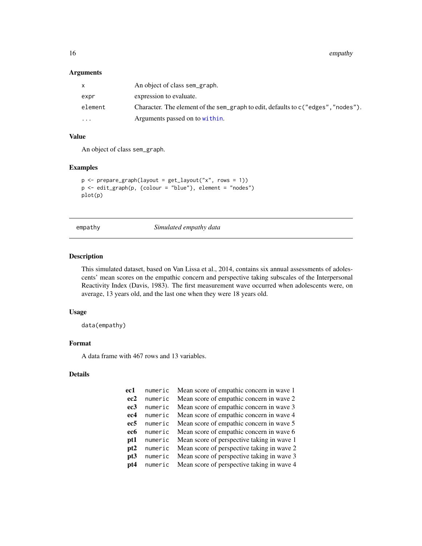<span id="page-15-0"></span>16 empathy empathy and the contract of the contract of the contract of the contract of the contract of the contract of the contract of the contract of the contract of the contract of the contract of the contract of the con

# Arguments

| X       | An object of class sem_graph.                                                     |
|---------|-----------------------------------------------------------------------------------|
| expr    | expression to evaluate.                                                           |
| element | Character. The element of the sem_graph to edit, defaults to c("edges", "nodes"). |
| $\cdot$ | Arguments passed on to within.                                                    |

# Value

An object of class sem\_graph.

#### Examples

```
p \leq - prepare_graph(layout = get_layout("x", rows = 1))
p <- edit_graph(p, {colour = "blue"}, element = "nodes")
plot(p)
```
empathy *Simulated empathy data*

#### Description

This simulated dataset, based on Van Lissa et al., 2014, contains six annual assessments of adolescents' mean scores on the empathic concern and perspective taking subscales of the Interpersonal Reactivity Index (Davis, 1983). The first measurement wave occurred when adolescents were, on average, 13 years old, and the last one when they were 18 years old.

# Usage

data(empathy)

# Format

A data frame with 467 rows and 13 variables.

#### Details

| ec1             | numeric | Mean score of empathic concern in wave 1   |
|-----------------|---------|--------------------------------------------|
| ec2             | numeric | Mean score of empathic concern in wave 2   |
| ec <sub>3</sub> | numeric | Mean score of empathic concern in wave 3   |
| ec <sub>4</sub> | numeric | Mean score of empathic concern in wave 4   |
| ec5             | numeric | Mean score of empathic concern in wave 5   |
| ec <sub>6</sub> | numeric | Mean score of empathic concern in wave 6   |
| pt1             | numeric | Mean score of perspective taking in wave 1 |
| pt <sub>2</sub> | numeric | Mean score of perspective taking in wave 2 |
| pt3             | numeric | Mean score of perspective taking in wave 3 |
| pt4             | numeric | Mean score of perspective taking in wave 4 |
|                 |         |                                            |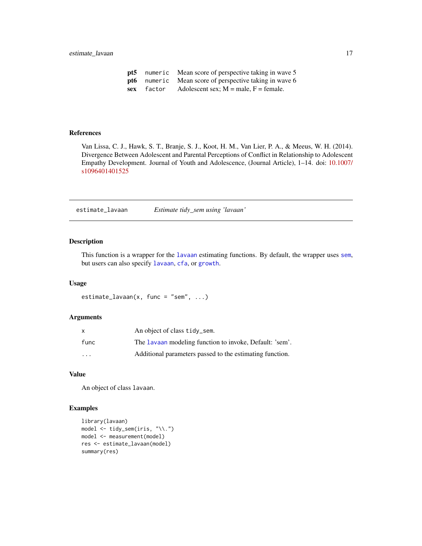<span id="page-16-0"></span>

|            | <b>pt5</b> numeric Mean score of perspective taking in wave 5 |
|------------|---------------------------------------------------------------|
|            | <b>pt6</b> numeric Mean score of perspective taking in wave 6 |
| sex factor | Adolescent sex; $M = male$ , $F = female$ .                   |

#### References

Van Lissa, C. J., Hawk, S. T., Branje, S. J., Koot, H. M., Van Lier, P. A., & Meeus, W. H. (2014). Divergence Between Adolescent and Parental Perceptions of Conflict in Relationship to Adolescent Empathy Development. Journal of Youth and Adolescence, (Journal Article), 1–14. doi: [10.1007/](https://doi.org/10.1007/s10964-014-0152-5) [s1096401401525](https://doi.org/10.1007/s10964-014-0152-5)

estimate\_lavaan *Estimate tidy\_sem using 'lavaan'*

# Description

This function is a wrapper for the [lavaan](#page-0-0) estimating functions. By default, the wrapper uses [sem](#page-0-0), but users can also specify [lavaan](#page-0-0), [cfa](#page-0-0), or [growth](#page-0-0).

#### Usage

estimate\_lavaan(x, func = "sem", ...)

#### Arguments

| X                       | An object of class tidy_sem.                             |
|-------------------------|----------------------------------------------------------|
| func                    | The Lavaan modeling function to invoke, Default: 'sem'.  |
| $\cdot$ $\cdot$ $\cdot$ | Additional parameters passed to the estimating function. |

#### Value

An object of class lavaan.

# Examples

```
library(lavaan)
model <- tidy_sem(iris, "\\.")
model <- measurement(model)
res <- estimate_lavaan(model)
summary(res)
```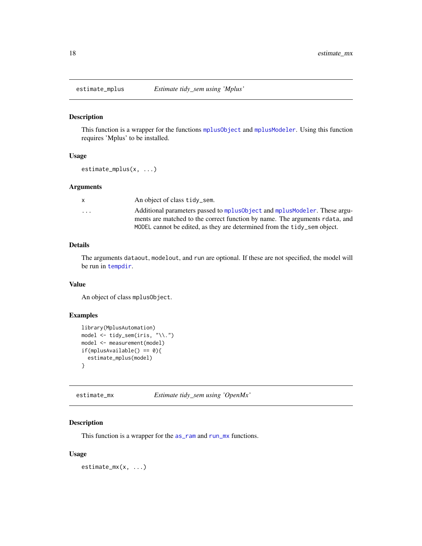<span id="page-17-0"></span>

#### Description

This function is a wrapper for the functions [mplusObject](#page-0-0) and [mplusModeler](#page-0-0). Using this function requires 'Mplus' to be installed.

# Usage

estimate\_mplus(x, ...)

#### Arguments

|                         | An object of class tidy_sem.                                                  |
|-------------------------|-------------------------------------------------------------------------------|
| $\cdot$ $\cdot$ $\cdot$ | Additional parameters passed to mplus0b ject and mplusModeler. These argu-    |
|                         | ments are matched to the correct function by name. The arguments related, and |
|                         | MODEL cannot be edited, as they are determined from the tidy_sem object.      |

# Details

The arguments dataout, modelout, and run are optional. If these are not specified, the model will be run in [tempdir](#page-0-0).

#### Value

An object of class mplusObject.

# Examples

```
library(MplusAutomation)
model <- tidy_sem(iris, "\\.")
model <- measurement(model)
if(mplusAvailable() == 0){
  estimate_mplus(model)
}
```
estimate\_mx *Estimate tidy\_sem using 'OpenMx'*

# Description

This function is a wrapper for the [as\\_ram](#page-4-1) and [run\\_mx](#page-69-1) functions.

#### Usage

estimate\_mx(x, ...)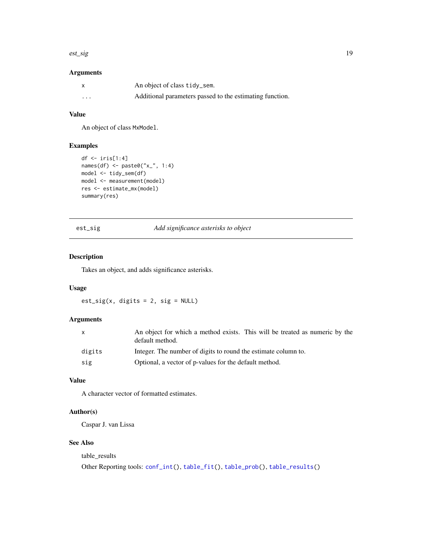#### <span id="page-18-0"></span>est\_sig 19

# Arguments

| X        | An object of class tidy_sem.                             |
|----------|----------------------------------------------------------|
| $\cdots$ | Additional parameters passed to the estimating function. |

# Value

An object of class MxModel.

# Examples

```
df <- iris[1:4]
names(df) <- paste0("x_", 1:4)
model <- tidy_sem(df)
model <- measurement(model)
res <- estimate_mx(model)
summary(res)
```
# <span id="page-18-1"></span>est\_sig *Add significance asterisks to object*

#### Description

Takes an object, and adds significance asterisks.

# Usage

 $est\_sig(x, digits = 2, sig = NULL)$ 

# Arguments

| X      | An object for which a method exists. This will be treated as numeric by the<br>default method. |
|--------|------------------------------------------------------------------------------------------------|
| digits | Integer. The number of digits to round the estimate column to.                                 |
| sig    | Optional, a vector of p-values for the default method.                                         |

# Value

A character vector of formatted estimates.

# Author(s)

Caspar J. van Lissa

# See Also

table\_results Other Reporting tools: [conf\\_int\(](#page-8-1)), [table\\_fit\(](#page-72-1)), [table\\_prob\(](#page-73-1)), [table\\_results\(](#page-73-2))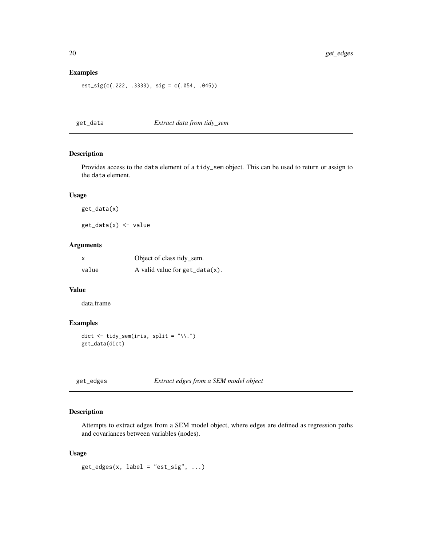# Examples

est\_sig(c(.222, .3333), sig = c(.054, .045))

# get\_data *Extract data from tidy\_sem*

# Description

Provides access to the data element of a tidy\_sem object. This can be used to return or assign to the data element.

# Usage

get\_data(x)

get\_data(x) <- value

# Arguments

| x     | Object of class tidy_sem.         |
|-------|-----------------------------------|
| value | A valid value for $get_data(x)$ . |

# Value

data.frame

# Examples

```
dict \le tidy_sem(iris, split = "\\.")
get_data(dict)
```
<span id="page-19-1"></span>get\_edges *Extract edges from a SEM model object*

# Description

Attempts to extract edges from a SEM model object, where edges are defined as regression paths and covariances between variables (nodes).

#### Usage

 $get\_edges(x, label = "est\_sig", ...)$ 

<span id="page-19-0"></span>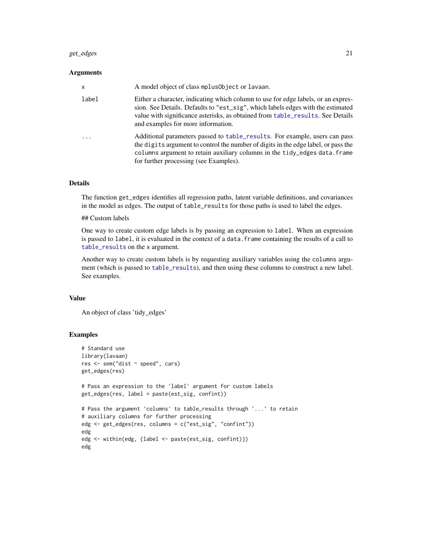#### get\_edges 21

#### **Arguments**

| $\mathsf{x}$ | A model object of class mplus0bject or lavaan.                                                                                                                                                                                                                                               |
|--------------|----------------------------------------------------------------------------------------------------------------------------------------------------------------------------------------------------------------------------------------------------------------------------------------------|
| label        | Either a character, indicating which column to use for edge labels, or an expres-<br>sion. See Details. Defaults to "est_sig", which labels edges with the estimated<br>value with significance asterisks, as obtained from table_results. See Details<br>and examples for more information. |
| .            | Additional parameters passed to table_results. For example, users can pass<br>the digits argument to control the number of digits in the edge label, or pass the<br>columns argument to retain auxiliary columns in the tidy_edges data.frame<br>for further processing (see Examples).      |

#### Details

The function get\_edges identifies all regression paths, latent variable definitions, and covariances in the model as edges. The output of table\_results for those paths is used to label the edges.

#### ## Custom labels

One way to create custom edge labels is by passing an expression to label. When an expression is passed to label, it is evaluated in the context of a data. frame containing the results of a call to [table\\_results](#page-73-2) on the x argument.

Another way to create custom labels is by requesting auxiliary variables using the columns argument (which is passed to [table\\_results](#page-73-2)), and then using these columns to construct a new label. See examples.

#### Value

An object of class 'tidy\_edges'

#### Examples

```
# Standard use
library(lavaan)
res <- sem("dist ~ speed", cars)
get_edges(res)
# Pass an expression to the 'label' argument for custom labels
get_edges(res, label = paste(est_sig, confint))
# Pass the argument 'columns' to table_results through '...' to retain
# auxiliary columns for further processing
edg <- get_edges(res, columns = c("est_sig", "confint"))
edg
edg <- within(edg, {label <- paste(est_sig, confint)})
edg
```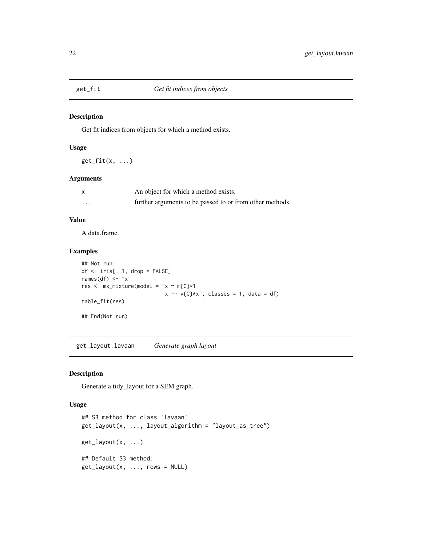<span id="page-21-0"></span>

#### Description

Get fit indices from objects for which a method exists.

# Usage

 $get_fit(x, \ldots)$ 

# Arguments

|          | An object for which a method exists.                     |
|----------|----------------------------------------------------------|
| $\cdots$ | further arguments to be passed to or from other methods. |

# Value

A data.frame.

# Examples

```
## Not run:
df <- iris[, 1, drop = FALSE]
names(df) \leq "x"
res <- mx\_mixture(model = "x ~ m{C}*1x \sim v(C)*x", \text{ classes} = 1, \text{ data} = df)table_fit(res)
## End(Not run)
```
get\_layout.lavaan *Generate graph layout*

# <span id="page-21-1"></span>Description

Generate a tidy\_layout for a SEM graph.

#### Usage

```
## S3 method for class 'lavaan'
get_layout(x, ..., layout_algorithm = "layout_as_tree")
get_layout(x, ...)
## Default S3 method:
get\_layout(x, ..., rows = NULL)
```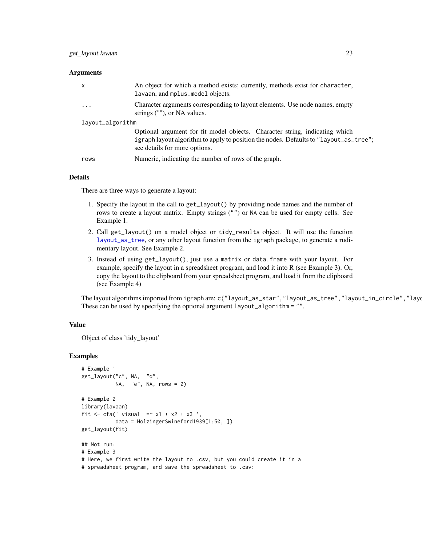#### **Arguments**

|                  | x        | An object for which a method exists; currently, methods exist for character,<br>lavaan, and mplus. model objects.                                                                                     |
|------------------|----------|-------------------------------------------------------------------------------------------------------------------------------------------------------------------------------------------------------|
|                  | $\cdots$ | Character arguments corresponding to layout elements. Use node names, empty<br>strings (""), or NA values.                                                                                            |
| layout_algorithm |          |                                                                                                                                                                                                       |
|                  |          | Optional argument for fit model objects. Character string, indicating which<br>igraph layout algorithm to apply to position the nodes. Defaults to "layout_as_tree";<br>see details for more options. |
|                  | rows     | Numeric, indicating the number of rows of the graph.                                                                                                                                                  |

#### Details

There are three ways to generate a layout:

- 1. Specify the layout in the call to get\_layout() by providing node names and the number of rows to create a layout matrix. Empty strings ("") or NA can be used for empty cells. See Example 1.
- 2. Call get\_layout() on a model object or tidy\_results object. It will use the function [layout\\_as\\_tree](#page-0-0), or any other layout function from the igraph package, to generate a rudimentary layout. See Example 2.
- 3. Instead of using get\_layout(), just use a matrix or data.frame with your layout. For example, specify the layout in a spreadsheet program, and load it into R (see Example 3). Or, copy the layout to the clipboard from your spreadsheet program, and load it from the clipboard (see Example 4)

The layout algorithms imported from igraph are: c("layout\_as\_star","layout\_as\_tree","layout\_in\_circle","layo These can be used by specifying the optional argument layout\_algorithm = "".

#### Value

Object of class 'tidy\_layout'

#### Examples

```
# Example 1
get_layout("c", NA, "d",
          NA, "e", NA, rows = 2)
# Example 2
library(lavaan)
fit \le cfa(' visual =\le x1 + x2 + x3 ',
           data = HolzingerSwineford1939[1:50, ])
get_layout(fit)
## Not run:
# Example 3
# Here, we first write the layout to .csv, but you could create it in a
# spreadsheet program, and save the spreadsheet to .csv:
```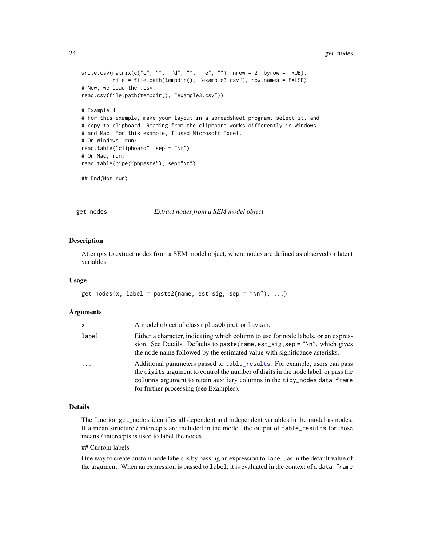```
write.csv(matrix(c("c", "", "d", "", "e", ""), nrow = 2, byrow = TRUE),
         file = file.path(tempdir(), "example3.csv"), row.names = FALSE)
# Now, we load the .csv:
read.csv(file.path(tempdir(), "example3.csv"))
# Example 4
# For this example, make your layout in a spreadsheet program, select it, and
# copy to clipboard. Reading from the clipboard works differently in Windows
# and Mac. For this example, I used Microsoft Excel.
# On Windows, run:
read.table("clipboard", sep = "\t")
# On Mac, run:
read.table(pipe("pbpaste"), sep="\t")
## End(Not run)
```
<span id="page-23-1"></span>get\_nodes *Extract nodes from a SEM model object*

#### Description

Attempts to extract nodes from a SEM model object, where nodes are defined as observed or latent variables.

#### Usage

```
get\_nodes(x, label = paste2(name, est\_sig, sep = "\\n"), ...)
```
#### Arguments

| x        | A model object of class mplus0bject or lavaan.                                                                                                                                                                                                                                          |
|----------|-----------------------------------------------------------------------------------------------------------------------------------------------------------------------------------------------------------------------------------------------------------------------------------------|
| label    | Either a character, indicating which column to use for node labels, or an expres-<br>sion. See Details. Defaults to paste (name, est_sig, sep = "\n", which gives<br>the node name followed by the estimated value with significance asterisks.                                         |
| $\cdots$ | Additional parameters passed to table_results. For example, users can pass<br>the digits argument to control the number of digits in the node label, or pass the<br>columns argument to retain auxiliary columns in the tidy_nodes data.frame<br>for further processing (see Examples). |

#### Details

The function get\_nodes identifies all dependent and independent variables in the model as nodes. If a mean structure / intercepts are included in the model, the output of table\_results for those means / intercepts is used to label the nodes.

#### ## Custom labels

One way to create custom node labels is by passing an expression to label, as in the default value of the argument. When an expression is passed to label, it is evaluated in the context of a data. frame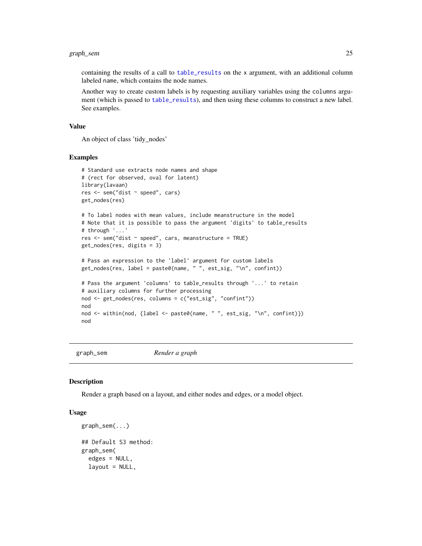# <span id="page-24-0"></span>graph\_sem 25

containing the results of a call to [table\\_results](#page-73-2) on the x argument, with an additional column labeled name, which contains the node names.

Another way to create custom labels is by requesting auxiliary variables using the columns argument (which is passed to [table\\_results](#page-73-2)), and then using these columns to construct a new label. See examples.

#### Value

An object of class 'tidy\_nodes'

#### Examples

```
# Standard use extracts node names and shape
# (rect for observed, oval for latent)
library(lavaan)
res <- sem("dist ~ speed", cars)
get_nodes(res)
# To label nodes with mean values, include meanstructure in the model
# Note that it is possible to pass the argument 'digits' to table_results
# through '...'
res <- sem("dist ~ speed", cars, meanstructure = TRUE)
get_nodes(res, digits = 3)
# Pass an expression to the 'label' argument for custom labels
get_nodes(res, label = paste0(name, " ", est_sig, "\n", confint))
# Pass the argument 'columns' to table_results through '...' to retain
# auxiliary columns for further processing
nod <- get_nodes(res, columns = c("est_sig", "confint"))
nod
nod <- within(nod, {label <- paste0(name, " ", est_sig, "\n", confint)})
nod
```
graph\_sem *Render a graph*

#### Description

Render a graph based on a layout, and either nodes and edges, or a model object.

# Usage

```
graph_sem(...)
## Default S3 method:
graph_sem(
  edges = NULL,
  layout = NULL,
```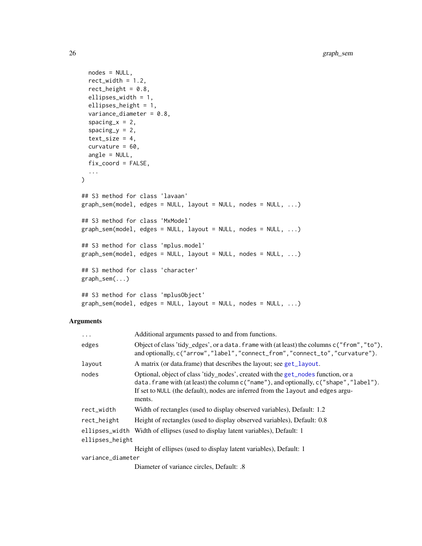```
nodes = NULL,
  rect\_width = 1.2,
 rect_height = 0.8,
 ellipses_width = 1,
  ellipses_height = 1,
  variance_diameter = 0.8,
  spacing_x = 2,
  spacing_y = 2,
  text\_size = 4,
  curvature = 60,
  angle = NULL,
  fix_coord = FALSE,
  ...
\mathcal{L}## S3 method for class 'lavaan'
graph_sem(model, edges = NULL, layout = NULL, nodes = NULL, ...)
## S3 method for class 'MxModel'
graph\_sem(model1, edges = NULL, layout = NULL, nodes = NULL, ...)## S3 method for class 'mplus.model'
graph_sem(model, edges = NULL, layout = NULL, nodes = NULL, ...)
## S3 method for class 'character'
graph_sem(...)
## S3 method for class 'mplusObject'
graph\_sem(model1, edges = NULL, layout = NULL, nodes = NULL, ...)
```
#### Arguments

| $\ddots$ .        | Additional arguments passed to and from functions.                                                                                                                                                                                                                        |
|-------------------|---------------------------------------------------------------------------------------------------------------------------------------------------------------------------------------------------------------------------------------------------------------------------|
| edges             | Object of class 'tidy_edges', or a data. frame with (at least) the columns c("from","to"),<br>and optionally, c("arrow", "label", "connect_from", "connect_to", "curvature").                                                                                             |
| layout            | A matrix (or data.frame) that describes the layout; see get_layout.                                                                                                                                                                                                       |
| nodes             | Optional, object of class 'tidy_nodes', created with the get_nodes function, or a<br>data. frame with (at least) the column c("name"), and optionally, c("shape", "label").<br>If set to NULL (the default), nodes are inferred from the layout and edges argu-<br>ments. |
| rect_width        | Width of rectangles (used to display observed variables), Default: 1.2                                                                                                                                                                                                    |
| rect_height       | Height of rectangles (used to display observed variables), Default: 0.8                                                                                                                                                                                                   |
|                   | ellipses_width Width of ellipses (used to display latent variables), Default: 1                                                                                                                                                                                           |
| ellipses_height   |                                                                                                                                                                                                                                                                           |
|                   | Height of ellipses (used to display latent variables), Default: 1                                                                                                                                                                                                         |
| variance_diameter |                                                                                                                                                                                                                                                                           |
|                   | Diameter of variance circles, Default: .8                                                                                                                                                                                                                                 |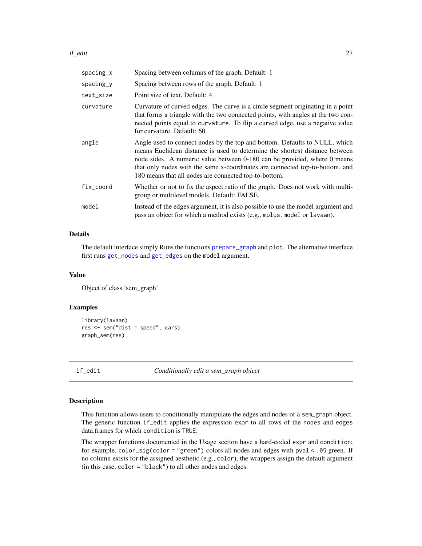#### <span id="page-26-0"></span>if\_edit 27

| spacing_x   | Spacing between columns of the graph, Default: 1                                                                                                                                                                                                                                                                                                                               |
|-------------|--------------------------------------------------------------------------------------------------------------------------------------------------------------------------------------------------------------------------------------------------------------------------------------------------------------------------------------------------------------------------------|
| $spacing_y$ | Spacing between rows of the graph, Default: 1                                                                                                                                                                                                                                                                                                                                  |
| text_size   | Point size of text, Default: 4                                                                                                                                                                                                                                                                                                                                                 |
| curvature   | Curvature of curved edges. The curve is a circle segment originating in a point<br>that forms a triangle with the two connected points, with angles at the two con-<br>nected points equal to curvature. To flip a curved edge, use a negative value<br>for curvature. Default: 60                                                                                             |
| angle       | Angle used to connect nodes by the top and bottom. Defaults to NULL, which<br>means Euclidean distance is used to determine the shortest distance between<br>node sides. A numeric value between 0-180 can be provided, where 0 means<br>that only nodes with the same x-coordinates are connected top-to-bottom, and<br>180 means that all nodes are connected top-to-bottom. |
| fix_coord   | Whether or not to fix the aspect ratio of the graph. Does not work with multi-<br>group or multilevel models. Default: FALSE.                                                                                                                                                                                                                                                  |
| model       | Instead of the edges argument, it is also possible to use the model argument and<br>pass an object for which a method exists (e.g., mplus . model or lavaan).                                                                                                                                                                                                                  |

#### Details

The default interface simply Runs the functions [prepare\\_graph](#page-66-1) and plot. The alternative interface first runs [get\\_nodes](#page-23-1) and [get\\_edges](#page-19-1) on the model argument.

#### Value

Object of class 'sem\_graph'

#### Examples

```
library(lavaan)
res <- sem("dist ~ speed", cars)
graph_sem(res)
```
if\_edit *Conditionally edit a sem\_graph object*

#### Description

This function allows users to conditionally manipulate the edges and nodes of a sem\_graph object. The generic function if\_edit applies the expression expr to all rows of the nodes and edges data.frames for which condition is TRUE.

The wrapper functions documented in the Usage section have a hard-coded expr and condition; for example, color\_sig(color = "green") colors all nodes and edges with pval < .05 green. If no column exists for the assigned aesthetic (e.g., color), the wrappers assign the default argument (in this case, color = "black") to all other nodes and edges.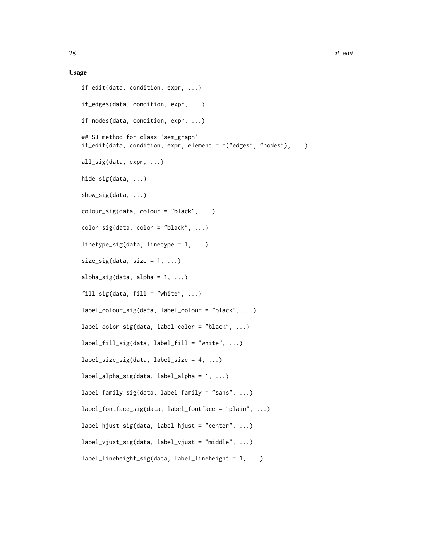#### Usage

```
if_edit(data, condition, expr, ...)
if_edges(data, condition, expr, ...)
if_nodes(data, condition, expr, ...)
## S3 method for class 'sem_graph'
if\_edit(data, condition, expr, element = c("edges", "nodes"), ...)all_sig(data, expr, ...)
hide_sig(data, ...)
show_sig(data, ...)
colour\_sig(data, colour = "black", ...)color\_sig(data, color = "black", ...)linetype_sig(data, linetype = 1, ...)
size\_sig(data, size = 1, ...)alpha_sig(data, alpha = 1, ...)
fill_sig(data, fill = "white", \dots)
label_colour_sig(data, label_colour = "black", ...)
label_color_sig(data, label_color = "black", ...)
label_fill\_sig(data, label_fill = "white", ...)label\_size\_sig(data, label\_size = 4, ...)label_alpha_sig(data, label_alpha = 1, ...)
label_family_sig(data, label_family = "sans", ...)
label_fontface_sig(data, label_fontface = "plain", ...)
label_hjust_sig(data, label_hjust = "center", ...)
label_vjust\_sig(data, label_vjust = "middle", ...)label_{\text{label{label}left} label_lineheight_sig(data, label_lineheight = 1, ...)
```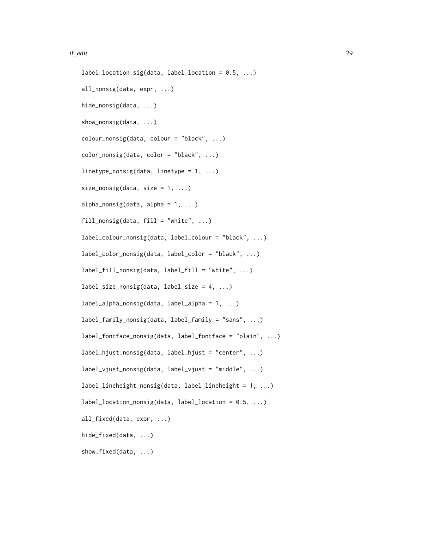#### if\_edit 29

```
label\_location\_sig(data, label\_location = 0.5, ...)all_nonsig(data, expr, ...)
hide_nonsig(data, ...)
show_nonsig(data, ...)
colour\_nonsig(data, colour = "black", ...)color_nonsig(data, color = "black", ...)
linetype_nonsig(data, linetype = 1, ...)
size\_nonsig(data, size = 1, ...)alpha_nonsig(data, alpha = 1, ...)
fill_nonsig(data, fill = "white", \dots)
label_colour_nonsig(data, label_colour = "black", ...)
label_color_nonsig(data, label_color = "black", ...)
label_fill_nonsig(data, label_fill = "white", ...)
label_size_nonsig(data, label_size = 4, ...)
label_alpha_nonsig(data, label_alpha = 1, ...)
label_family_nonsig(data, label_family = "sans", ...)
label_fontface_nonsig(data, label_fontface = "plain", ...)
label_hjust_nonsig(data, label_hjust = "center", ...)
label_vjust\_nonsig(data, label_vjust_ "middle", ... )label_lineheight_nonsig(data, label_lineheight = 1, ...)
label_location_nonsig(data, label_location = 0.5, ...)
all_fixed(data, expr, ...)
hide_fixed(data, ...)
show_fixed(data, ...)
```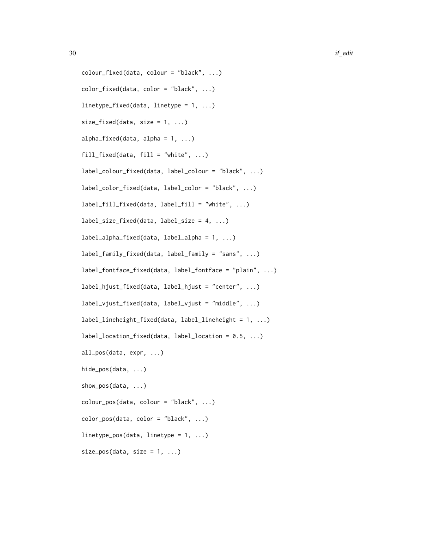```
colour_fixed(data, colour = "black", ...)
color_fixed(data, color = "black", ...)
linetype_fixed(data, linetype = 1, ...)
size\_fixed(data, size = 1, ...)alpha_fixed(data, alpha = 1, ...)
fill_fixed(data, fill = "white", ...)
label_colour_fixed(data, label_colour = "black", ...)
label_color_fixed(data, label_color = "black", ...)
label_fill_fixed(data, label_fill = "white", ...)
label_size_fixed(data, label_size = 4, ...)
label_alpha_fixed(data, label_alpha = 1, ...)
label_family_fixed(data, label_family = "sans", ...)
label_fontface_fixed(data, label_fontface = "plain", ...)
label_hjust_fixed(data, label_hjust = "center", ...)
label_vjust_fixed(data, label_vjust = "middle", ...)
label_lineheight_fixed(data, label_lineheight = 1, ...)
label_location_fixed(data, label_location = 0.5, ...)
all_pos(data, expr, ...)
hide_pos(data, ...)
show_pos(data, ...)
colour_pos(data, colour = "black", ...)
color_{\text{color\_pos(data, color = "black", ...)}linetype\_pos(data, linetype = 1, ...)size_pos(data, size = 1, ...)
```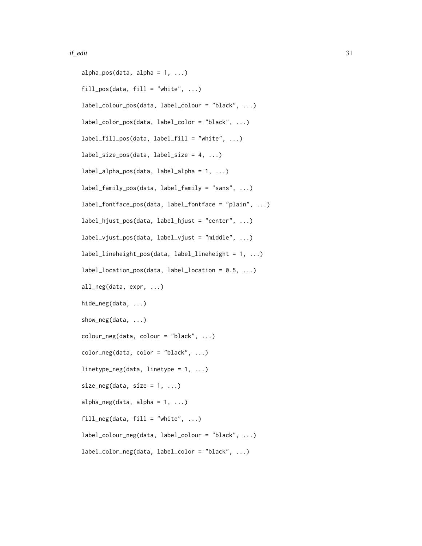#### $if\_edit$  31

```
alpha_pos(data, alpha = 1, ...)
fill\_pos(data, fill = "white", ...)label_colour_pos(data, label_colour = "black", ...)
label_color_pos(data, label_color = "black", ...)
label_fill_pos(data, label_fill = "white", ...)
label_size_pos(data, label_size = 4, ...)
label_1abel_alpha_pos(data, label_alpha = 1, ...)
label_family_pos(data, label_family = "sans", ...)
label_fontface_pos(data, label_fontface = "plain", ...)
label_hjust_pos(data, label_hjust = "center", ...)
label_vjust_pos(data, label_vjust_pos(data, label_vjust = "middle", ...)label\_lineheight = 1, ...label\_location\_pos(data, label\_location = 0.5, ...)all_neg(data, expr, ...)
hide_neg(data, ...)
show_neg(data, ...)
\text{colour\_neg}(\text{data}, \text{colour} = \text{"black", \dots})color_neg(data, color = "black", ...)
linetype\_neg(data, linetype = 1, ...)size\_neg(data, size = 1, ...)alpha\_neg(data, alpha = 1, ...)fill\_neg(data, fill = "white", ...)label_colour_neg(data, label_colour = "black", ...)
label_color_neg(data, label_color = "black", ...)
```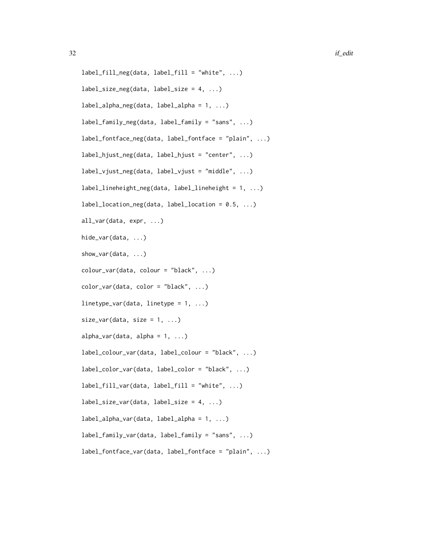```
label_fill_neg(data, label_fill = "white", ...)
label\_size\_neg(data, label\_size = 4, ...)label_alpha_neg(data, label_alpha = 1, ...)
label_family_neg(data, label_family = "sans", ...)
label_fontface_neg(data, label_fontface = "plain", ...)
label_hjust_neg(data, label_hjust = "center", ...)
label_vjust\_neg(data, label_vjust\_neg(data, label_vjust = "middle", ...)label_lineheight_neg(data, label_lineheight = 1, ...)
label_location_neg(data, label_location = 0.5, ...)
all_var(data, expr, ...)
hide_var(data, ...)
show_var(data, ...)
\text{colour\_var}(\text{data}, \text{colour} = \text{"black", \dots})color\_var(data, color = "black", ...)linetype\_var(data, linetype = 1, ...)size\_var(data, size = 1, ...)alpha_var(data, alpha = 1, ...)label_colour_var(data, label_colour = "black", ...)
label_color_var(data, label_color = "black", ...)
label_fill_var(data, label_fill = "white", ...)
label\_size\_var(data, label\_size = 4, ...)label_alpha_var(data, label_alpha = 1, ...)
label_family_var(data, label_family = "sans", ...)
label_fontface_var(data, label_fontface = "plain", ...)
```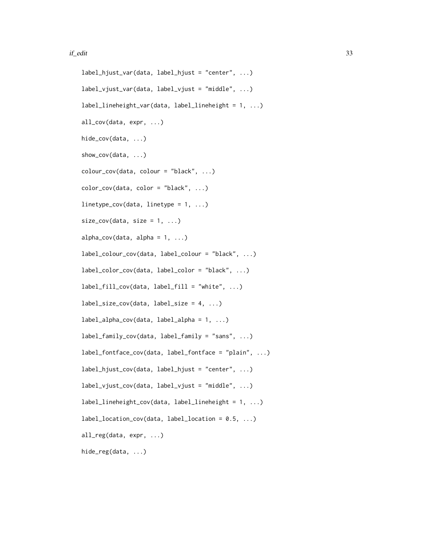#### if\_edit 33

```
label_hjust_var(data, label_hjust = "center", ...)
label_vjust_var(data, label_vjust = "middle", ...)label_lineheight_var(data, label_lineheight = 1, ...)
all_cov(data, expr, ...)
hide_cov(data, ...)
show_cov(data, ...)
\text{colour\_cov}(\text{data}, \text{colour} = \text{"black", \dots})color\_cov(data, color = "black", ...)linetype\_cov(data, linetype = 1, ...)size\_cov(data, size = 1, ...)alpha_{cov(data, alpha = 1, ...)}label_colour_cov(data, label_colour = "black", ...)
label_color_cov(data, label_color = "black", ...)
label_fillcov(data, label_fill = "white", ...)label\_size\_cov(data, label\_size = 4, ...)label_alpha_cov(data, label_alpha = 1, ...)
label_family_cov(data, label_family = "sans", ...)
label_fontface_cov(data, label_fontface = "plain", ...)
label_hjust_cov(data, label_hjust = "center", ...)
label_vjust_cov(data, label_vjust_cov(data, label_vjust = "middle", ...)label_lineheight_cov(data, label_lineheight = 1, ...)
label_location_cov(data, label_location = 0.5, ...)
all_reg(data, expr, ...)
hide_reg(data, ...)
```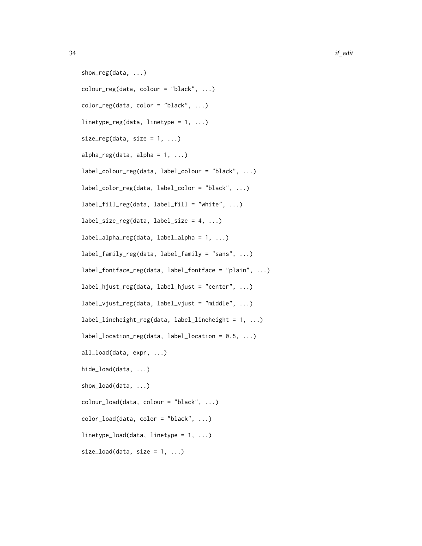```
show_reg(data, ...)
color_reg(data, colour = "black", ...)color_reg(data, color = "black", ...)linetype_reg(data, linetype = 1, ...)
size\_reg(data, size = 1, ...)alpha_reg(data, alpha = 1, ...)label_colour_reg(data, label_colour = "black", ...)
label_color_reg(data, label_color = "black", ...)
label_fill_reg(data, label_fill = "white", ...)
label\_size\_reg(data, label\_size = 4, ...)label_alpha_reg(data, label_alpha = 1, ...)
label_family_reg(data, label_family = "sans", ...)
label_fontface_reg(data, label_fontface = "plain", ...)
label_hjust_reg(data, label_hjust = "center", ...)
label_vjust-reg(data, label_vjust = "middle", ...)label_lineheight_reg(data, label_lineheight = 1, ...)
label_location_reg(data, label_location = 0.5, ...)
all_load(data, expr, ...)
hide_load(data, ...)
show_load(data, ...)
colour_load(data, colour = "black", ...)
color\_load(data, color = "black", ...)linetype\_load(data, linetype = 1, ...)size_load(data, size = 1, ...)
```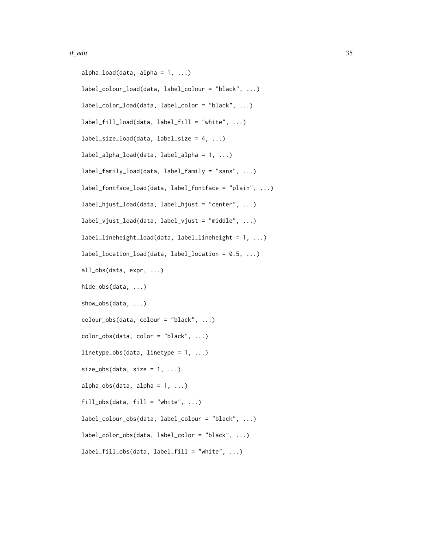#### if\_edit 35

```
alpha_load(data, alpha = 1, ...)
label_colour_load(data, label_colour = "black", ...)
label_color_load(data, label_color = "black", ...)
label_fill\_load(data, label_fill = "white", ...)label\_size\_load(data, label\_size = 4, ...)label_alpha_load(data, label_alpha = 1, ...)
label_family_load(data, label_family = "sans", ...)
label_fontface_load(data, label_fontface = "plain", ...)
label_hjust_load(data, label_hjust = "center", ...)
label_vjust\_load(data, label_vjust_1)label_lineheight_load(data, label_lineheight = 1, ...)
label_location_load(data, label_location = 0.5, ...)
all_obs(data, expr, ...)
hide_obs(data, ...)
show_obs(data, ...)
colour_obs(data, colour = "black", ...)
color_obs(data, color = "black", ...)
linetype\_obs(data, linetype = 1, ...)size\_obs(data, size = 1, ...)alpha_obs(data, alpha = 1, ...)fill\_obs(data, fill = "white", ...)label_colour_obs(data, label_colour = "black", ...)
label_color_obs(data, label_color = "black", ...)
label_fill\_obs(data, label_fill = "white", ...)
```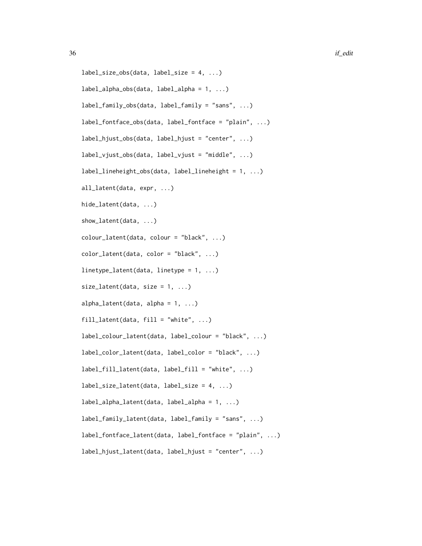```
label\_size\_obs(data, label\_size = 4, ...)label_1alpha_obs(data, label_2alpha = 1, ...)
label_family_obs(data, label_family = "sans", ...)
label_fontface_obs(data, label_fontface = "plain", ...)
label_hjust_obs(data, label_hjust = "center", ...)
label_vjust\_obs(data, label_vjust_0)label_lineheight_obs(data, label_lineheight = 1, ...)
all_latent(data, expr, ...)
hide_latent(data, ...)
show_latent(data, ...)
\text{colour}\_\text{latent}\text{(data, colour = "black", ...)}color_latent(data, color = "black", ...)
linetype_latent(data, linetype = 1, ...)
size\_latent(data, size = 1, ...)alpha<sub>1</sub>atent(data, alpha = 1, ...)
fill\_latent(data, fill = "white", ...)label_colour_latent(data, label_colour = "black", ...)
label_color_latent(data, label_color = "black", ...)
label_fill_latent(data, label_fill = "white", ...)
label_size_latent(data, label_size = 4, ...)
label_alpha_latent(data, label_alpha = 1, ...)
label_family_latent(data, label_family = "sans", ...)
label_fontface_latent(data, label_fontface = "plain", ...)
label_hjust_latent(data, label_hjust = "center", ...)
```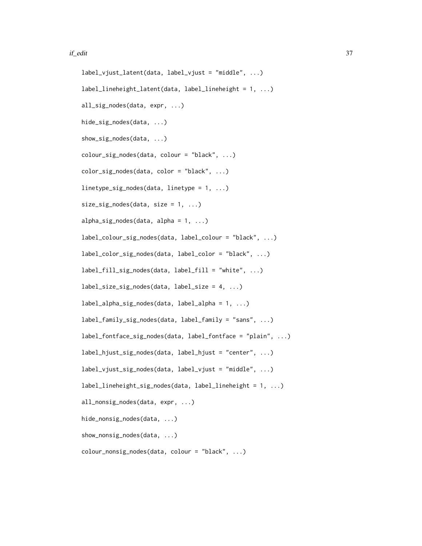#### if\_edit 37

```
label_vjust_latent(data, label_vjust = "middle", ...)
label_lineheight_latent(data, label_lineheight = 1, ...)
all_sig_nodes(data, expr, ...)
hide_sig_nodes(data, ...)
show_sig_nodes(data, ...)
colour_sig_nodes(data, colour = "black", ...)
color_sig_nodes(data, color = "black", ...)
linetype_sig_nodes(data, linetype = 1, ...)
size\_sig\_nodes(data, size = 1, ...)alpha_sig\_nodes(data, alpha = 1, ...)label_colour_sig_nodes(data, label_colour = "black", ...)
label_color_sig_nodes(data, label_color = "black", ...)
label_fill_sig_nodes(data, label_fill = "white", ...)
label\_size\_sig\_nodes(data, label\_size = 4, ...)label_alpha_sig_nodes(data, label_alpha = 1, ...)
label_family_sig_nodes(data, label_family = "sans", ...)
label_fontface_sig_nodes(data, label_fontface = "plain", ...)
label_hjust_sig_nodes(data, label_hjust = "center", ...)
label_vjust_sig_nodes(data, label_vjust = "middle", ...)
label_lineheight_sig_nodes(data, label_lineheight = 1, ...)
all_nonsig_nodes(data, expr, ...)
hide_nonsig_nodes(data, ...)
show_nonsig_nodes(data, ...)
colour_nonsig_nodes(data, colour = "black", ...)
```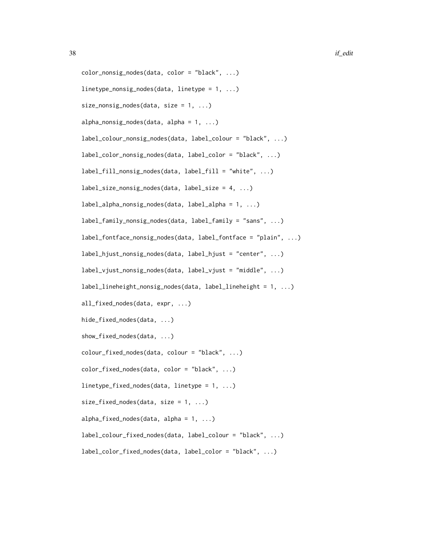```
color_nonsig_nodes(data, color = "black", ...)
linetype_nonsig_nodes(data, linetype = 1, ...)
size\_nonsig\_nodes(data, size = 1, ...)alpha\_nonsig\_nodes(data, alpha = 1, ...)label_colour_nonsig_nodes(data, label_colour = "black", ...)
label_color_nonsig_nodes(data, label_color = "black", ...)
label_fill_nonsig_nodes(data, label_fill = "white", ...)
label_size_nonsig_nodes(data, label_size = 4, ...)
label_alpha_nonsig_nodes(data, label_alpha = 1, ...)
label_family_nonsig_nodes(data, label_family = "sans", ...)
label_fontface_nonsig_nodes(data, label_fontface = "plain", ...)
label_hjust_nonsig_nodes(data, label_hjust = "center", ...)
label_vjust_nonsig_nodes(data, label_vjust = "middle", ...)
label_lineheight_nonsig_nodes(data, label_lineheight = 1, ...)
all_fixed_nodes(data, expr, ...)
hide_fixed_nodes(data, ...)
show_fixed_nodes(data, ...)
colour_fixed_nodes(data, colour = "black", ...)
color_fixed_nodes(data, color = "black", ...)
linetype_fixed_nodes(data, linetype = 1, ...)
size_fixed-node(s(data, size = 1, ...)alpha_fixed_nodes(data, alpha = 1, ...)
label_colour_fixed_nodes(data, label_colour = "black", ...)
label_color_fixed_nodes(data, label_color = "black", ...)
```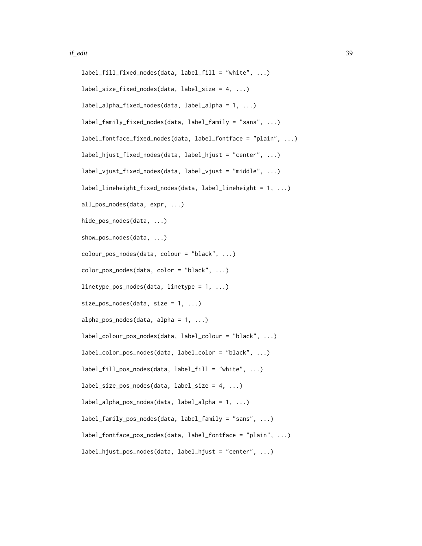```
label_fill_fixed_nodes(data, label_fill = "white", ...)
label\_size\_fixed\_nodes(data, label\_size = 4, ...)label_alpha_fixed_nodes(data, label_alpha = 1, ...)
label_family_fixed_nodes(data, label_family = "sans", ...)
label_fontface_fixed_nodes(data, label_fontface = "plain", ...)
label_hjust_fixed_nodes(data, label_hjust = "center", ...)
label_vjust_fixed_nodes(data, label_vjust = "middle", ...)
label_lineheight_fixed_nodes(data, label_lineheight = 1, ...)
all_pos_nodes(data, expr, ...)
hide_pos_nodes(data, ...)
show_pos_nodes(data, ...)
colour_pos_nodes(data, colour = "black", ...)
color_pos_nodes(data, color = "black", ...)
linetype_pos_nodes(data, linetype = 1, ...)
size_pos_nodes(data, size = 1, ...)alpha_pos_nodes(data, alpha = 1, ...)label_colour_pos_nodes(data, label_colour = "black", ...)
label_color_pos_nodes(data, label_color = "black", ...)
label_fill_pos-nodes(data, label_fill = "white", ...)label\_size\_pos\_nodes(data, label\_size = 4, ...)label_alpha_pos_nodes(data, label_alpha = 1, ...)
label_family_pos_nodes(data, label_family = "sans", ...)
label_fontface_pos_nodes(data, label_fontface = "plain", ...)
label_hjust_pos_nodes(data, label_hjust = "center", ...)
```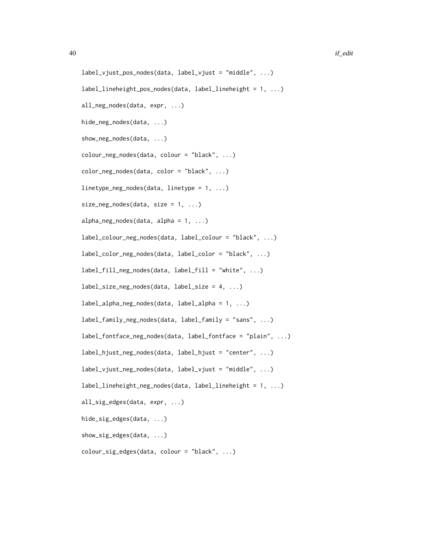```
label_vjust_pos_nodes(data, label_vjust = "middle", ...)
label_lineheight_pos_nodes(data, label_lineheight = 1, ...)
all_neg_nodes(data, expr, ...)
hide_neg_nodes(data, ...)
show_neg_nodes(data, ...)
colour_neg_nodes(data, colour = "black", ...)
color_neg_nodes(data, color = "black", ...)
linetype_neg_nodes(data, linetype = 1, ...)
size\_neg\_nodes(data, size = 1, ...)alpha_neg_nodes(data, alpha = 1, ...)label_colour_neg_nodes(data, label_colour = "black", ...)
label_color_neg_nodes(data, label_color = "black", ...)
label_fill_neg_nodes(data, label_fill = "white", ...)
label\_size\_neg\_nodes(data, label\_size = 4, ...)label_alpha_neg_nodes(data, label_alpha = 1, ...)
label_family_neg_nodes(data, label_family = "sans", ...)
label_fontface_neg_nodes(data, label_fontface = "plain", ...)
label_hjust_neg_nodes(data, label_hjust = "center", ...)
label_vjust_neg_nodes(data, label_vjust = "middle", ...)
label_lineheight_neg_nodes(data, label_lineheight = 1, ...)
all_sig_edges(data, expr, ...)
hide_sig_edges(data, ...)
show_sig_edges(data, ...)
colour_sig_edges(data, colour = "black", ...)
```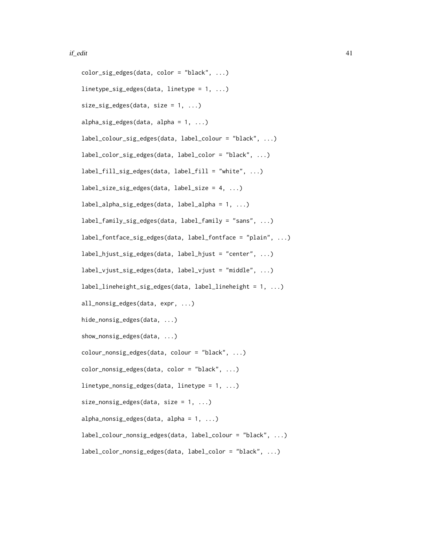```
color_sig_edges(data, color = "black", ...)
linetype_sig_edges(data, linetype = 1, ...)
size\_sig\_edges(data, size = 1, ...)alpha_sig_{e}deges(data, alpha = 1, ...)label_colour_sig_edges(data, label_colour = "black", ...)
label_color_sig_edges(data, label_color = "black", ...)
label_fill_sig_edges(data, label_fill = "white", ...)
label_size_sig_edges(data, label_size = 4, ...)
label_alpha_sig_edges(data, label_alpha = 1, ...)
label_family_sig_edges(data, label_family = "sans", ...)
label_fontface_sig_edges(data, label_fontface = "plain", ...)
label_hjust_sig_edges(data, label_hjust = "center", ...)
label_vjust_sig_edges(data, label_vjust = "middle", ...)
label_lineheight_sig_edges(data, label_lineheight = 1, ...)
all_nonsig_edges(data, expr, ...)
hide_nonsig_edges(data, ...)
show_nonsig_edges(data, ...)
colour_nonsig_edges(data, colour = "black", ...)
color_nonsig_edges(data, color = "black", ...)
linetype_nonsig_edges(data, linetype = 1, ...)
size\_nonsig\_edges(data, size = 1, ...)alpha_nonsig_edges(data, alpha = 1, ...)
label_colour_nonsig_edges(data, label_colour = "black", ...)
label_color_nonsig_edges(data, label_color = "black", ...)
```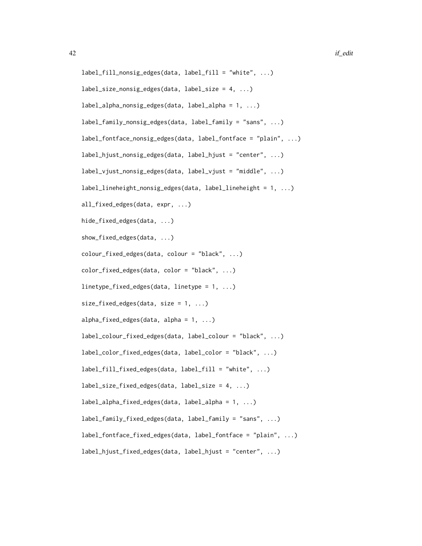```
label_fill_nonsig_edges(data, label_fill = "white", ...)
label\_size\_nonsig\_edges(data, label\_size = 4, ...)label_alpha_nonsig_edges(data, label_alpha = 1, ...)
label_family_nonsig_edges(data, label_family = "sans", ...)
label_fontface_nonsig_edges(data, label_fontface = "plain", ...)
label_hjust_nonsig_edges(data, label_hjust = "center", ...)
label_vjust_nonsig_edges(data, label_vjust = "middle", ...)
label_lineheight_nonsig_edges(data, label_lineheight = 1, ...)
all_fixed_edges(data, expr, ...)
hide_fixed_edges(data, ...)
show_fixed_edges(data, ...)
colour_fixed_edges(data, colour = "black", ...)
color_fixed_edges(data, color = "black", ...)
linetype_fixed_edges(data, linetype = 1, ...)
size\_fixed\_edges(data, size = 1, ...)alpha_fixed_edges(data, alpha = 1, ...)
label_colour_fixed_edges(data, label_colour = "black", ...)
label_color_fixed_edges(data, label_color = "black", ...)
label_fill_fixed_edges(data, label_fill = "white", ...)
label_size_fixed_edges(data, label_size = 4, ...)
label_alpha_fixed_edges(data, label_alpha = 1, ...)
label_family_fixed_edges(data, label_family = "sans", ...)
label_fontface_fixed_edges(data, label_fontface = "plain", ...)
label_hjust_fixed_edges(data, label_hjust = "center", ...)
```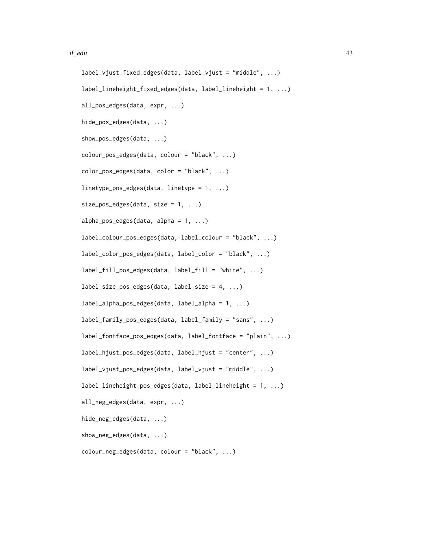#### if\_edit 43

```
label_vjust_fixed_edges(data, label_vjust = "middle", ...)
label_lineheight_fixed_edges(data, label_lineheight = 1, ...)
all_pos_edges(data, expr, ...)
hide_pos_edges(data, ...)
show_pos_edges(data, ...)
colour_pos_edges(data, colour = "black", ...)
color_pos_edges(data, color = "black", ...)
linetype_pos_edges(data, linetype = 1, ...)
size_pos_eqges(data, size = 1, ...)alpha_pos_eqges(data, alpha = 1, ...)label_colour_pos_edges(data, label_colour = "black", ...)
label_color_pos_edges(data, label_color = "black", ...)
label_fill_pos_edges(data, label_fill = "white", ...)
label_size_pos_edges(data, label_size = 4, ...)
label_alpha_pos_edges(data, label_alpha = 1, ...)
label_family_pos_edges(data, label_family = "sans", ...)
label_fontface_pos_edges(data, label_fontface = "plain", ...)
label_hjust_pos_edges(data, label_hjust = "center", ...)
label_vjust_pos_edges(data, label_vjust = "middle", ...)
label_lineheight_pos_edges(data, label_lineheight = 1, ...)
all_neg_edges(data, expr, ...)
hide_neg_edges(data, ...)
show_neg_edges(data, ...)
colour_neg_edges(data, colour = "black", ...)
```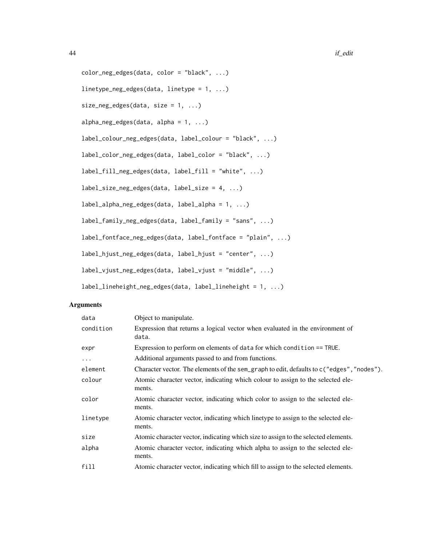```
color_neg_edges(data, color = "black", ...)
linetype_neg_edges(data, linetype = 1, ...)
size_neg_edges(data, size = 1, ...)
alpha\_neg\_edges(data, alpha = 1, ...)label_colour_neg_edges(data, label_colour = "black", ...)
label_color_neg_edges(data, label_color = "black", ...)
label_fill_neg_edges(data, label_fill = "white", ...)
label_size_neg_edges(data, label_size = 4, ...)
label_alpha_neg_edges(data, label_alpha = 1, ...)
label_family_neg_edges(data, label_family = "sans", ...)
label_fontface_neg_edges(data, label_fontface = "plain", ...)
label_hjust_neg_edges(data, label_hjust = "center", ...)
label_vjust_neg_edges(data, label_vjust = "middle", ...)
label_lineheight_neg_edges(data, label_lineheight = 1, ...)
```

| data      | Object to manipulate.                                                                       |
|-----------|---------------------------------------------------------------------------------------------|
| condition | Expression that returns a logical vector when evaluated in the environment of<br>data.      |
| expr      | Expression to perform on elements of data for which condition == TRUE.                      |
| $\ddotsc$ | Additional arguments passed to and from functions.                                          |
| element   | Character vector. The elements of the sem_graph to edit, defaults to c("edges", "nodes").   |
| colour    | Atomic character vector, indicating which colour to assign to the selected ele-<br>ments.   |
| color     | Atomic character vector, indicating which color to assign to the selected ele-<br>ments.    |
| linetype  | Atomic character vector, indicating which linetype to assign to the selected ele-<br>ments. |
| size      | Atomic character vector, indicating which size to assign to the selected elements.          |
| alpha     | Atomic character vector, indicating which alpha to assign to the selected ele-<br>ments.    |
| fill      | Atomic character vector, indicating which fill to assign to the selected elements.          |
|           |                                                                                             |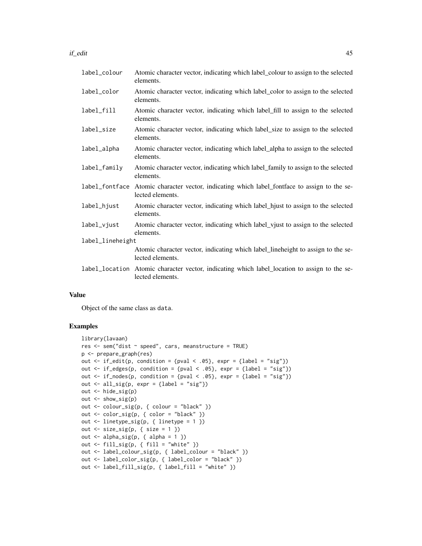#### if\_edit 45

| label_colour     | Atomic character vector, indicating which label_colour to assign to the selected<br>elements.                    |
|------------------|------------------------------------------------------------------------------------------------------------------|
| label_color      | Atomic character vector, indicating which label_color to assign to the selected<br>elements.                     |
| label_fill       | Atomic character vector, indicating which label_fill to assign to the selected<br>elements.                      |
| label_size       | Atomic character vector, indicating which label_size to assign to the selected<br>elements.                      |
| label_alpha      | Atomic character vector, indicating which label_alpha to assign to the selected<br>elements.                     |
| label_family     | Atomic character vector, indicating which label_family to assign to the selected<br>elements.                    |
| label_fontface   | Atomic character vector, indicating which label_fontface to assign to the se-<br>lected elements.                |
| label_hjust      | Atomic character vector, indicating which label_hjust to assign to the selected<br>elements.                     |
| label_vjust      | Atomic character vector, indicating which label_vjust to assign to the selected<br>elements.                     |
| label_lineheight |                                                                                                                  |
|                  | Atomic character vector, indicating which label_lineheight to assign to the se-<br>lected elements.              |
|                  | label_location Atomic character vector, indicating which label_location to assign to the se-<br>lected elements. |

#### Value

Object of the same class as data.

```
library(lavaan)
res <- sem("dist ~ speed", cars, meanstructure = TRUE)
p <- prepare_graph(res)
out \le if_edit(p, condition = {pval \le .05}, expr = {label = "sig"})
out \le if_edges(p, condition = {pval \le .05}, expr = {label = "sig"})
out \le if_nodes(p, condition = {pval \le .05}, expr = {label = "sig"})
out \le all_sig(p, expr = {label = "sig"})
out <- hide_sig(p)
out <- show_sig(p)
out <- colour_sig(p, { colour = "black" })
out <- color_sig(p, { color = "black" })
out \le linetype_sig(p, { linetype = 1 })
out \le size_sig(p, { size = 1 })
out \le alpha_sig(p, { alpha = 1 })
out <- fill_sig(p, { fill = "white" })
out <- label_colour_sig(p, { label_colour = "black" })
out <- label_color_sig(p, { label_color = "black" })
out <- label_fill_sig(p, { label_fill = "white" })
```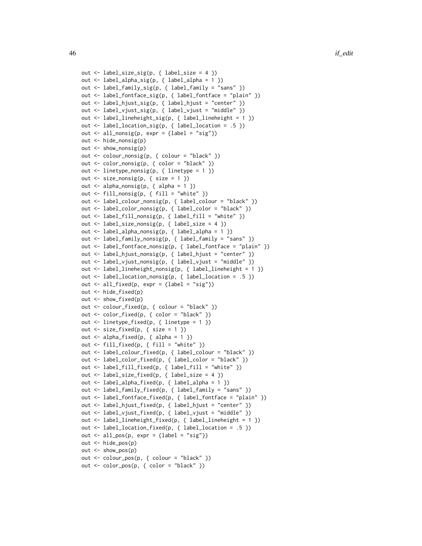```
out <- label_size_sig(p, { label_size = 4 })
out <- label_alpha_sig(p, { label_alpha = 1 })
out <- label_family_sig(p, { label_family = "sans" })
out <- label_fontface_sig(p, { label_fontface = "plain" })
out <- label_hjust_sig(p, { label_hjust = "center" })
out <- label_vjust_sig(p, { label_vjust = "middle" })
out <- label_lineheight_sig(p, { label_lineheight = 1 })
out \le label_location_sig(p, { label_location = .5 })
out \le all_nonsig(p, expr = {label = "sig"})
out <- hide_nonsig(p)
out <- show_nonsig(p)
out <- colour_nonsig(p, { colour = "black" })
out <- color_nonsig(p, { color = "black" })
out \le linetype_nonsig(p, { linetype = 1 })
out \le size_nonsig(p, { size = 1 })
out \leq alpha_nonsig(p, { alpha = 1 })
out <- fill_nonsig(p, { fill = "white" })
out <- label_colour_nonsig(p, { label_colour = "black" })
out <- label_color_nonsig(p, { label_color = "black" })
out <- label_fill_nonsig(p, { label_fill = "white" })
out <- label_size_nonsig(p, { label_size = 4 })
out <- label_alpha_nonsig(p, { label_alpha = 1 })
out <- label_family_nonsig(p, { label_family = "sans" })
out <- label_fontface_nonsig(p, { label_fontface = "plain" })
out <- label_hjust_nonsig(p, { label_hjust = "center" })
out <- label_vjust_nonsig(p, { label_vjust = "middle" })
out <- label_lineheight_nonsig(p, { label_lineheight = 1 })
out <- label_location_nonsig(p, { label_location = .5 })
out \le all_fixed(p, expr = {label = "sig"})
out <- hide_fixed(p)
out <- show_fixed(p)
out <- colour_fixed(p, { colour = "black" })
out <- color_fixed(p, { color = "black" })
out <- linetype_fixed(p, { linetype = 1 })
out \le size_fixed(p, { size = 1 })
out \leq alpha_fixed(p, { alpha = 1 })
out <- fill_fixed(p, { fill = "white" })
out <- label_colour_fixed(p, { label_colour = "black" })
out <- label_color_fixed(p, { label_color = "black" })
out <- label_fill_fixed(p, { label_fill = "white" })
out <- label_size_fixed(p, { label_size = 4 })
out <- label_alpha_fixed(p, { label_alpha = 1 })
out <- label_family_fixed(p, { label_family = "sans" })
out <- label_fontface_fixed(p, { label_fontface = "plain" })
out <- label_hjust_fixed(p, { label_hjust = "center" })
out <- label_vjust_fixed(p, { label_vjust = "middle" })
out <- label_lineheight_fixed(p, { label_lineheight = 1 })
out <- label_location_fixed(p, { label_location = .5 })
out \le all_pos(p, expr = {label = "sig"})
out <- hide_pos(p)
out <- show_pos(p)
out <- colour_pos(p, { colour = "black" })
out <- color_pos(p, { color = "black" })
```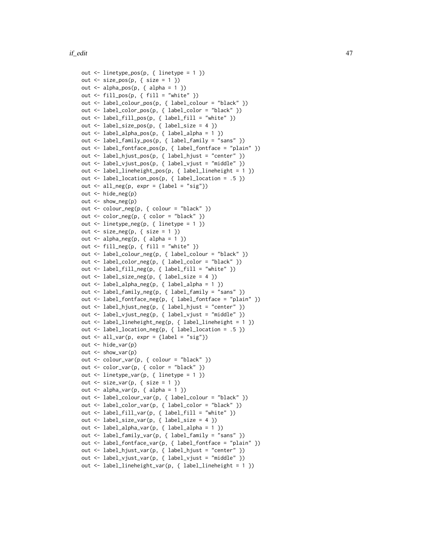```
out <- linetype_pos(p, { linetype = 1 })
out \le size_pos(p, { size = 1 })
out \leq alpha_pos(p, { alpha = 1 })
out \le fill_pos(p, { fill = "white" })
out <- label_colour_pos(p, { label_colour = "black" })
out <- label_color_pos(p, { label_color = "black" })
out <- label_fill_pos(p, { label_fill = "white" })
out <- label_size_pos(p, { label_size = 4 })
out <- label_alpha_pos(p, { label_alpha = 1 })
out <- label_family_pos(p, { label_family = "sans" })
out <- label_fontface_pos(p, { label_fontface = "plain" })
out <- label_hjust_pos(p, { label_hjust = "center" })
out <- label_vjust_pos(p, { label_vjust = "middle" })
out <- label_lineheight_pos(p, { label_lineheight = 1 })
out <- label_location_pos(p, { label_location = .5 })
out \le all_neg(p, expr = {label = "sig"})
out <- hide_neg(p)
out <- show_neg(p)
out <- colour_neg(p, { colour = "black" })
out <- color_neg(p, { color = "black" })
out <- linetype_neg(p, { linetype = 1 })
out \le size_neg(p, { size = 1 })
out \leq alpha_neg(p, { alpha = 1 })
out <- fill_neg(p, { fill = "white" })
out <- label_colour_neg(p, { label_colour = "black" })
out <- label_color_neg(p, { label_color = "black" })
out <- label_fill_neg(p, { label_fill = "white" })
out <- label_size_neg(p, { label_size = 4 })
out <- label_alpha_neg(p, { label_alpha = 1 })
out <- label_family_neg(p, { label_family = "sans" })
out <- label_fontface_neg(p, { label_fontface = "plain" })
out <- label_hjust_neg(p, { label_hjust = "center" })
out <- label_vjust_neg(p, { label_vjust = "middle" })
out <- label_lineheight_neg(p, { label_lineheight = 1 })
out <- label_location_neg(p, { label_location = .5 })
out \le all_var(p, expr = {label = "sig"})
out <- hide_var(p)
out <- show_var(p)
out <- colour_var(p, { colour = "black" })
out <- color_var(p, { color = "black" })
out <- linetype_var(p, { linetype = 1 })
out \le size_var(p, { size = 1 })
out \leq alpha_var(p, { alpha = 1 })
out <- label_colour_var(p, { label_colour = "black" })
out <- label_color_var(p, { label_color = "black" })
out <- label_fill_var(p, { label_fill = "white" })
out <- label_size_var(p, { label_size = 4 })
out <- label_alpha_var(p, { label_alpha = 1 })
out <- label_family_var(p, { label_family = "sans" })
out <- label_fontface_var(p, { label_fontface = "plain" })
out <- label_hjust_var(p, { label_hjust = "center" })
out <- label_vjust_var(p, { label_vjust = "middle" })
out <- label_lineheight_var(p, { label_lineheight = 1 })
```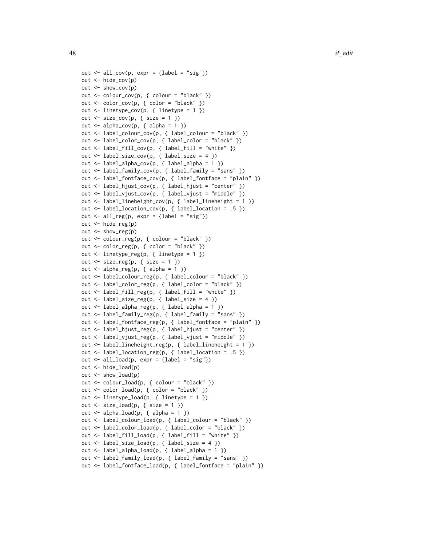```
out \le all_cov(p, expr = {label = "sig"})
out <- hide_cov(p)
out <- show_cov(p)
out <- colour_cov(p, { colour = "black" })
out <- color_cov(p, { color = "black" })
out <- linetype_cov(p, { linetype = 1 })
out \le size_cov(p, { size = 1 })
out \leq alpha_cov(p, { alpha = 1 })
out <- label_colour_cov(p, { label_colour = "black" })
out <- label_color_cov(p, { label_color = "black" })
out <- label_fill_cov(p, { label_fill = "white" })
out <- label_size_cov(p, { label_size = 4 })
out <- label_alpha_cov(p, { label_alpha = 1 })
out <- label_family_cov(p, { label_family = "sans" })
out <- label_fontface_cov(p, { label_fontface = "plain" })
out <- label_hjust_cov(p, { label_hjust = "center" })
out <- label_vjust_cov(p, { label_vjust = "middle" })
out <- label_lineheight_cov(p, { label_lineheight = 1 })
out <- label_location_cov(p, { label_location = .5 })
out \le all_reg(p, expr = {label = "sig"})
out <- hide_reg(p)
out <- show_reg(p)
out <- colour_reg(p, { colour = "black" })
out <- color_reg(p, { color = "black" })
out <- linetype_reg(p, { linetype = 1 })
out <- size_reg(p, { size = 1 })
out \leq alpha_reg(p, { alpha = 1 })
out <- label_colour_reg(p, { label_colour = "black" })
out <- label_color_reg(p, { label_color = "black" })
out <- label_fill_reg(p, { label_fill = "white" })
out <- label_size_reg(p, { label_size = 4 })
out <- label_alpha_reg(p, { label_alpha = 1 })
out <- label_family_reg(p, { label_family = "sans" })
out <- label_fontface_reg(p, { label_fontface = "plain" })
out <- label_hjust_reg(p, { label_hjust = "center" })
out <- label_vjust_reg(p, { label_vjust = "middle" })
out <- label_lineheight_reg(p, { label_lineheight = 1 })
out <- label_location_reg(p, { label_location = .5 })
out \le all_load(p, expr = {label = "sig"})
out <- hide_load(p)
out < - show_load(p)
out <- colour_load(p, { colour = "black" })
out <- color_load(p, { color = "black" })
out <- linetype_load(p, { linetype = 1 })
out \le size_load(p, { size = 1 })
out \le alpha_load(p, { alpha = 1 })
out <- label_colour_load(p, { label_colour = "black" })
out <- label_color_load(p, { label_color = "black" })
out <- label_fill_load(p, { label_fill = "white" })
out <- label_size_load(p, { label_size = 4 })
out <- label_alpha_load(p, { label_alpha = 1 })
out <- label_family_load(p, { label_family = "sans" })
out <- label_fontface_load(p, { label_fontface = "plain" })
```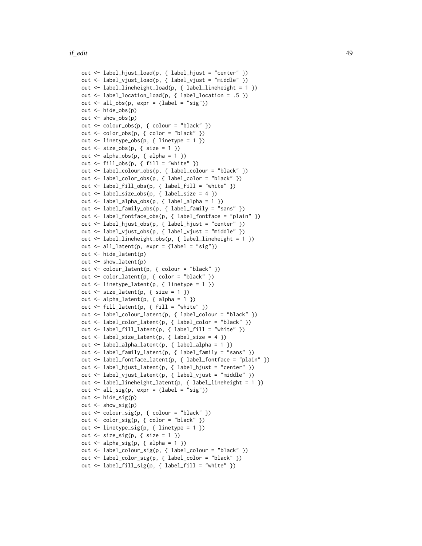```
out <- label_hjust_load(p, { label_hjust = "center" })
out <- label_vjust_load(p, { label_vjust = "middle" })
out <- label_lineheight_load(p, { label_lineheight = 1 })
out <- label_location_load(p, { label_location = .5 })
out \le all_obs(p, expr = {label = "sig"})
out <- hide_obs(p)
out <- show_obs(p)
out <- colour_obs(p, { colour = "black" })
out <- color_obs(p, { color = "black" })
out <- linetype_obs(p, { linetype = 1 })
out \le size_obs(p, { size = 1 })
out \leq alpha_obs(p, { alpha = 1 })
out <- fill_obs(p, { fill = "white" })
out <- label_colour_obs(p, { label_colour = "black" })
out <- label_color_obs(p, { label_color = "black" })
out <- label_fill_obs(p, { label_fill = "white" })
out <- label_size_obs(p, { label_size = 4 })
out <- label_alpha_obs(p, { label_alpha = 1 })
out <- label_family_obs(p, { label_family = "sans" })
out <- label_fontface_obs(p, { label_fontface = "plain" })
out <- label_hjust_obs(p, { label_hjust = "center" })
out <- label_vjust_obs(p, { label_vjust = "middle" })
out <- label_lineheight_obs(p, { label_lineheight = 1 })
out \le all_latent(p, expr = {label = "sig"})
out <- hide_latent(p)
out <- show_latent(p)
out <- colour_latent(p, { colour = "black" })
out <- color_latent(p, { color = "black" })
out <- linetype_latent(p, { linetype = 1 })
out \le size_latent(p, { size = 1 })
out \le alpha_latent(p, { alpha = 1 })
out <- fill_latent(p, { fill = "white" })
out <- label_colour_latent(p, { label_colour = "black" })
out <- label_color_latent(p, { label_color = "black" })
out <- label_fill_latent(p, { label_fill = "white" })
out <- label_size_latent(p, { label_size = 4 })
out <- label_alpha_latent(p, { label_alpha = 1 })
out <- label_family_latent(p, { label_family = "sans" })
out <- label_fontface_latent(p, { label_fontface = "plain" })
out <- label_hjust_latent(p, { label_hjust = "center" })
out <- label_vjust_latent(p, { label_vjust = "middle" })
out <- label_lineheight_latent(p, { label_lineheight = 1 })
out \le all_sig(p, expr = {label = "sig"})
out <- hide_sig(p)
out <- show_sig(p)
out <- colour_sig(p, { colour = "black" })
out <- color_sig(p, { color = "black" })
out <- linetype_sig(p, { linetype = 1 })
out <- size_sig(p, { size = 1 })
out \leq alpha_sig(p, { alpha = 1 })
out <- label_colour_sig(p, { label_colour = "black" })
out <- label_color_sig(p, { label_color = "black" })
out <- label_fill_sig(p, { label_fill = "white" })
```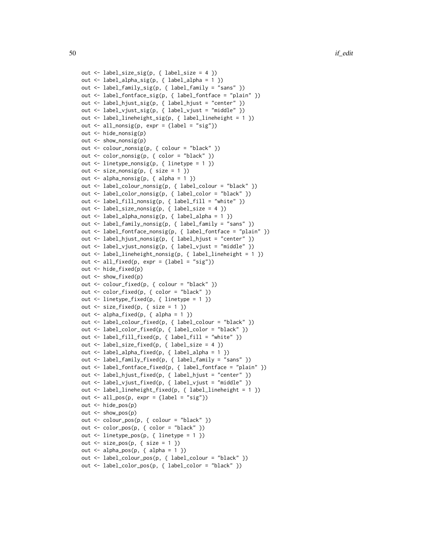```
out <- label_size_sig(p, { label_size = 4 })
out <- label_alpha_sig(p, { label_alpha = 1 })
out <- label_family_sig(p, { label_family = "sans" })
out <- label_fontface_sig(p, { label_fontface = "plain" })
out <- label_hjust_sig(p, { label_hjust = "center" })
out <- label_vjust_sig(p, { label_vjust = "middle" })
out <- label_lineheight_sig(p, { label_lineheight = 1 })
out \le all_nonsig(p, expr = {label = "sig"})
out <- hide_nonsig(p)
out <- show_nonsig(p)
out <- colour_nonsig(p, { colour = "black" })
out <- color_nonsig(p, { color = "black" })
out <- linetype_nonsig(p, { linetype = 1 })
out \le size_nonsig(p, { size = 1 })
out <- alpha_nonsig(p, { alpha = 1 })
out <- label_colour_nonsig(p, { label_colour = "black" })
out <- label_color_nonsig(p, { label_color = "black" })
out <- label_fill_nonsig(p, { label_fill = "white" })
out <- label_size_nonsig(p, { label_size = 4 })
out <- label_alpha_nonsig(p, { label_alpha = 1 })
out <- label_family_nonsig(p, { label_family = "sans" })
out <- label_fontface_nonsig(p, { label_fontface = "plain" })
out <- label_hjust_nonsig(p, { label_hjust = "center" })
out <- label_vjust_nonsig(p, { label_vjust = "middle" })
out <- label_lineheight_nonsig(p, { label_lineheight = 1 })
out \le all_fixed(p, expr = {label = "sig"})
out <- hide_fixed(p)
out <- show_fixed(p)
out <- colour_fixed(p, { colour = "black" })
out <- color_fixed(p, { color = "black" })
out <- linetype_fixed(p, { linetype = 1 })
out \le size_fixed(p, { size = 1 })
out \le alpha_fixed(p, { alpha = 1 })
out <- label_colour_fixed(p, { label_colour = "black" })
out <- label_color_fixed(p, { label_color = "black" })
out <- label_fill_fixed(p, { label_fill = "white" })
out <- label_size_fixed(p, { label_size = 4 })
out <- label_alpha_fixed(p, { label_alpha = 1 })
out <- label_family_fixed(p, { label_family = "sans" })
out <- label_fontface_fixed(p, { label_fontface = "plain" })
out <- label_hjust_fixed(p, { label_hjust = "center" })
out <- label_vjust_fixed(p, { label_vjust = "middle" })
out <- label_lineheight_fixed(p, { label_lineheight = 1 })
out \le all_pos(p, expr = {label = "sig"})
out <- hide_pos(p)
out <- show_pos(p)
out <- colour_pos(p, { colour = "black" })
out <- color_pos(p, { color = "black" })
out <- linetype_pos(p, { linetype = 1 })
out \le size_pos(p, { size = 1 })
out \leq alpha_pos(p, { alpha = 1 })
out <- label_colour_pos(p, { label_colour = "black" })
out <- label_color_pos(p, { label_color = "black" })
```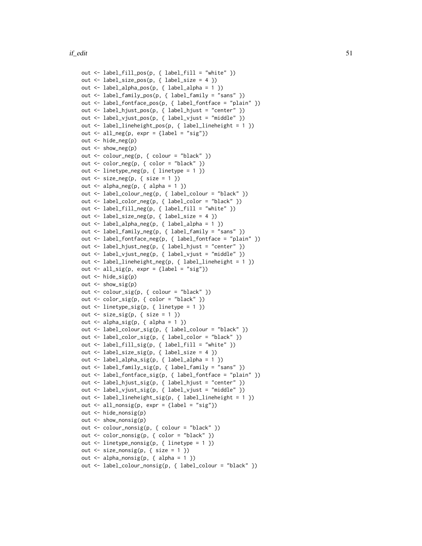```
out <- label_fill_pos(p, { label_fill = "white" })
out <- label_size_pos(p, { label_size = 4 })
out <- label_alpha_pos(p, { label_alpha = 1 })
out <- label_family_pos(p, { label_family = "sans" })
out <- label_fontface_pos(p, { label_fontface = "plain" })
out <- label_hjust_pos(p, { label_hjust = "center" })
out <- label_vjust_pos(p, { label_vjust = "middle" })
out <- label_lineheight_pos(p, { label_lineheight = 1 })
out \le all_neg(p, expr = {label = "sig"})
out <- hide_neg(p)
out <- show_neg(p)
out <- colour_neg(p, { colour = "black" })
out <- color_neg(p, { color = "black" })
out \le linetype_neg(p, { linetype = 1 })
out \le size_neg(p, { size = 1 })
out \leq alpha_neg(p, { alpha = 1 })
out <- label_colour_neg(p, { label_colour = "black" })
out <- label_color_neg(p, { label_color = "black" })
out <- label_fill_neg(p, { label_fill = "white" })
out <- label_size_neg(p, { label_size = 4 })
out <- label_alpha_neg(p, { label_alpha = 1 })
out <- label_family_neg(p, { label_family = "sans" })
out <- label_fontface_neg(p, { label_fontface = "plain" })
out <- label_hjust_neg(p, { label_hjust = "center" })
out <- label_vjust_neg(p, { label_vjust = "middle" })
out <- label_lineheight_neg(p, { label_lineheight = 1 })
out \le all_sig(p, expr = {label = "sig"})
out <- hide_sig(p)
out <- show_sig(p)
out <- colour_sig(p, { colour = "black" })
out <- color_sig(p, { color = "black" })
out <- linetype_sig(p, { linetype = 1 })
out \le size_sig(p, { size = 1 })
out \leq alpha_sig(p, { alpha = 1 })
out <- label_colour_sig(p, { label_colour = "black" })
out <- label_color_sig(p, { label_color = "black" })
out <- label_fill_sig(p, { label_fill = "white" })
out <- label_size_sig(p, { label_size = 4 })
out <- label_alpha_sig(p, { label_alpha = 1 })
out <- label_family_sig(p, { label_family = "sans" })
out <- label_fontface_sig(p, { label_fontface = "plain" })
out <- label_hjust_sig(p, { label_hjust = "center" })
out <- label_vjust_sig(p, { label_vjust = "middle" })
out <- label_lineheight_sig(p, { label_lineheight = 1 })
out \le all_nonsig(p, expr = {label = "sig"})
out <- hide_nonsig(p)
out <- show_nonsig(p)
out <- colour_nonsig(p, { colour = "black" })
out <- color_nonsig(p, { color = "black" })
out <- linetype_nonsig(p, { linetype = 1 })
out \le size_nonsig(p, { size = 1 })
out \leq alpha_nonsig(p, { alpha = 1 })
out <- label_colour_nonsig(p, { label_colour = "black" })
```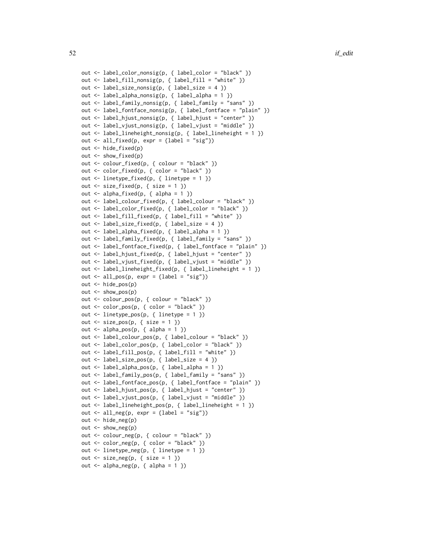```
out <- label_color_nonsig(p, { label_color = "black" })
out <- label_fill_nonsig(p, { label_fill = "white" })
out <- label_size_nonsig(p, { label_size = 4 })
out <- label_alpha_nonsig(p, { label_alpha = 1 })
out <- label_family_nonsig(p, { label_family = "sans" })
out <- label_fontface_nonsig(p, { label_fontface = "plain" })
out <- label_hjust_nonsig(p, { label_hjust = "center" })
out <- label_vjust_nonsig(p, { label_vjust = "middle" })
out <- label_lineheight_nonsig(p, { label_lineheight = 1 })
out \le all_fixed(p, expr = {label = "sig"})
out <- hide_fixed(p)
out <- show_fixed(p)
out <- colour_fixed(p, { colour = "black" })
out <- color_fixed(p, { color = "black" })
out <- linetype_fixed(p, { linetype = 1 })
out \le size_fixed(p, { size = 1 })
out \leq alpha_fixed(p, { alpha = 1 })
out <- label_colour_fixed(p, { label_colour = "black" })
out <- label_color_fixed(p, { label_color = "black" })
out <- label_fill_fixed(p, { label_fill = "white" })
out <- label_size_fixed(p, { label_size = 4 })
out \le label_alpha_fixed(p, { label_alpha = 1 })
out <- label_family_fixed(p, { label_family = "sans" })
out <- label_fontface_fixed(p, { label_fontface = "plain" })
out <- label_hjust_fixed(p, { label_hjust = "center" })
out <- label_vjust_fixed(p, { label_vjust = "middle" })
out <- label_lineheight_fixed(p, { label_lineheight = 1 })
out \le all_pos(p, expr = {label = "sig"})
out <- hide_pos(p)
out <- show_pos(p)
out <- colour_pos(p, { colour = "black" })
out <- color_pos(p, { color = "black" })
out <- linetype_pos(p, { linetype = 1 })
out \le size_pos(p, { size = 1 })
out \leq alpha_pos(p, { alpha = 1 })
out <- label_colour_pos(p, { label_colour = "black" })
out <- label_color_pos(p, { label_color = "black" })
out <- label_fill_pos(p, { label_fill = "white" })
out <- label_size_pos(p, { label_size = 4 })
out <- label_alpha_pos(p, { label_alpha = 1 })
out <- label_family_pos(p, { label_family = "sans" })
out <- label_fontface_pos(p, { label_fontface = "plain" })
out <- label_hjust_pos(p, { label_hjust = "center" })
out <- label_vjust_pos(p, { label_vjust = "middle" })
out <- label_lineheight_pos(p, { label_lineheight = 1 })
out \le all_neg(p, expr = {label = "sig"})
out <- hide_neg(p)
out \leq show_neg(p)
out <- colour_neg(p, { colour = "black" })
out <- color_neg(p, { color = "black" })
out <- linetype_neg(p, { linetype = 1 })
out \le size_neg(p, { size = 1 })
out \leq alpha_neg(p, { alpha = 1 })
```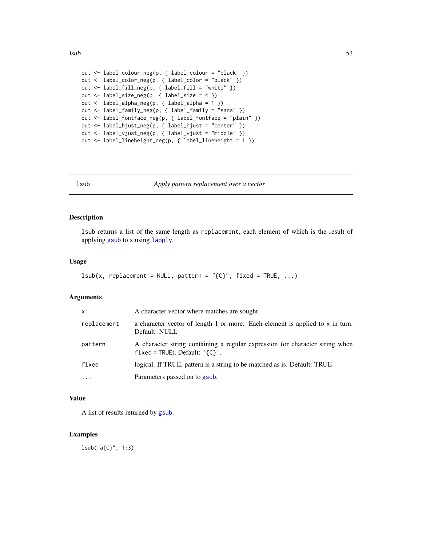```
out <- label_colour_neg(p, { label_colour = "black" })
out <- label_color_neg(p, { label_color = "black" })
out <- label_fill_neg(p, { label_fill = "white" })
out <- label_size_neg(p, { label_size = 4 })
out <- label_alpha_neg(p, { label_alpha = 1 })
out <- label_family_neg(p, { label_family = "sans" })
out <- label_fontface_neg(p, { label_fontface = "plain" })
out <- label_hjust_neg(p, { label_hjust = "center" })
out <- label_vjust_neg(p, { label_vjust = "middle" })
out <- label_lineheight_neg(p, { label_lineheight = 1 })
```
<span id="page-52-0"></span>

lsub *Apply pattern replacement over a vector*

#### Description

lsub returns a list of the same length as replacement, each element of which is the result of applying [gsub](#page-0-0) to x using [lapply](#page-0-0).

#### Usage

```
lsub(x, replacement = NULL, pattern = "{C}'', fixed = TRUE, ...)
```
### Arguments

| $\mathsf{x}$ | A character vector where matches are sought.                                                                          |
|--------------|-----------------------------------------------------------------------------------------------------------------------|
| replacement  | a character vector of length 1 or more. Each element is applied to x in turn.<br>Default: NULL                        |
| pattern      | A character string containing a regular expression (or character string when<br>$fixed = TRUE$ ). Default: $\{C\}'$ . |
| fixed        | logical. If TRUE, pattern is a string to be matched as is. Default: TRUE                                              |
| $\cdots$     | Parameters passed on to gsub.                                                                                         |

### Value

A list of results returned by [gsub](#page-0-0).

#### Examples

lsub("a{C}", 1:3)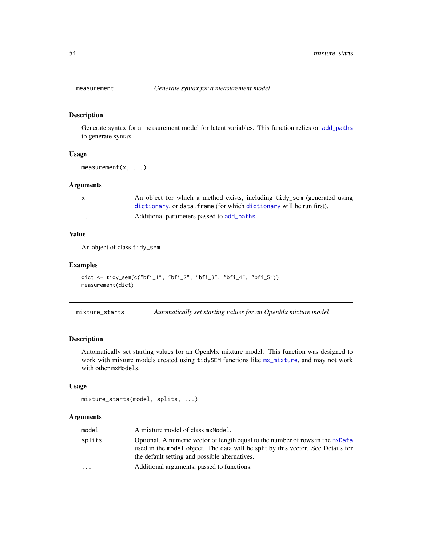### Description

Generate syntax for a measurement model for latent variables. This function relies on [add\\_paths](#page-2-0) to generate syntax.

#### Usage

measurement(x, ...)

#### Arguments

| X       | An object for which a method exists, including tidy_sem (generated using |
|---------|--------------------------------------------------------------------------|
|         | dictionary, or data. frame (for which dictionary will be run first).     |
| $\cdot$ | Additional parameters passed to add_paths.                               |

### Value

An object of class tidy\_sem.

# Examples

```
dict <- tidy_sem(c("bfi_1", "bfi_2", "bfi_3", "bfi_4", "bfi_5"))
measurement(dict)
```
<span id="page-53-0"></span>mixture\_starts *Automatically set starting values for an OpenMx mixture model*

### Description

Automatically set starting values for an OpenMx mixture model. This function was designed to work with mixture models created using tidySEM functions like [mx\\_mixture](#page-57-0), and may not work with other mxModels.

### Usage

```
mixture_starts(model, splits, ...)
```

| model     | A mixture model of class mxModel.                                                                                                                                                                                    |
|-----------|----------------------------------------------------------------------------------------------------------------------------------------------------------------------------------------------------------------------|
| splits    | Optional. A numeric vector of length equal to the number of rows in the mxData<br>used in the model object. The data will be split by this vector. See Details for<br>the default setting and possible alternatives. |
| $\ddotsc$ | Additional arguments, passed to functions.                                                                                                                                                                           |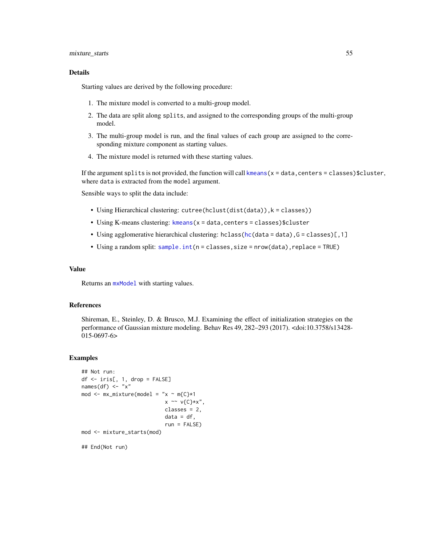#### mixture\_starts 55

#### Details

Starting values are derived by the following procedure:

- 1. The mixture model is converted to a multi-group model.
- 2. The data are split along splits, and assigned to the corresponding groups of the multi-group model.
- 3. The multi-group model is run, and the final values of each group are assigned to the corresponding mixture component as starting values.
- 4. The mixture model is returned with these starting values.

If the argument splits is not provided, the function will call kmeans $(x = data, centers = classes)$  \$cluster, where data is extracted from the model argument.

Sensible ways to split the data include:

- Using Hierarchical clustering: cutree(hclust(dist(data)),k = classes))
- Using K-means clustering: [kmeans\(](#page-0-0)x = data,centers = classes)\$cluster
- Using agglomerative hierarchical clustering: hclass[\(hc\(](#page-0-0)data = data), G = classes)[, 1]
- Using a random split: [sample.int\(](#page-0-0)n = classes,size = nrow(data),replace = TRUE)

### Value

Returns an [mxModel](#page-0-0) with starting values.

#### References

Shireman, E., Steinley, D. & Brusco, M.J. Examining the effect of initialization strategies on the performance of Gaussian mixture modeling. Behav Res 49, 282–293 (2017). <doi:10.3758/s13428- 015-0697-6>

```
## Not run:
df <- iris[, 1, drop = FALSE]
names(df) <- "x"
mod \leq mx_mixture(model = "x \sim m{C}*1
                            x \sim v(C)*x",classes = 2,
                            data = df,
                            run = FALSE)mod <- mixture_starts(mod)
## End(Not run)
```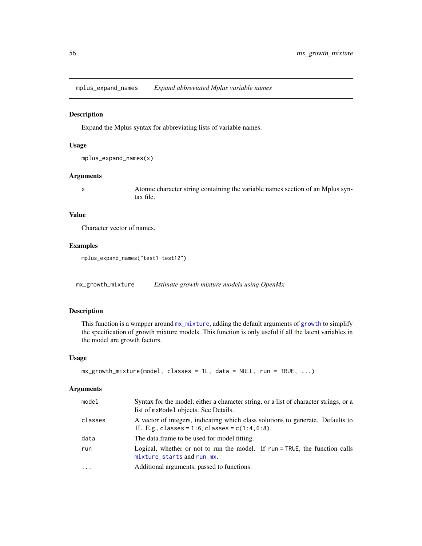mplus\_expand\_names *Expand abbreviated Mplus variable names*

### Description

Expand the Mplus syntax for abbreviating lists of variable names.

#### Usage

```
mplus_expand_names(x)
```
### Arguments

x Atomic character string containing the variable names section of an Mplus syntax file.

#### Value

Character vector of names.

### Examples

mplus\_expand\_names("test1-test12")

mx\_growth\_mixture *Estimate growth mixture models using OpenMx*

# Description

This function is a wrapper around  $mx\_mixture$ , adding the default arguments of [growth](#page-0-0) to simplify the specification of growth mixture models. This function is only useful if all the latent variables in the model are growth factors.

#### Usage

```
mx_growth_mixture(model, classes = 1L, data = NULL, run = TRUE, ...)
```

| model   | Syntax for the model; either a character string, or a list of character strings, or a<br>list of mxModel objects. See Details.           |
|---------|------------------------------------------------------------------------------------------------------------------------------------------|
| classes | A vector of integers, indicating which class solutions to generate. Defaults to<br>1L. E.g., classes = $1:6$ , classes = $c(1:4, 6:8)$ . |
| data    | The data frame to be used for model fitting.                                                                                             |
| run     | Logical, whether or not to run the model. If run = TRUE, the function calls<br>mixture_starts and run_mx.                                |
| $\cdot$ | Additional arguments, passed to functions.                                                                                               |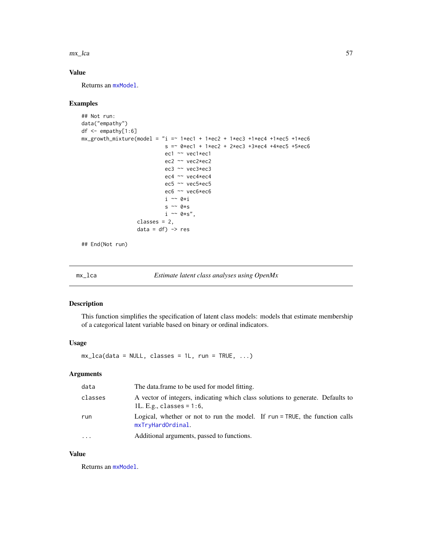mx\_lca 57

### Value

Returns an [mxModel](#page-0-0).

#### Examples

```
## Not run:
data("empathy")
df <- empathy[1:6]
mx\_growth\_mixture(model = "i = "1*ec1 + 1*ec2 + 1*ec3 + 1*ec4 + 1*ec5 + 1*ec6s = 0*ec1 + 1*ec2 + 2*ec3 + 3*ec4 + 4*ec5 + 5*ec6ec1 ~~ vec1*ec1
                            ec2 ~~ vec2*ec2
                            ec3 ~~ vec3*ec3
                            ec4 ~~ vec4*ec4
                            ec5 ~~ vec5*ec5
                            ec6 ~~ vec6*ec6
                            i ~~ 0*i
                            s \sim 0*s
                            i \sim \theta * s",
                   classes = 2,
                   data = df) -> res
```
## End(Not run)

mx\_lca *Estimate latent class analyses using OpenMx*

# Description

This function simplifies the specification of latent class models: models that estimate membership of a categorical latent variable based on binary or ordinal indicators.

### Usage

 $mx\_lca(data = NULL, classes = 1L, run = TRUE, ...)$ 

### Arguments

| data     | The data frame to be used for model fitting.                                                                   |
|----------|----------------------------------------------------------------------------------------------------------------|
| classes  | A vector of integers, indicating which class solutions to generate. Defaults to<br>1L. E.g., classes = $1:6$ , |
| run      | Logical, whether or not to run the model. If run = TRUE, the function calls<br>mxTryHardOrdinal.               |
| $\cdots$ | Additional arguments, passed to functions.                                                                     |

### Value

Returns an [mxModel](#page-0-0).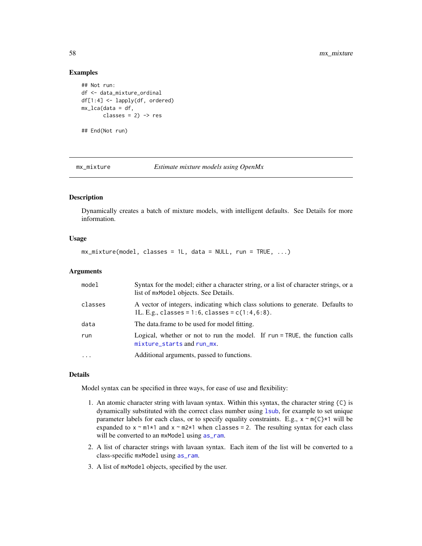### Examples

```
## Not run:
df <- data_mixture_ordinal
df[1:4] <- lapply(df, ordered)
mx_lca(data = df,
       classes = 2) -> res
```
<span id="page-57-0"></span>

## End(Not run)

mx\_mixture *Estimate mixture models using OpenMx*

# Description

Dynamically creates a batch of mixture models, with intelligent defaults. See Details for more information.

# Usage

 $mx\_mixture(model, classes = 1L, data = NULL, run = TRUE, ...)$ 

#### Arguments

| model    | Syntax for the model; either a character string, or a list of character strings, or a<br>list of mxMode1 objects. See Details.           |
|----------|------------------------------------------------------------------------------------------------------------------------------------------|
| classes  | A vector of integers, indicating which class solutions to generate. Defaults to<br>1L. E.g., classes = $1:6$ , classes = $c(1:4, 6:8)$ . |
| data     | The data frame to be used for model fitting.                                                                                             |
| run      | Logical, whether or not to run the model. If run = TRUE, the function calls<br>mixture_starts and run_mx.                                |
| $\ddots$ | Additional arguments, passed to functions.                                                                                               |

#### Details

Model syntax can be specified in three ways, for ease of use and flexibility:

- 1. An atomic character string with lavaan syntax. Within this syntax, the character string {C} is dynamically substituted with the correct class number using [lsub](#page-52-0), for example to set unique parameter labels for each class, or to specify equality constraints. E.g.,  $x \sim m\{C\} \star 1$  will be expanded to  $x \sim m1*1$  and  $x \sim m2*1$  when classes = 2. The resulting syntax for each class will be converted to an mxModel using [as\\_ram](#page-4-0).
- 2. A list of character strings with lavaan syntax. Each item of the list will be converted to a class-specific mxModel using [as\\_ram](#page-4-0).
- 3. A list of mxModel objects, specified by the user.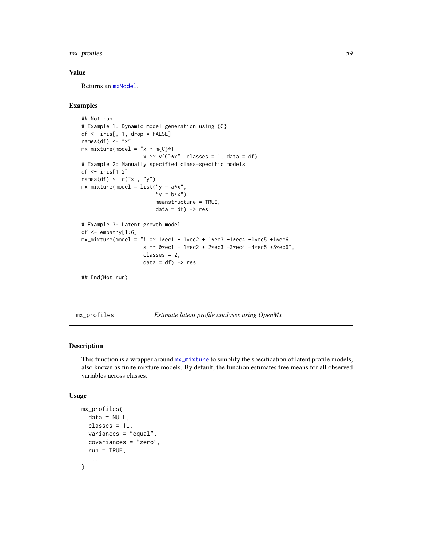# mx\_profiles 59

### Value

Returns an [mxModel](#page-0-0).

# Examples

```
## Not run:
# Example 1: Dynamic model generation using {C}
df <- iris[, 1, drop = FALSE]
names(df) \leftarrow "x"
mx\_mixture(model = "x ~ m{C}*1x \sim v(C)*x", \text{ classes} = 1, \text{ data} = df)# Example 2: Manually specified class-specific models
df <- iris[1:2]
names(df) \leq c("x", "y")
mx\_mixture(model = list("y ~ x**","y ~ b*x"),
                         meanstructure = TRUE,
                         data = df) -> res
# Example 3: Latent growth model
df <- empathy[1:6]
mx\_mixture(model = "i = ~1*ec1 + 1*ec2 + 1*ec3 + 1*ec4 + 1*ec5 + 1*ec6s = -0*ec1 + 1*ec2 + 2*ec3 + 3*ec4 + 4*ec5 + 5*ec6",classes = 2,
                     data = df) -> res
## End(Not run)
```
mx\_profiles *Estimate latent profile analyses using OpenMx*

### Description

This function is a wrapper around  $mx\_mixture$  to simplify the specification of latent profile models, also known as finite mixture models. By default, the function estimates free means for all observed variables across classes.

### Usage

```
mx_profiles(
  data = NULL,classes = 1L,
  variances = "equal",
  covariances = "zero",
  run = TRUE,...
)
```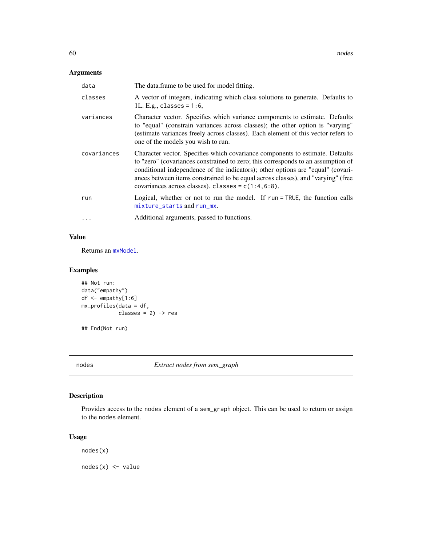# Arguments

| data        | The data frame to be used for model fitting.                                                                                                                                                                                                                                                                                                                                                       |
|-------------|----------------------------------------------------------------------------------------------------------------------------------------------------------------------------------------------------------------------------------------------------------------------------------------------------------------------------------------------------------------------------------------------------|
| classes     | A vector of integers, indicating which class solutions to generate. Defaults to<br>1L. E.g., classes = $1:6$ ,                                                                                                                                                                                                                                                                                     |
| variances   | Character vector. Specifies which variance components to estimate. Defaults<br>to "equal" (constrain variances across classes); the other option is "varying"<br>(estimate variances freely across classes). Each element of this vector refers to<br>one of the models you wish to run.                                                                                                           |
| covariances | Character vector. Specifies which covariance components to estimate. Defaults<br>to "zero" (covariances constrained to zero; this corresponds to an assumption of<br>conditional independence of the indicators); other options are "equal" (covari-<br>ances between items constrained to be equal across classes), and "varying" (free<br>covariances across classes). classes = $c(1:4, 6:8)$ . |
| run         | Logical, whether or not to run the model. If run $=$ TRUE, the function calls<br>mixture_starts and run_mx.                                                                                                                                                                                                                                                                                        |
|             | Additional arguments, passed to functions.                                                                                                                                                                                                                                                                                                                                                         |

# Value

Returns an [mxModel](#page-0-0).

# Examples

```
## Not run:
data("empathy")
df <- empathy[1:6]
mx_profiles(data = df,
           classes = 2) -> res
## End(Not run)
```
nodes *Extract nodes from sem\_graph*

# Description

Provides access to the nodes element of a sem\_graph object. This can be used to return or assign to the nodes element.

# Usage

nodes(x)

 $nodes(x) < - value$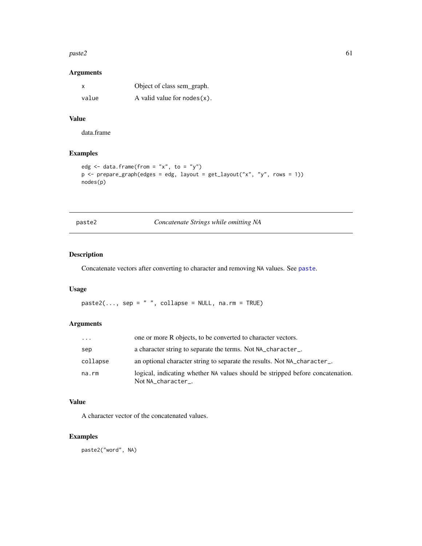#### $p$ aste $2$  61

### Arguments

| x     | Object of class sem_graph.     |
|-------|--------------------------------|
| value | A valid value for $nodes(x)$ . |

### Value

data.frame

# Examples

```
edg \leq data.frame(from = "x", to = "y")
p \leftarrow prepare_graph(edges = edg, layout = get_layout("x", "y", rows = 1))
nodes(p)
```

| paste. |  |
|--------|--|
|        |  |

paste2 *Concatenate Strings while omitting NA*

# Description

Concatenate vectors after converting to character and removing NA values. See [paste](#page-0-0).

### Usage

 $pastel(..., sep = " ", collapse = NULL, na.rm = TRUE)$ 

### Arguments

| $\cdots$ | one or more R objects, to be converted to character vectors.                                         |
|----------|------------------------------------------------------------------------------------------------------|
| sep      | a character string to separate the terms. Not NA_character_.                                         |
| collapse | an optional character string to separate the results. Not NA_character_.                             |
| na.rm    | logical, indicating whether NA values should be stripped before concatenation.<br>Not NA_character_. |

### Value

A character vector of the concatenated values.

# Examples

paste2("word", NA)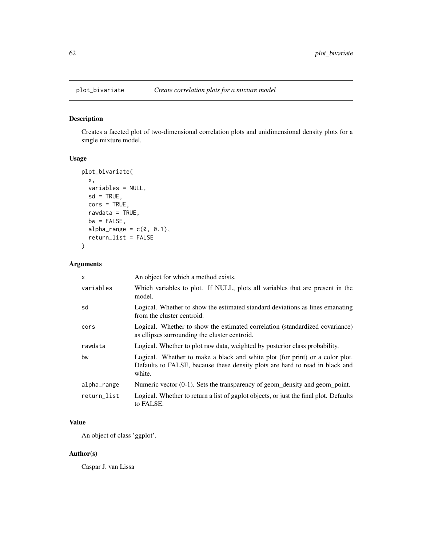# Description

Creates a faceted plot of two-dimensional correlation plots and unidimensional density plots for a single mixture model.

# Usage

```
plot_bivariate(
  x,
  variables = NULL,
  sd = TRUE,\text{cors} = \text{TRUE},
  rawdata = TRUE,
  bw = FALSE,alpha_range = c(0, 0.1),
  return_list = FALSE
)
```
### Arguments

| $\mathsf{x}$ | An object for which a method exists.                                                                                                                                   |
|--------------|------------------------------------------------------------------------------------------------------------------------------------------------------------------------|
| variables    | Which variables to plot. If NULL, plots all variables that are present in the<br>model.                                                                                |
| sd           | Logical. Whether to show the estimated standard deviations as lines emanating<br>from the cluster centroid.                                                            |
| cors         | Logical. Whether to show the estimated correlation (standardized covariance)<br>as ellipses surrounding the cluster centroid.                                          |
| rawdata      | Logical. Whether to plot raw data, weighted by posterior class probability.                                                                                            |
| bw           | Logical. Whether to make a black and white plot (for print) or a color plot.<br>Defaults to FALSE, because these density plots are hard to read in black and<br>white. |
| alpha_range  | Numeric vector $(0-1)$ . Sets the transparency of geom_density and geom_point.                                                                                         |
| return list  | Logical. Whether to return a list of ggplot objects, or just the final plot. Defaults<br>to FALSE.                                                                     |

# Value

An object of class 'ggplot'.

# Author(s)

Caspar J. van Lissa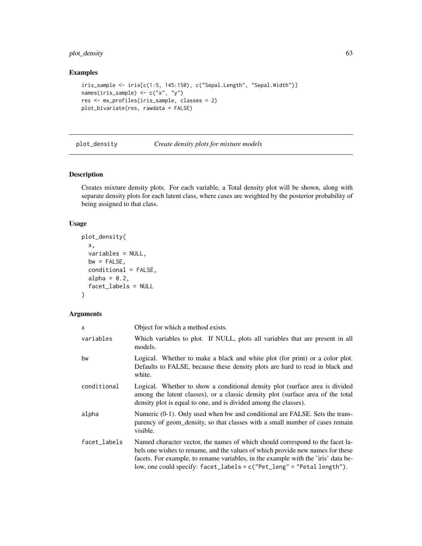# plot\_density 63

# Examples

```
iris_sample <- iris[c(1:5, 145:150), c("Sepal.Length", "Sepal.Width")]
names(iris_sample) <- c("x", "y")
res <- mx_profiles(iris_sample, classes = 2)
plot_bivariate(res, rawdata = FALSE)
```
plot\_density *Create density plots for mixture models*

# Description

Creates mixture density plots. For each variable, a Total density plot will be shown, along with separate density plots for each latent class, where cases are weighted by the posterior probability of being assigned to that class.

### Usage

```
plot_density(
 x,
  variables = NULL,
 bw = FALSE,conditional = FALSE,
 alpha = 0.2,
  facet_labels = NULL
)
```

| X            | Object for which a method exists.                                                                                                                                                                                                                                                                                                  |
|--------------|------------------------------------------------------------------------------------------------------------------------------------------------------------------------------------------------------------------------------------------------------------------------------------------------------------------------------------|
| variables    | Which variables to plot. If NULL, plots all variables that are present in all<br>models.                                                                                                                                                                                                                                           |
| bw           | Logical. Whether to make a black and white plot (for print) or a color plot.<br>Defaults to FALSE, because these density plots are hard to read in black and<br>white.                                                                                                                                                             |
| conditional  | Logical. Whether to show a conditional density plot (surface area is divided<br>among the latent classes), or a classic density plot (surface area of the total<br>density plot is equal to one, and is divided among the classes).                                                                                                |
| alpha        | Numeric (0-1). Only used when bw and conditional are FALSE. Sets the trans-<br>parency of geom_density, so that classes with a small number of cases remain<br>visible.                                                                                                                                                            |
| facet_labels | Named character vector, the names of which should correspond to the facet la-<br>bels one wishes to rename, and the values of which provide new names for these<br>facets. For example, to rename variables, in the example with the 'iris' data be-<br>low, one could specify: $facet_labels = c("Pet_length" = "Petal length").$ |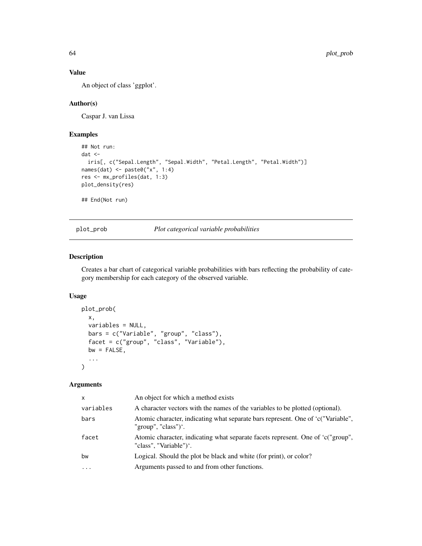# Value

An object of class 'ggplot'.

### Author(s)

Caspar J. van Lissa

### Examples

```
## Not run:
dat <-
  iris[, c("Sepal.Length", "Sepal.Width", "Petal.Length", "Petal.Width")]
names(dat) <- paste0("x", 1:4)
res <- mx_profiles(dat, 1:3)
plot_density(res)
## End(Not run)
```
plot\_prob *Plot categorical variable probabilities*

### Description

Creates a bar chart of categorical variable probabilities with bars reflecting the probability of category membership for each category of the observed variable.

# Usage

```
plot_prob(
 x,
  variables = NULL,
 bars = c("Variable", "group", "class"),
 facet = c("group", "class", "Variable"),
 bw = FALSE,
  ...
\mathcal{L}
```

| An object for which a method exists                                                                       |
|-----------------------------------------------------------------------------------------------------------|
| A character vectors with the names of the variables to be plotted (optional).                             |
| Atomic character, indicating what separate bars represent. One of 'c("Variable",<br>"group", "class")'.   |
| Atomic character, indicating what separate facets represent. One of 'c("group",<br>"class", "Variable")'. |
| Logical. Should the plot be black and white (for print), or color?                                        |
| Arguments passed to and from other functions.                                                             |
|                                                                                                           |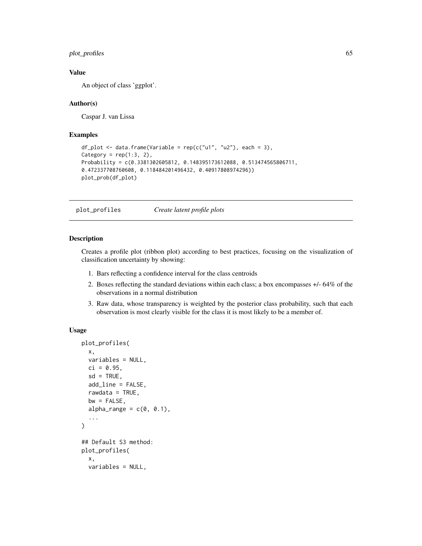plot\_profiles 65

### Value

An object of class 'ggplot'.

#### Author(s)

Caspar J. van Lissa

### Examples

```
df_plot <- data.frame(Variable = rep(c("u1", "u2"), each = 3),Category = rep(1:3, 2),
Probability = c(0.3381302605812, 0.148395173612088, 0.513474565806711,
0.472337708760608, 0.118484201496432, 0.40917808974296))
plot_prob(df_plot)
```
plot\_profiles *Create latent profile plots*

### Description

Creates a profile plot (ribbon plot) according to best practices, focusing on the visualization of classification uncertainty by showing:

- 1. Bars reflecting a confidence interval for the class centroids
- 2. Boxes reflecting the standard deviations within each class; a box encompasses +/- 64% of the observations in a normal distribution
- 3. Raw data, whose transparency is weighted by the posterior class probability, such that each observation is most clearly visible for the class it is most likely to be a member of.

### Usage

```
plot_profiles(
  x,
  variables = NULL,
  ci = 0.95,
  sd = TRUE,add_line = FALSE,
  rawdata = TRUE,
  bw = FALSE,alpha_range = c(0, 0.1),
  ...
\mathcal{L}## Default S3 method:
plot_profiles(
  x,
  variables = NULL,
```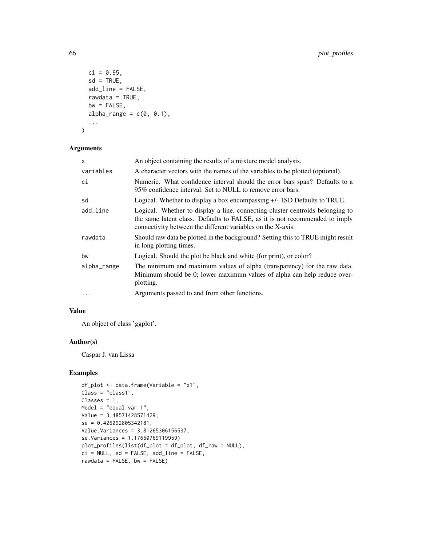```
ci = 0.95,
  sd = TRUE,add_line = FALSE,
  rawdata = TRUE,
  bw = FALSE,alpha_range = c(\emptyset, \emptyset.1),
  ...
\mathcal{L}
```
# Arguments

| x           | An object containing the results of a mixture model analysis.                                                                                                                                                               |
|-------------|-----------------------------------------------------------------------------------------------------------------------------------------------------------------------------------------------------------------------------|
| variables   | A character vectors with the names of the variables to be plotted (optional).                                                                                                                                               |
| сi          | Numeric. What confidence interval should the error bars span? Defaults to a<br>95% confidence interval. Set to NULL to remove error bars.                                                                                   |
| sd          | Logical. Whether to display a box encompassing $+/-$ 1SD Defaults to TRUE.                                                                                                                                                  |
| add_line    | Logical. Whether to display a line, connecting cluster centroids belonging to<br>the same latent class. Defaults to FALSE, as it is not recommended to imply<br>connectivity between the different variables on the X-axis. |
| rawdata     | Should raw data be plotted in the background? Setting this to TRUE might result<br>in long plotting times.                                                                                                                  |
| bw          | Logical. Should the plot be black and white (for print), or color?                                                                                                                                                          |
| alpha_range | The minimum and maximum values of alpha (transparency) for the raw data.<br>Minimum should be 0; lower maximum values of alpha can help reduce over-<br>plotting.                                                           |
| $\cdots$    | Arguments passed to and from other functions.                                                                                                                                                                               |

# Value

An object of class 'ggplot'.

#### Author(s)

Caspar J. van Lissa

```
df_plot <- data.frame(Variable = "x1",
Class = "class1",
Classes = 1,
Model = "equal var 1",
Value = 3.48571428571429,
se = 0.426092805342181,
Value.Variances = 3.81265306156537,
se.Variances = 1.17660769119959)
plot_profiles(list(df_plot = df_plot, df_raw = NULL),
ci = NULL, sd = FALSE, add_line = FALSE,
rawdata = FALSE, bw = FALSE)
```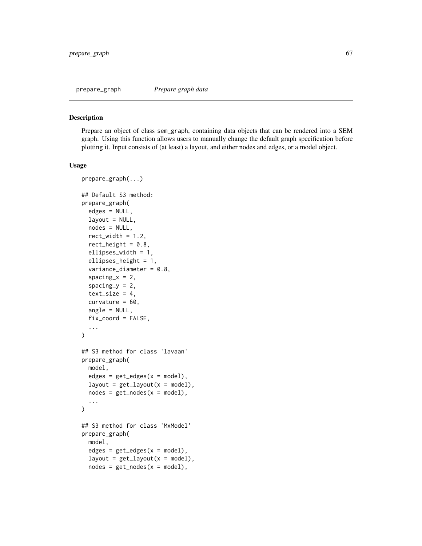#### Description

Prepare an object of class sem\_graph, containing data objects that can be rendered into a SEM graph. Using this function allows users to manually change the default graph specification before plotting it. Input consists of (at least) a layout, and either nodes and edges, or a model object.

#### Usage

```
prepare_graph(...)
## Default S3 method:
prepare_graph(
  edges = NULL,
  layout = NULL,
  nodes = NULL,
  rect\_width = 1.2,
  rect_height = 0.8,
  ellipses_width = 1,
  ellipses_height = 1,
  variance_diameter = 0.8,
  spacing_x = 2,
  spacing_y = 2,
  text\_size = 4,
  curvature = 60.
  angle = NULL,
  fix_coord = FALSE,
  ...
)
## S3 method for class 'lavaan'
prepare_graph(
 model,
 edges = get\_edges(x = model),
  layout = get_layout(x = \text{model}),
  nodes = get\_nodes(x = model),
  ...
)
## S3 method for class 'MxModel'
prepare_graph(
 model,
  edges = get\_edges(x = model),
  layout = get_layout(x = model),nodes = get\_nodes(x = model),
```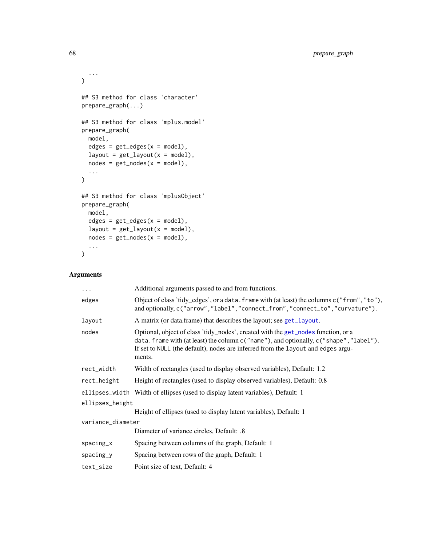```
...
\mathcal{L}## S3 method for class 'character'
prepare_graph(...)
## S3 method for class 'mplus.model'
prepare_graph(
 model,
 edges = get\_edges(x = model),
 layout = get_layout(x = model),
 nodes = get\_nodes(x = model),
  ...
\mathcal{L}## S3 method for class 'mplusObject'
prepare_graph(
 model,
 edges = get\_edges(x = model),
 layout = get_layout(x = model),
 nodes = get\_nodes(x = model),
  ...
\mathcal{L}
```

| $\cdots$          | Additional arguments passed to and from functions.                                                                                                                                                                                                                        |
|-------------------|---------------------------------------------------------------------------------------------------------------------------------------------------------------------------------------------------------------------------------------------------------------------------|
| edges             | Object of class 'tidy_edges', or a data. frame with (at least) the columns c("from", "to"),<br>and optionally, c("arrow", "label", "connect_from", "connect_to", "curvature").                                                                                            |
| layout            | A matrix (or data.frame) that describes the layout; see get_layout.                                                                                                                                                                                                       |
| nodes             | Optional, object of class 'tidy_nodes', created with the get_nodes function, or a<br>data. frame with (at least) the column c("name"), and optionally, c("shape", "label").<br>If set to NULL (the default), nodes are inferred from the layout and edges argu-<br>ments. |
| rect_width        | Width of rectangles (used to display observed variables), Default: 1.2                                                                                                                                                                                                    |
| rect_height       | Height of rectangles (used to display observed variables), Default: 0.8                                                                                                                                                                                                   |
|                   | ellipses_width Width of ellipses (used to display latent variables), Default: 1                                                                                                                                                                                           |
| ellipses_height   |                                                                                                                                                                                                                                                                           |
|                   | Height of ellipses (used to display latent variables), Default: 1                                                                                                                                                                                                         |
| variance_diameter |                                                                                                                                                                                                                                                                           |
|                   | Diameter of variance circles, Default: .8                                                                                                                                                                                                                                 |
| $spacing_x$       | Spacing between columns of the graph, Default: 1                                                                                                                                                                                                                          |
| $spacing_y$       | Spacing between rows of the graph, Default: 1                                                                                                                                                                                                                             |
| text_size         | Point size of text, Default: 4                                                                                                                                                                                                                                            |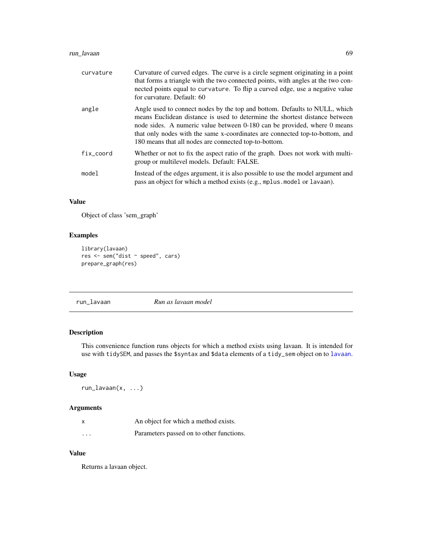# run\_lavaan 69

| curvature | Curvature of curved edges. The curve is a circle segment originating in a point<br>that forms a triangle with the two connected points, with angles at the two con-<br>nected points equal to curvature. To flip a curved edge, use a negative value<br>for curvature. Default: 60                                                                                             |
|-----------|--------------------------------------------------------------------------------------------------------------------------------------------------------------------------------------------------------------------------------------------------------------------------------------------------------------------------------------------------------------------------------|
| angle     | Angle used to connect nodes by the top and bottom. Defaults to NULL, which<br>means Euclidean distance is used to determine the shortest distance between<br>node sides. A numeric value between 0-180 can be provided, where 0 means<br>that only nodes with the same x-coordinates are connected top-to-bottom, and<br>180 means that all nodes are connected top-to-bottom. |
| fix_coord | Whether or not to fix the aspect ratio of the graph. Does not work with multi-<br>group or multilevel models. Default: FALSE.                                                                                                                                                                                                                                                  |
| model     | Instead of the edges argument, it is also possible to use the model argument and<br>pass an object for which a method exists (e.g., mplus model or lavaan).                                                                                                                                                                                                                    |

# Value

Object of class 'sem\_graph'

# Examples

```
library(lavaan)
res <- sem("dist ~ speed", cars)
prepare_graph(res)
```
# Description

This convenience function runs objects for which a method exists using lavaan. It is intended for use with tidySEM, and passes the \$syntax and \$data elements of a tidy\_sem object on to [lavaan](#page-0-0).

# Usage

run\_lavaan(x, ...)

# Arguments

|                      | An object for which a method exists.     |
|----------------------|------------------------------------------|
| $\ddot{\phantom{0}}$ | Parameters passed on to other functions. |

### Value

Returns a lavaan object.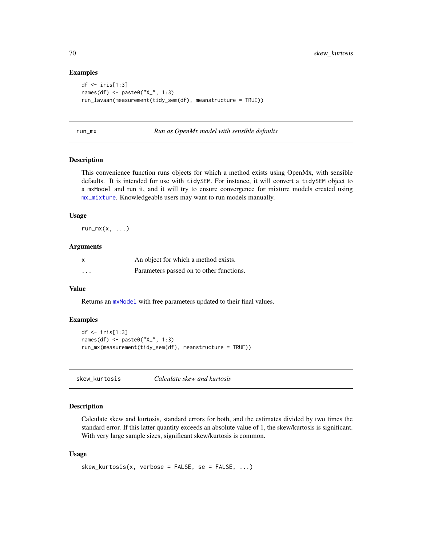### Examples

```
df <- iris[1:3]
names(df) <- paste0("X_", 1:3)
run_lavaan(measurement(tidy_sem(df), meanstructure = TRUE))
```
#### <span id="page-69-0"></span>run\_mx *Run as OpenMx model with sensible defaults*

#### Description

This convenience function runs objects for which a method exists using OpenMx, with sensible defaults. It is intended for use with tidySEM. For instance, it will convert a tidySEM object to a mxModel and run it, and it will try to ensure convergence for mixture models created using [mx\\_mixture](#page-57-0). Knowledgeable users may want to run models manually.

#### Usage

 $run_mx(x, \ldots)$ 

### Arguments

| X        | An object for which a method exists.     |
|----------|------------------------------------------|
| $\cdots$ | Parameters passed on to other functions. |

#### Value

Returns an  $m \times \text{Model}$  with free parameters updated to their final values.

#### Examples

```
df <- iris[1:3]
names(df) <- paste0("X_", 1:3)
run_mx(measurement(tidy_sem(df), meanstructure = TRUE))
```
skew\_kurtosis *Calculate skew and kurtosis*

# Description

Calculate skew and kurtosis, standard errors for both, and the estimates divided by two times the standard error. If this latter quantity exceeds an absolute value of 1, the skew/kurtosis is significant. With very large sample sizes, significant skew/kurtosis is common.

#### Usage

```
skew_kurtosis(x, verbose = FALSE, se = FALSE, ...)
```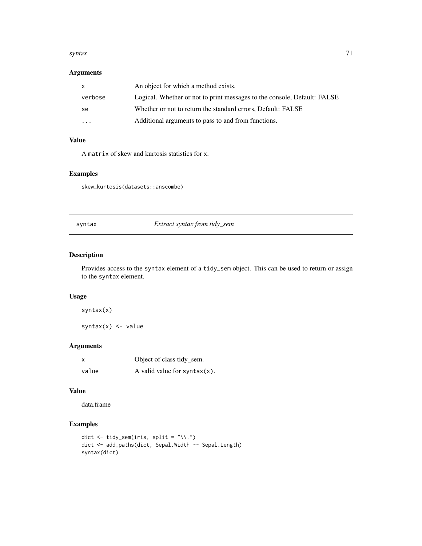#### syntax  $\frac{71}{2}$

# Arguments

| $\mathsf{x}$ | An object for which a method exists.                                     |
|--------------|--------------------------------------------------------------------------|
| verbose      | Logical. Whether or not to print messages to the console, Default: FALSE |
| -se          | Whether or not to return the standard errors, Default: FALSE             |
| $\cdots$     | Additional arguments to pass to and from functions.                      |

# Value

A matrix of skew and kurtosis statistics for x.

# Examples

skew\_kurtosis(datasets::anscombe)

syntax *Extract syntax from tidy\_sem*

# Description

Provides access to the syntax element of a tidy\_sem object. This can be used to return or assign to the syntax element.

### Usage

syntax(x)

syntax $(x)$  <- value

# Arguments

| x     | Object of class tidy_sem.        |
|-------|----------------------------------|
| value | A valid value for syntax $(x)$ . |

# Value

data.frame

```
dict \le tidy_sem(iris, split = "\\.")
dict <- add_paths(dict, Sepal.Width ~~ Sepal.Length)
syntax(dict)
```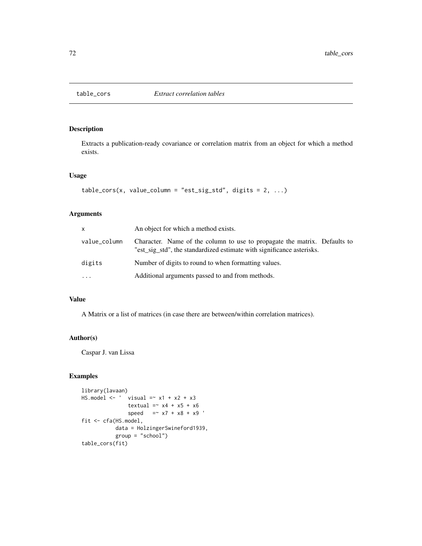### Description

Extracts a publication-ready covariance or correlation matrix from an object for which a method exists.

### Usage

```
table\_cors(x, value\_column = "est\_sig\_std", digits = 2, ...)
```
### Arguments

| X            | An object for which a method exists.                                                                                                               |
|--------------|----------------------------------------------------------------------------------------------------------------------------------------------------|
| value_column | Character. Name of the column to use to propagate the matrix. Defaults to<br>"est_sig_std", the standardized estimate with significance asterisks. |
| digits       | Number of digits to round to when formatting values.                                                                                               |
| $\ddots$     | Additional arguments passed to and from methods.                                                                                                   |

### Value

A Matrix or a list of matrices (in case there are between/within correlation matrices).

# Author(s)

Caspar J. van Lissa

```
library(lavaan)
HS.model \leftarrow ' visual =~ x1 + x2 + x3
              textual =~x4 + x5 + x6speed = x7 + x8 + x9fit <- cfa(HS.model,
          data = HolzingerSwineford1939,
           group = "school")
table_cors(fit)
```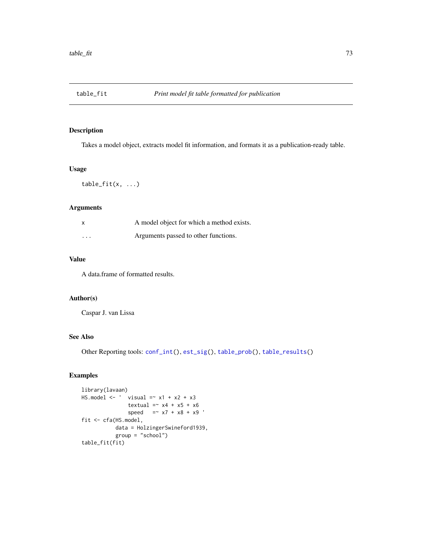<span id="page-72-1"></span><span id="page-72-0"></span>

## Description

Takes a model object, extracts model fit information, and formats it as a publication-ready table.

## Usage

 $table_fitt(x, ...)$ 

## Arguments

| $\mathsf{x}$ | A model object for which a method exists. |
|--------------|-------------------------------------------|
| $\cdots$     | Arguments passed to other functions.      |

# Value

A data.frame of formatted results.

## Author(s)

Caspar J. van Lissa

# See Also

Other Reporting tools: [conf\\_int\(](#page-8-0)), [est\\_sig\(](#page-18-0)), [table\\_prob\(](#page-73-0)), [table\\_results\(](#page-73-1))

# Examples

```
library(lavaan)
HS.model \le ' visual =\sim x1 + x2 + x3
              textual =~x4 + x5 + x6speed = x7 + x8 + x9'fit <- cfa(HS.model,
          data = HolzingerSwineford1939,
          group = "school")
table_fit(fit)
```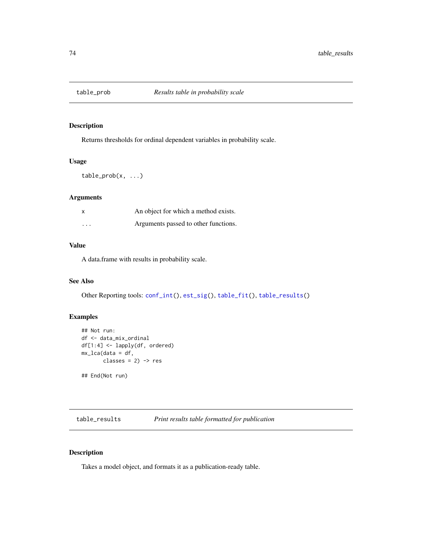<span id="page-73-2"></span><span id="page-73-0"></span>

## Description

Returns thresholds for ordinal dependent variables in probability scale.

## Usage

 $table_prob(x, ...)$ 

## Arguments

| x                       | An object for which a method exists. |
|-------------------------|--------------------------------------|
| $\cdot$ $\cdot$ $\cdot$ | Arguments passed to other functions. |

## Value

A data.frame with results in probability scale.

# See Also

Other Reporting tools: [conf\\_int\(](#page-8-0)), [est\\_sig\(](#page-18-0)), [table\\_fit\(](#page-72-0)), [table\\_results\(](#page-73-1))

# Examples

```
## Not run:
df <- data_mix_ordinal
df[1:4] <- lapply(df, ordered)
mx_lca(data = df,
       classes = 2) -> res
## End(Not run)
```
<span id="page-73-1"></span>table\_results *Print results table formatted for publication*

# Description

Takes a model object, and formats it as a publication-ready table.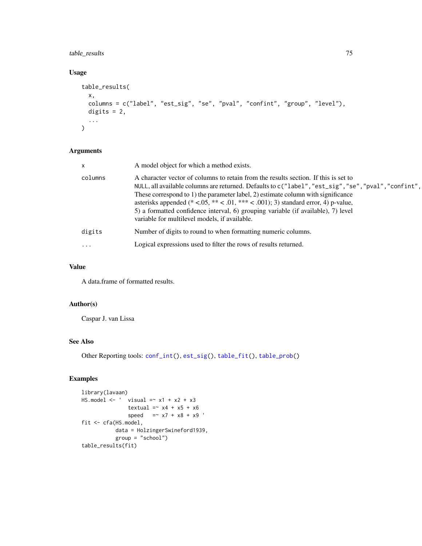# <span id="page-74-0"></span>table\_results 75

# Usage

```
table_results(
 x,
 columns = c("label", "est_sig", "se", "pval", "confint", "group", "level"),
 digits = 2,
  ...
\mathcal{L}
```
# Arguments

| $\mathsf{x}$ | A model object for which a method exists.                                                                                                                                                                                                                                                                                                                                                                                                                                                                    |
|--------------|--------------------------------------------------------------------------------------------------------------------------------------------------------------------------------------------------------------------------------------------------------------------------------------------------------------------------------------------------------------------------------------------------------------------------------------------------------------------------------------------------------------|
| columns      | A character vector of columns to retain from the results section. If this is set to<br>NULL, all available columns are returned. Defaults to $c("label", "est_sig", "se", "pval", "confint",$<br>These correspond to 1) the parameter label, 2) estimate column with significance<br>asterisks appended (* <.05, ** < .01, *** < .001); 3) standard error, 4) p-value,<br>5) a formatted confidence interval, 6) grouping variable (if available), 7) level<br>variable for multilevel models, if available. |
| digits       | Number of digits to round to when formatting numeric columns.                                                                                                                                                                                                                                                                                                                                                                                                                                                |
| $\cdots$     | Logical expressions used to filter the rows of results returned.                                                                                                                                                                                                                                                                                                                                                                                                                                             |

# Value

A data.frame of formatted results.

# Author(s)

Caspar J. van Lissa

# See Also

```
Other Reporting tools: conf_int(), est_sig(), table_fit(), table_prob()
```
# Examples

```
library(lavaan)
HS.model \leftarrow ' visual =~ x1 + x2 + x3
              textual =~x4 + x5 + x6speed = x7 + x8 + x9fit <- cfa(HS.model,
          data = HolzingerSwineford1939,
          group = "school")
table_results(fit)
```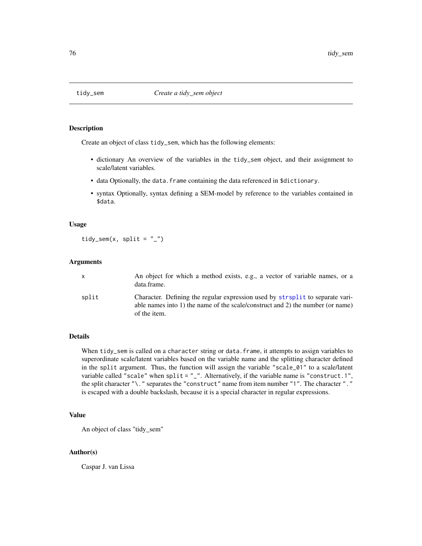<span id="page-75-0"></span>

#### Description

Create an object of class tidy\_sem, which has the following elements:

- dictionary An overview of the variables in the tidy\_sem object, and their assignment to scale/latent variables.
- data Optionally, the data.frame containing the data referenced in \$dictionary.
- syntax Optionally, syntax defining a SEM-model by reference to the variables contained in \$data.

## Usage

tidy\_sem $(x, split = "__")$ 

## Arguments

|       | An object for which a method exists, e.g., a vector of variable names, or a<br>data.frame.                                                                                       |
|-------|----------------------------------------------------------------------------------------------------------------------------------------------------------------------------------|
| split | Character. Defining the regular expression used by strisplit to separate vari-<br>able names into 1) the name of the scale/construct and 2) the number (or name)<br>of the item. |

## Details

When tidy\_sem is called on a character string or data.frame, it attempts to assign variables to superordinate scale/latent variables based on the variable name and the splitting character defined in the split argument. Thus, the function will assign the variable "scale\_01" to a scale/latent variable called "scale" when split =  $"$ \_". Alternatively, if the variable name is "construct.1", the split character "\." separates the "construct" name from item number "1". The character "." is escaped with a double backslash, because it is a special character in regular expressions.

## Value

An object of class "tidy\_sem"

#### Author(s)

Caspar J. van Lissa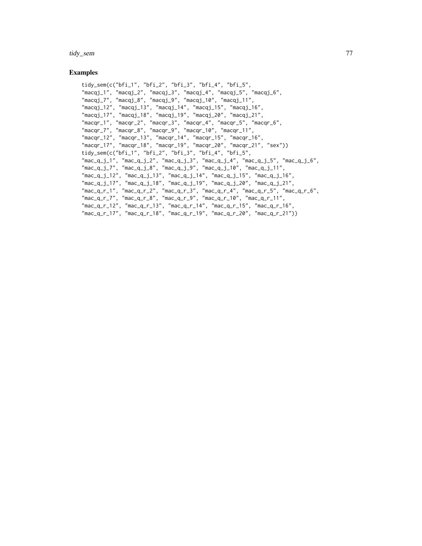tidy\_sem 77

## Examples

```
tidy_sem(c("bfi_1", "bfi_2", "bfi_3", "bfi_4", "bfi_5",
"macqj_1", "macqj_2", "macqj_3", "macqj_4", "macqj_5", "macqj_6",
"macqj_7", "macqj_8", "macqj_9", "macqj_10", "macqj_11",""macqj_12", "macqj_13", "macqj_14", "macqj_15", "macqj_16",
"macqj_17", "macqj_18", "macqj_19", "macqj_20", "macqj_21",
"macqr_1", "macqr_2", "macqr_3", "macqr_4", "macqr_5", "macqr_6",
"macqr_7", "macqr_8", "macqr_9", "macqr_10", "macqr_11",
"macqr_12", "macqr_13", "macqr_14", "macqr_15", "macqr_16",
"macqr_17", "macqr_18", "macqr_19", "macqr_20", "macqr_21", "sex"))
tidy_sem(c("bfi_1", "bfi_2", "bfi_3", "bfi_4", "bfi_5",
"mac_q_j_1", "mac_q_j_2", "mac_q_j_3", "mac_q_j_4", "mac_q_j_5", "mac_q_j_6",
"mac_q_j_7", "mac_q_j_8", "mac_q_j_9", "mac_q_j_10", "mac_q_j_11",
"mac_q_j_12", "mac_q_j_13", "mac_q_j_14", "mac_q_j_15", "mac_q_j_16",
"mac_q_j_17", "mac_q_j_18", "mac_q_j_19", "mac_q_j_20", "mac_q_j_21",
"mac_q_r_1", "mac_q_r_2", "mac_q_r_3", "mac_q_r_4", "mac_q_r_5", "mac_q_r_6",
"mac_q_r_7", "mac_q_r_8", "mac_q_r_9", "mac_q_r_10", "mac_q_r_11",
"mac_q_r_12", "mac_q_r_13", "mac_q_r_14", "mac_q_r_15", "mac_q_r_16",
"mac_q_r_17", "mac_q_r_18", "mac_q_r_19", "mac_q_r_20", "mac_q_r_21"))
```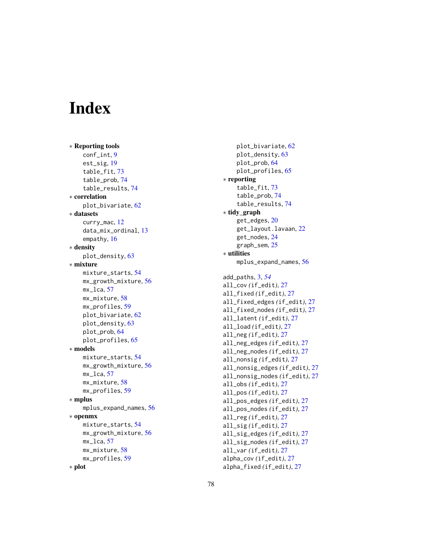# **Index**

∗ Reporting tools conf\_int , [9](#page-8-1) est\_sig , [19](#page-18-1) table\_fit , [73](#page-72-1) table\_prob , [74](#page-73-2) table\_results , [74](#page-73-2) ∗ correlation plot\_bivariate , [62](#page-61-0) ∗ datasets curry\_mac , [12](#page-11-0) data\_mix\_ordinal , [13](#page-12-0) empathy , [16](#page-15-0) ∗ density plot\_density , [63](#page-62-0) ∗ mixture mixture\_starts , [54](#page-53-0) mx\_growth\_mixture , [56](#page-55-0) mx\_lca , [57](#page-56-0) mx\_mixture,[58](#page-57-0) mx\_profiles , [59](#page-58-0) plot\_bivariate , [62](#page-61-0) plot\_density , [63](#page-62-0) plot\_prob , [64](#page-63-0) plot\_profiles , [65](#page-64-0) ∗ models mixture\_starts , [54](#page-53-0) mx\_growth\_mixture , [56](#page-55-0) mx\_lca , [57](#page-56-0) mx\_mixture,[58](#page-57-0) mx\_profiles, [59](#page-58-0) ∗ mplus mplus\_expand\_names, [56](#page-55-0) ∗ openmx mixture\_starts , [54](#page-53-0) mx\_growth\_mixture , [56](#page-55-0) mx\_lca , [57](#page-56-0) mx\_mixture , [58](#page-57-0) mx\_profiles, [59](#page-58-0) ∗ plot

```
plot_bivariate
, 62
     plot_density
, 63
     plot_prob
, 64
     plot_profiles
, 65
∗ reporting
     table_fit
, 73
     table_prob
, 74
     table_results
, 74
∗ tidy_graph
     20
     get_layout.lavaan
, 22
     get_nodes
, 24
     graph_sem
, 25
∗ utilities
     56
add_paths
,
3
, 54
all_cov
(if_edit
)
, 27
all_fixed
(if_edit
)
, 27
all_fixed_edges
(if_edit
)
, 27
all_fixed_nodes
(if_edit
)
, 27
all_latent
(if_edit
)
, 27
all_load
(if_edit
)
, 27
all_neg
(if_edit
)
, 27
all_neg_edges
(if_edit
)
, 27
all_neg_nodes
(if_edit
)
, 27
all_nonsig
(if_edit
)
, 27
all_nonsig_edges
(if_edit
)
, 27
all_nonsig_nodes
(if_edit
)
, 27
all_obs
(if_edit
)
, 27
all_pos
(if_edit
)
, 27
all_pos_edges
(if_edit
)
, 27
all_pos_nodes
(if_edit
)
, 27
all_reg
(if_edit
)
, 27
all_sig
(if_edit
)
, 27
all_sig_edges
(if_edit
)
, 27
all_sig_nodes
(if_edit
)
, 27
all_var
(if_edit
)
, 27
alpha_cov
(if_edit
)
, 27
alpha_fixed
(if_edit
)
, 27
```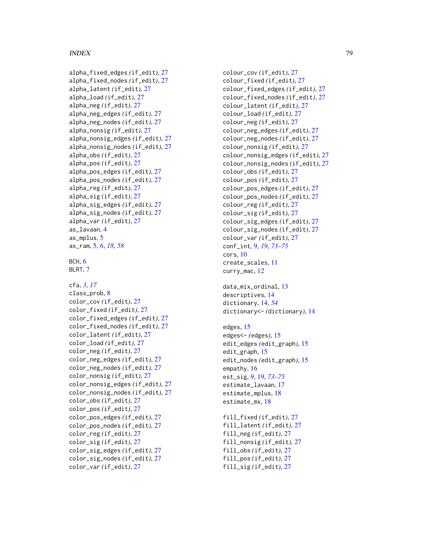## INDEX 29

alpha\_fixed\_edges *(*if\_edit *)* , [27](#page-26-0) alpha\_fixed\_nodes *(*if\_edit *)* , [27](#page-26-0) alpha\_latent *(*if\_edit *)* , [27](#page-26-0) alpha\_load *(*if\_edit *)* , [27](#page-26-0) alpha\_neg *(*if\_edit *)* , [27](#page-26-0) alpha\_neg\_edges *(*if\_edit *)* , [27](#page-26-0) alpha\_neg\_nodes *(*if\_edit *)* , [27](#page-26-0) alpha\_nonsig *(*if\_edit *)* , [27](#page-26-0) alpha\_nonsig\_edges *(*if\_edit *)* , [27](#page-26-0) alpha\_nonsig\_nodes *(*if\_edit *)* , [27](#page-26-0) alpha\_obs *(*if\_edit *)* , [27](#page-26-0) alpha\_pos *(*if\_edit *)* , [27](#page-26-0) alpha\_pos\_edges *(*if\_edit *)* , [27](#page-26-0) alpha\_pos\_nodes *(*if\_edit *)* , [27](#page-26-0) alpha\_reg *(*if\_edit *)* , [27](#page-26-0) alpha\_sig *(*if\_edit *)* , [27](#page-26-0) alpha\_sig\_edges *(*if\_edit *)* , [27](#page-26-0) alpha\_sig\_nodes *(*if\_edit *)* , [27](#page-26-0) alpha\_var *(*if\_edit *)* , [27](#page-26-0) as\_lavaan , [4](#page-3-0) as\_mplus , [5](#page-4-0) as\_ram , [5](#page-4-0) , *[6](#page-5-0)* , *[18](#page-17-0)* , *[58](#page-57-0)*

```
BCH
,
6
7
```
cfa , *[3](#page-2-0)* , *[17](#page-16-0)* class\_prob , [8](#page-7-0) color\_cov *(*if\_edit *)* , [27](#page-26-0) color\_fixed *(*if\_edit *)* , [27](#page-26-0) color\_fixed\_edges *(*if\_edit *)* , [27](#page-26-0) color\_fixed\_nodes *(*if\_edit *)* , [27](#page-26-0) color\_latent *(*if\_edit *)* , [27](#page-26-0) color\_load *(*if\_edit *)* , [27](#page-26-0) color\_neg *(*if\_edit *)* , [27](#page-26-0) color\_neg\_edges *(*if\_edit *)* , [27](#page-26-0) color\_neg\_nodes *(*if\_edit *)* , [27](#page-26-0) color\_nonsig *(*if\_edit *)* , [27](#page-26-0) color\_nonsig\_edges *(*if\_edit *)* , [27](#page-26-0) color\_nonsig\_nodes *(*if\_edit *)* , [27](#page-26-0) color\_obs *(*if\_edit *)* , [27](#page-26-0) color\_pos *(*if\_edit *)* , [27](#page-26-0) color\_pos\_edges *(*if\_edit *)* , [27](#page-26-0) color\_pos\_nodes *(*if\_edit *)* , [27](#page-26-0) color\_reg *(*if\_edit *)* , [27](#page-26-0) color\_sig *(*if\_edit *)* , [27](#page-26-0) color\_sig\_edges *(*if\_edit *)* , [27](#page-26-0) color\_sig\_nodes *(*if\_edit *)* , [27](#page-26-0) color\_var *(*if\_edit *)* , [27](#page-26-0)

colour\_cov *(*if\_edit *)* , [27](#page-26-0) colour\_fixed *(*if\_edit *)* , [27](#page-26-0) colour\_fixed\_edges *(*if\_edit *)* , [27](#page-26-0) colour\_fixed\_nodes *(*if\_edit *)* , [27](#page-26-0) colour\_latent *(*if\_edit *)* , [27](#page-26-0) colour\_load *(*if\_edit *)* , [27](#page-26-0) colour\_neg *(*if\_edit *)* , [27](#page-26-0) colour\_neg\_edges *(*if\_edit *)* , [27](#page-26-0) colour\_neg\_nodes *(*if\_edit *)* , [27](#page-26-0) colour\_nonsig *(*if\_edit *)* , [27](#page-26-0) colour\_nonsig\_edges *(*if\_edit *)* , [27](#page-26-0) colour\_nonsig\_nodes *(*if\_edit *)* , [27](#page-26-0) colour\_obs *(*if\_edit *)* , [27](#page-26-0) colour\_pos *(*if\_edit *)* , [27](#page-26-0) colour\_pos\_edges *(*if\_edit *)* , [27](#page-26-0) colour\_pos\_nodes *(*if\_edit *)* , [27](#page-26-0) colour\_reg *(*if\_edit *)* , [27](#page-26-0) colour\_sig *(*if\_edit *)* , [27](#page-26-0) colour\_sig\_edges *(*if\_edit *)* , [27](#page-26-0) colour\_sig\_nodes *(*if\_edit *)* , [27](#page-26-0) colour\_var *(*if\_edit *)* , [27](#page-26-0) conf\_int , [9](#page-8-1) , *[19](#page-18-1)* , *[73](#page-72-1) [–75](#page-74-0)* cors , [10](#page-9-0) create\_scales , [11](#page-10-0) curry\_mac , [12](#page-11-0) data\_mix\_ordinal , [13](#page-12-0) descriptives , [14](#page-13-0) dictionary , [14](#page-13-0) , *[54](#page-53-0)* dictionary<- *(*dictionary *)* , [14](#page-13-0) edges, [15](#page-14-0) edges<- *(*edges *)* , [15](#page-14-0) edit\_edges *(*edit\_graph *)* , [15](#page-14-0)

edit\_graph , [15](#page-14-0) edit\_nodes *(*edit\_graph *)* , [15](#page-14-0) empathy, [16](#page-15-0) est\_sig , *[9](#page-8-1)* , [19](#page-18-1) , *[73](#page-72-1) [–75](#page-74-0)* estimate\_lavaan , [17](#page-16-0) estimate\_mplus , [18](#page-17-0) estimate\_mx , [18](#page-17-0)

fill\_fixed *(*if\_edit *)* , [27](#page-26-0) fill\_latent *(*if\_edit *)* , [27](#page-26-0) fill\_neg *(*if\_edit *)* , [27](#page-26-0) fill\_nonsig *(*if\_edit *)* , [27](#page-26-0) fill\_obs *(*if\_edit *)* , [27](#page-26-0) fill\_pos *(*if\_edit *)* , [27](#page-26-0) fill\_sig *(*if\_edit *)* , [27](#page-26-0)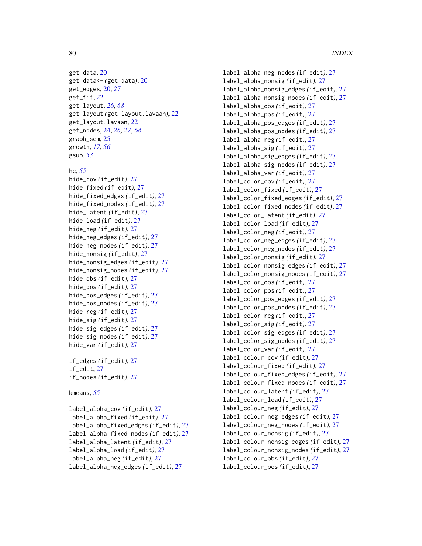get\_data, [20](#page-19-0) get\_data<- *(*get\_data*)*, [20](#page-19-0) get\_edges, [20,](#page-19-0) *[27](#page-26-0)* get\_fit, [22](#page-21-0) get\_layout, *[26](#page-25-0)*, *[68](#page-67-0)* get\_layout *(*get\_layout.lavaan*)*, [22](#page-21-0) get\_layout.lavaan, [22](#page-21-0) get\_nodes, [24,](#page-23-0) *[26,](#page-25-0) [27](#page-26-0)*, *[68](#page-67-0)* graph\_sem, [25](#page-24-0) growth, *[17](#page-16-0)*, *[56](#page-55-0)* gsub, *[53](#page-52-0)*

## hc, *[55](#page-54-0)*

```
hide_cov (if_edit), 27
hide_fixed (if_edit), 27
hide_fixed_edges (if_edit), 27
hide_fixed_nodes (if_edit), 27
hide_latent (if_edit), 27
hide_load (if_edit), 27
hide_neg (if_edit), 27
hide_neg_edges (if_edit), 27
hide_neg_nodes (if_edit), 27
hide_nonsig (if_edit), 27
hide_nonsig_edges (if_edit), 27
hide_nonsig_nodes (if_edit), 27
hide_obs (if_edit), 27
hide_pos (if_edit), 27
hide_pos_edges (if_edit), 27
hide_pos_nodes (if_edit), 27
hide_reg (if_edit), 27
hide_sig (if_edit), 27
hide_sig_edges (if_edit), 27
hide_sig_nodes (if_edit), 27
hide_var (if_edit), 27
```
if\_edges *(*if\_edit*)*, [27](#page-26-0) if\_edit, [27](#page-26-0) if\_nodes *(*if\_edit*)*, [27](#page-26-0)

#### kmeans, *[55](#page-54-0)*

label\_alpha\_cov *(*if\_edit*)*, [27](#page-26-0) label\_alpha\_fixed *(*if\_edit*)*, [27](#page-26-0) label\_alpha\_fixed\_edges *(*if\_edit*)*, [27](#page-26-0) label\_alpha\_fixed\_nodes *(*if\_edit*)*, [27](#page-26-0) label\_alpha\_latent *(*if\_edit*)*, [27](#page-26-0) label\_alpha\_load *(*if\_edit*)*, [27](#page-26-0) label\_alpha\_neg *(*if\_edit*)*, [27](#page-26-0) label\_alpha\_neg\_edges *(*if\_edit*)*, [27](#page-26-0)

label\_alpha\_neg\_nodes *(*if\_edit*)*, [27](#page-26-0) label\_alpha\_nonsig *(*if\_edit*)*, [27](#page-26-0) label\_alpha\_nonsig\_edges *(*if\_edit*)*, [27](#page-26-0) label\_alpha\_nonsig\_nodes *(*if\_edit*)*, [27](#page-26-0) label\_alpha\_obs *(*if\_edit*)*, [27](#page-26-0) label\_alpha\_pos *(*if\_edit*)*, [27](#page-26-0) label\_alpha\_pos\_edges *(*if\_edit*)*, [27](#page-26-0) label\_alpha\_pos\_nodes *(*if\_edit*)*, [27](#page-26-0) label\_alpha\_reg *(*if\_edit*)*, [27](#page-26-0) label\_alpha\_sig *(*if\_edit*)*, [27](#page-26-0) label\_alpha\_sig\_edges *(*if\_edit*)*, [27](#page-26-0) label\_alpha\_sig\_nodes *(*if\_edit*)*, [27](#page-26-0) label\_alpha\_var *(*if\_edit*)*, [27](#page-26-0) label\_color\_cov *(*if\_edit*)*, [27](#page-26-0) label\_color\_fixed *(*if\_edit*)*, [27](#page-26-0) label\_color\_fixed\_edges *(*if\_edit*)*, [27](#page-26-0) label\_color\_fixed\_nodes *(*if\_edit*)*, [27](#page-26-0) label\_color\_latent *(*if\_edit*)*, [27](#page-26-0) label\_color\_load *(*if\_edit*)*, [27](#page-26-0) label\_color\_neg *(*if\_edit*)*, [27](#page-26-0) label\_color\_neg\_edges *(*if\_edit*)*, [27](#page-26-0) label\_color\_neg\_nodes *(*if\_edit*)*, [27](#page-26-0) label\_color\_nonsig *(*if\_edit*)*, [27](#page-26-0) label\_color\_nonsig\_edges *(*if\_edit*)*, [27](#page-26-0) label\_color\_nonsig\_nodes *(*if\_edit*)*, [27](#page-26-0) label\_color\_obs *(*if\_edit*)*, [27](#page-26-0) label\_color\_pos *(*if\_edit*)*, [27](#page-26-0) label\_color\_pos\_edges *(*if\_edit*)*, [27](#page-26-0) label\_color\_pos\_nodes *(*if\_edit*)*, [27](#page-26-0) label\_color\_reg *(*if\_edit*)*, [27](#page-26-0) label\_color\_sig *(*if\_edit*)*, [27](#page-26-0) label\_color\_sig\_edges *(*if\_edit*)*, [27](#page-26-0) label\_color\_sig\_nodes *(*if\_edit*)*, [27](#page-26-0) label\_color\_var *(*if\_edit*)*, [27](#page-26-0) label\_colour\_cov *(*if\_edit*)*, [27](#page-26-0) label\_colour\_fixed *(*if\_edit*)*, [27](#page-26-0) label\_colour\_fixed\_edges *(*if\_edit*)*, [27](#page-26-0) label\_colour\_fixed\_nodes *(*if\_edit*)*, [27](#page-26-0) label\_colour\_latent *(*if\_edit*)*, [27](#page-26-0) label\_colour\_load *(*if\_edit*)*, [27](#page-26-0) label\_colour\_neg *(*if\_edit*)*, [27](#page-26-0) label\_colour\_neg\_edges *(*if\_edit*)*, [27](#page-26-0) label\_colour\_neg\_nodes *(*if\_edit*)*, [27](#page-26-0) label\_colour\_nonsig *(*if\_edit*)*, [27](#page-26-0) label\_colour\_nonsig\_edges *(*if\_edit*)*, [27](#page-26-0) label\_colour\_nonsig\_nodes *(*if\_edit*)*, [27](#page-26-0) label\_colour\_obs *(*if\_edit*)*, [27](#page-26-0) label\_colour\_pos *(*if\_edit*)*, [27](#page-26-0)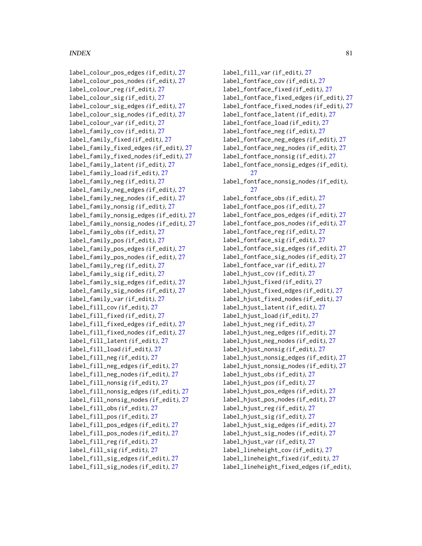## INDEX  $81$

label\_colour\_pos\_edges *(*if\_edit*)*, [27](#page-26-0) label\_colour\_pos\_nodes *(*if\_edit*)*, [27](#page-26-0) label\_colour\_reg *(*if\_edit*)*, [27](#page-26-0) label\_colour\_sig *(*if\_edit*)*, [27](#page-26-0) label\_colour\_sig\_edges *(*if\_edit*)*, [27](#page-26-0) label\_colour\_sig\_nodes *(*if\_edit*)*, [27](#page-26-0) label\_colour\_var *(*if\_edit*)*, [27](#page-26-0) label\_family\_cov *(*if\_edit*)*, [27](#page-26-0) label\_family\_fixed *(*if\_edit*)*, [27](#page-26-0) label\_family\_fixed\_edges *(*if\_edit*)*, [27](#page-26-0) label\_family\_fixed\_nodes *(*if\_edit*)*, [27](#page-26-0) label\_family\_latent *(*if\_edit*)*, [27](#page-26-0) label\_family\_load *(*if\_edit*)*, [27](#page-26-0) label\_family\_neg *(*if\_edit*)*, [27](#page-26-0) label\_family\_neg\_edges *(*if\_edit*)*, [27](#page-26-0) label\_family\_neg\_nodes *(*if\_edit*)*, [27](#page-26-0) label\_family\_nonsig *(*if\_edit*)*, [27](#page-26-0) label\_family\_nonsig\_edges *(*if\_edit*)*, [27](#page-26-0) label\_family\_nonsig\_nodes *(*if\_edit*)*, [27](#page-26-0) label\_family\_obs *(*if\_edit*)*, [27](#page-26-0) label\_family\_pos *(*if\_edit*)*, [27](#page-26-0) label\_family\_pos\_edges *(*if\_edit*)*, [27](#page-26-0) label\_family\_pos\_nodes *(*if\_edit*)*, [27](#page-26-0) label\_family\_reg *(*if\_edit*)*, [27](#page-26-0) label\_family\_sig *(*if\_edit*)*, [27](#page-26-0) label\_family\_sig\_edges *(*if\_edit*)*, [27](#page-26-0) label\_family\_sig\_nodes *(*if\_edit*)*, [27](#page-26-0) label\_family\_var *(*if\_edit*)*, [27](#page-26-0) label\_fill\_cov *(*if\_edit*)*, [27](#page-26-0) label\_fill\_fixed *(*if\_edit*)*, [27](#page-26-0) label\_fill\_fixed\_edges *(*if\_edit*)*, [27](#page-26-0) label\_fill\_fixed\_nodes *(*if\_edit*)*, [27](#page-26-0) label\_fill\_latent *(*if\_edit*)*, [27](#page-26-0) label\_fill\_load *(*if\_edit*)*, [27](#page-26-0) label\_fill\_neg *(*if\_edit*)*, [27](#page-26-0) label\_fill\_neg\_edges *(*if\_edit*)*, [27](#page-26-0) label\_fill\_neg\_nodes *(*if\_edit*)*, [27](#page-26-0) label\_fill\_nonsig *(*if\_edit*)*, [27](#page-26-0) label\_fill\_nonsig\_edges *(*if\_edit*)*, [27](#page-26-0) label\_fill\_nonsig\_nodes *(*if\_edit*)*, [27](#page-26-0) label\_fill\_obs *(*if\_edit*)*, [27](#page-26-0) label\_fill\_pos *(*if\_edit*)*, [27](#page-26-0) label\_fill\_pos\_edges *(*if\_edit*)*, [27](#page-26-0) label\_fill\_pos\_nodes *(*if\_edit*)*, [27](#page-26-0) label\_fill\_reg *(*if\_edit*)*, [27](#page-26-0) label\_fill\_sig *(*if\_edit*)*, [27](#page-26-0) label\_fill\_sig\_edges *(*if\_edit*)*, [27](#page-26-0) label\_fill\_sig\_nodes *(*if\_edit*)*, [27](#page-26-0)

label\_fill\_var *(*if\_edit*)*, [27](#page-26-0) label\_fontface\_cov *(*if\_edit*)*, [27](#page-26-0) label\_fontface\_fixed *(*if\_edit*)*, [27](#page-26-0) label\_fontface\_fixed\_edges *(*if\_edit*)*, [27](#page-26-0) label\_fontface\_fixed\_nodes *(*if\_edit*)*, [27](#page-26-0) label\_fontface\_latent *(*if\_edit*)*, [27](#page-26-0) label\_fontface\_load *(*if\_edit*)*, [27](#page-26-0) label\_fontface\_neg *(*if\_edit*)*, [27](#page-26-0) label\_fontface\_neg\_edges *(*if\_edit*)*, [27](#page-26-0) label\_fontface\_neg\_nodes *(*if\_edit*)*, [27](#page-26-0) label\_fontface\_nonsig *(*if\_edit*)*, [27](#page-26-0) label\_fontface\_nonsig\_edges *(*if\_edit*)*, [27](#page-26-0) label\_fontface\_nonsig\_nodes *(*if\_edit*)*, [27](#page-26-0) label\_fontface\_obs *(*if\_edit*)*, [27](#page-26-0) label\_fontface\_pos *(*if\_edit*)*, [27](#page-26-0) label\_fontface\_pos\_edges *(*if\_edit*)*, [27](#page-26-0) label\_fontface\_pos\_nodes *(*if\_edit*)*, [27](#page-26-0) label\_fontface\_reg *(*if\_edit*)*, [27](#page-26-0) label\_fontface\_sig *(*if\_edit*)*, [27](#page-26-0) label\_fontface\_sig\_edges *(*if\_edit*)*, [27](#page-26-0) label\_fontface\_sig\_nodes *(*if\_edit*)*, [27](#page-26-0) label\_fontface\_var *(*if\_edit*)*, [27](#page-26-0) label\_hjust\_cov *(*if\_edit*)*, [27](#page-26-0) label\_hjust\_fixed *(*if\_edit*)*, [27](#page-26-0) label\_hjust\_fixed\_edges *(*if\_edit*)*, [27](#page-26-0) label\_hjust\_fixed\_nodes *(*if\_edit*)*, [27](#page-26-0) label\_hjust\_latent *(*if\_edit*)*, [27](#page-26-0) label\_hjust\_load *(*if\_edit*)*, [27](#page-26-0) label\_hjust\_neg *(*if\_edit*)*, [27](#page-26-0) label\_hjust\_neg\_edges *(*if\_edit*)*, [27](#page-26-0) label\_hjust\_neg\_nodes *(*if\_edit*)*, [27](#page-26-0) label\_hjust\_nonsig *(*if\_edit*)*, [27](#page-26-0) label\_hjust\_nonsig\_edges *(*if\_edit*)*, [27](#page-26-0) label\_hjust\_nonsig\_nodes *(*if\_edit*)*, [27](#page-26-0) label\_hjust\_obs *(*if\_edit*)*, [27](#page-26-0) label\_hjust\_pos *(*if\_edit*)*, [27](#page-26-0) label\_hjust\_pos\_edges *(*if\_edit*)*, [27](#page-26-0) label\_hjust\_pos\_nodes *(*if\_edit*)*, [27](#page-26-0) label\_hjust\_reg *(*if\_edit*)*, [27](#page-26-0) label\_hjust\_sig *(*if\_edit*)*, [27](#page-26-0) label\_hjust\_sig\_edges *(*if\_edit*)*, [27](#page-26-0) label\_hjust\_sig\_nodes *(*if\_edit*)*, [27](#page-26-0) label\_hjust\_var *(*if\_edit*)*, [27](#page-26-0) label\_lineheight\_cov *(*if\_edit*)*, [27](#page-26-0) label\_lineheight\_fixed *(*if\_edit*)*, [27](#page-26-0) label\_lineheight\_fixed\_edges *(*if\_edit*)*,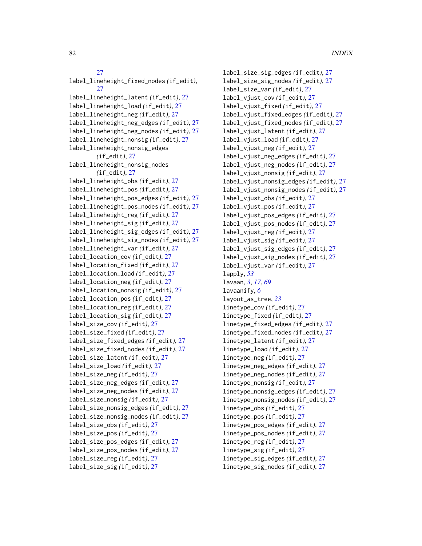## [27](#page-26-0)

label\_lineheight\_fixed\_nodes *(*if\_edit*)*, [27](#page-26-0) label\_lineheight\_latent *(*if\_edit*)*, [27](#page-26-0) label\_lineheight\_load *(*if\_edit*)*, [27](#page-26-0) label\_lineheight\_neg *(*if\_edit*)*, [27](#page-26-0) label\_lineheight\_neg\_edges *(*if\_edit*)*, [27](#page-26-0) label\_lineheight\_neg\_nodes *(*if\_edit*)*, [27](#page-26-0) label\_lineheight\_nonsig *(*if\_edit*)*, [27](#page-26-0) label\_lineheight\_nonsig\_edges *(*if\_edit*)*, [27](#page-26-0) label\_lineheight\_nonsig\_nodes *(*if\_edit*)*, [27](#page-26-0) label\_lineheight\_obs *(*if\_edit*)*, [27](#page-26-0) label\_lineheight\_pos *(*if\_edit*)*, [27](#page-26-0) label\_lineheight\_pos\_edges *(*if\_edit*)*, [27](#page-26-0) label\_lineheight\_pos\_nodes *(*if\_edit*)*, [27](#page-26-0) label\_lineheight\_reg *(*if\_edit*)*, [27](#page-26-0) label\_lineheight\_sig *(*if\_edit*)*, [27](#page-26-0) label\_lineheight\_sig\_edges *(*if\_edit*)*, [27](#page-26-0) label\_lineheight\_sig\_nodes *(*if\_edit*)*, [27](#page-26-0) label\_lineheight\_var *(*if\_edit*)*, [27](#page-26-0) label\_location\_cov *(*if\_edit*)*, [27](#page-26-0) label\_location\_fixed *(*if\_edit*)*, [27](#page-26-0) label\_location\_load *(*if\_edit*)*, [27](#page-26-0) label\_location\_neg *(*if\_edit*)*, [27](#page-26-0) label\_location\_nonsig *(*if\_edit*)*, [27](#page-26-0) label\_location\_pos *(*if\_edit*)*, [27](#page-26-0) label\_location\_reg *(*if\_edit*)*, [27](#page-26-0) label\_location\_sig *(*if\_edit*)*, [27](#page-26-0) label\_size\_cov *(*if\_edit*)*, [27](#page-26-0) label\_size\_fixed *(*if\_edit*)*, [27](#page-26-0) label\_size\_fixed\_edges *(*if\_edit*)*, [27](#page-26-0) label\_size\_fixed\_nodes *(*if\_edit*)*, [27](#page-26-0) label\_size\_latent *(*if\_edit*)*, [27](#page-26-0) label\_size\_load *(*if\_edit*)*, [27](#page-26-0) label\_size\_neg *(*if\_edit*)*, [27](#page-26-0) label\_size\_neg\_edges *(*if\_edit*)*, [27](#page-26-0) label\_size\_neg\_nodes *(*if\_edit*)*, [27](#page-26-0) label\_size\_nonsig *(*if\_edit*)*, [27](#page-26-0) label\_size\_nonsig\_edges *(*if\_edit*)*, [27](#page-26-0) label\_size\_nonsig\_nodes *(*if\_edit*)*, [27](#page-26-0) label\_size\_obs *(*if\_edit*)*, [27](#page-26-0) label\_size\_pos *(*if\_edit*)*, [27](#page-26-0) label\_size\_pos\_edges *(*if\_edit*)*, [27](#page-26-0) label\_size\_pos\_nodes *(*if\_edit*)*, [27](#page-26-0) label\_size\_reg *(*if\_edit*)*, [27](#page-26-0) label\_size\_sig *(*if\_edit*)*, [27](#page-26-0)

label\_size\_sig\_edges *(*if\_edit*)*, [27](#page-26-0) label\_size\_sig\_nodes *(*if\_edit*)*, [27](#page-26-0) label\_size\_var *(*if\_edit*)*, [27](#page-26-0) label\_vjust\_cov *(*if\_edit*)*, [27](#page-26-0) label\_vjust\_fixed *(*if\_edit*)*, [27](#page-26-0) label\_vjust\_fixed\_edges *(*if\_edit*)*, [27](#page-26-0) label\_vjust\_fixed\_nodes *(*if\_edit*)*, [27](#page-26-0) label\_vjust\_latent *(*if\_edit*)*, [27](#page-26-0) label\_vjust\_load *(*if\_edit*)*, [27](#page-26-0) label\_vjust\_neg *(*if\_edit*)*, [27](#page-26-0) label\_vjust\_neg\_edges *(*if\_edit*)*, [27](#page-26-0) label\_vjust\_neg\_nodes *(*if\_edit*)*, [27](#page-26-0) label\_vjust\_nonsig *(*if\_edit*)*, [27](#page-26-0) label\_vjust\_nonsig\_edges *(*if\_edit*)*, [27](#page-26-0) label\_vjust\_nonsig\_nodes *(*if\_edit*)*, [27](#page-26-0) label\_vjust\_obs *(*if\_edit*)*, [27](#page-26-0) label\_vjust\_pos *(*if\_edit*)*, [27](#page-26-0) label\_vjust\_pos\_edges *(*if\_edit*)*, [27](#page-26-0) label\_vjust\_pos\_nodes *(*if\_edit*)*, [27](#page-26-0) label\_vjust\_reg *(*if\_edit*)*, [27](#page-26-0) label\_vjust\_sig *(*if\_edit*)*, [27](#page-26-0) label\_vjust\_sig\_edges *(*if\_edit*)*, [27](#page-26-0) label\_vjust\_sig\_nodes *(*if\_edit*)*, [27](#page-26-0) label\_vjust\_var *(*if\_edit*)*, [27](#page-26-0) lapply, *[53](#page-52-0)* lavaan, *[3](#page-2-0)*, *[17](#page-16-0)*, *[69](#page-68-0)* lavaanify, *[6](#page-5-0)* layout\_as\_tree, *[23](#page-22-0)* linetype\_cov *(*if\_edit*)*, [27](#page-26-0) linetype\_fixed *(*if\_edit*)*, [27](#page-26-0) linetype\_fixed\_edges *(*if\_edit*)*, [27](#page-26-0) linetype\_fixed\_nodes *(*if\_edit*)*, [27](#page-26-0) linetype\_latent *(*if\_edit*)*, [27](#page-26-0) linetype\_load *(*if\_edit*)*, [27](#page-26-0) linetype\_neg *(*if\_edit*)*, [27](#page-26-0) linetype\_neg\_edges *(*if\_edit*)*, [27](#page-26-0) linetype\_neg\_nodes *(*if\_edit*)*, [27](#page-26-0) linetype\_nonsig *(*if\_edit*)*, [27](#page-26-0) linetype\_nonsig\_edges *(*if\_edit*)*, [27](#page-26-0) linetype\_nonsig\_nodes *(*if\_edit*)*, [27](#page-26-0) linetype\_obs *(*if\_edit*)*, [27](#page-26-0) linetype\_pos *(*if\_edit*)*, [27](#page-26-0) linetype\_pos\_edges *(*if\_edit*)*, [27](#page-26-0) linetype\_pos\_nodes *(*if\_edit*)*, [27](#page-26-0) linetype\_reg *(*if\_edit*)*, [27](#page-26-0) linetype\_sig *(*if\_edit*)*, [27](#page-26-0) linetype\_sig\_edges *(*if\_edit*)*, [27](#page-26-0) linetype\_sig\_nodes *(*if\_edit*)*, [27](#page-26-0)